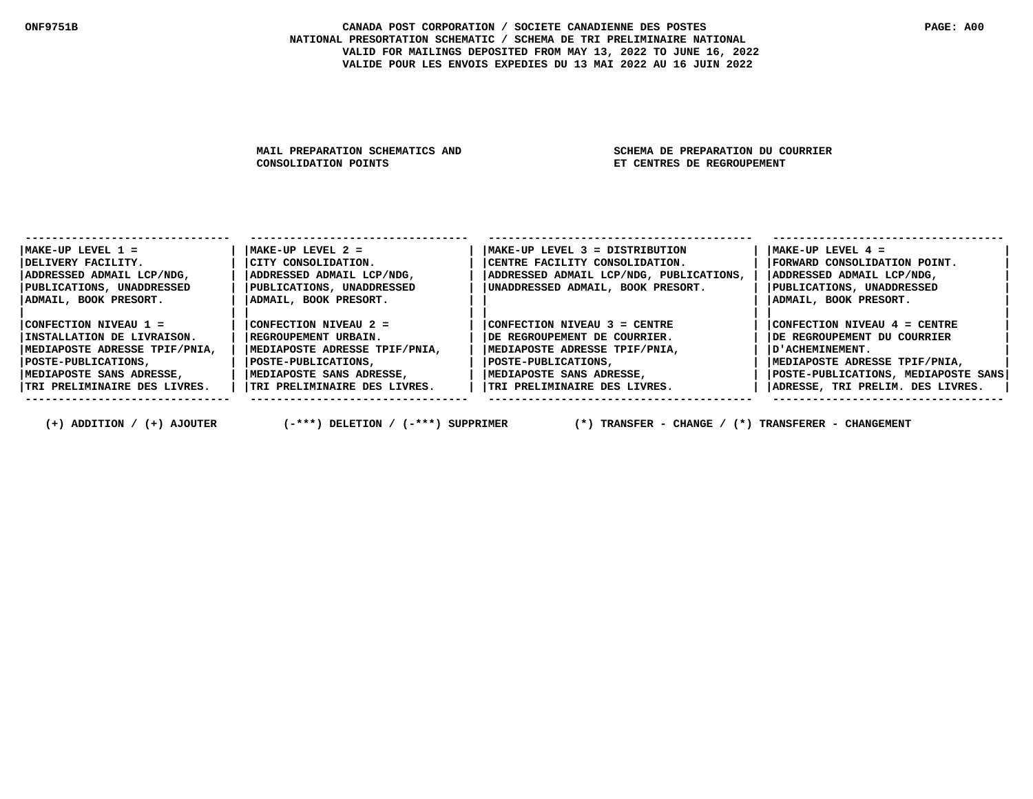MAIL PREPARATION SCHEMATICS AND SCHEMA DE PREPARATION DU COURRIER<br>CONSOLIDATION POINTS SAND SET CENTRES DE REGROUPEMENT

**ET CENTRES DE REGROUPEMENT** 

| $MAKE-UP$ LEVEL $1 =$            | $MAKE-UP$ LEVEL $2 =$         | MAKE-UP LEVEL 3 = DISTRIBUTION          | $MAKE-UP$ LEVEL $4 =$               |
|----------------------------------|-------------------------------|-----------------------------------------|-------------------------------------|
| DELIVERY FACILITY.               | CITY CONSOLIDATION.           | CENTRE FACILITY CONSOLIDATION.          | FORWARD CONSOLIDATION POINT.        |
| ADDRESSED ADMAIL LCP/NDG,        | ADDRESSED ADMAIL LCP/NDG,     | ADDRESSED ADMAIL LCP/NDG, PUBLICATIONS, | ADDRESSED ADMAIL LCP/NDG,           |
| <b>PUBLICATIONS, UNADDRESSED</b> | PUBLICATIONS, UNADDRESSED     | UNADDRESSED ADMAIL, BOOK PRESORT.       | PUBLICATIONS, UNADDRESSED           |
| ADMAIL, BOOK PRESORT.            | ADMAIL, BOOK PRESORT.         |                                         | ADMAIL, BOOK PRESORT.               |
|                                  |                               |                                         |                                     |
| CONFECTION NIVEAU 1 =            | CONFECTION NIVEAU 2 =         | $ CONFECTION NIVEAU 3 = CENTRE$         | CONFECTION NIVEAU $4$ = CENTRE      |
| INSTALLATION DE LIVRAISON.       | REGROUPEMENT URBAIN.          | IDE REGROUPEMENT DE COURRIER.           | IDE REGROUPEMENT DU COURRIER        |
| MEDIAPOSTE ADRESSE TPIF/PNIA,    | MEDIAPOSTE ADRESSE TPIF/PNIA, | MEDIAPOSTE ADRESSE TPIF/PNIA,           | D'ACHEMINEMENT.                     |
| POSTE-PUBLICATIONS ,             | POSTE-PUBLICATIONS,           | POSTE-PUBLICATIONS,                     | MEDIAPOSTE ADRESSE TPIF/PNIA,       |
| MEDIAPOSTE SANS ADRESSE,         | MEDIAPOSTE SANS ADRESSE,      | MEDIAPOSTE SANS ADRESSE,                | POSTE-PUBLICATIONS, MEDIAPOSTE SANS |
| TRI PRELIMINAIRE DES LIVRES.     | TRI PRELIMINAIRE DES LIVRES.  | TRI PRELIMINAIRE DES LIVRES.            | ADRESSE, TRI PRELIM. DES LIVRES.    |
|                                  |                               |                                         |                                     |

 **(+) ADDITION / (+) AJOUTER (-\*\*\*) DELETION / (-\*\*\*) SUPPRIMER (\*) TRANSFER - CHANGE / (\*) TRANSFERER - CHANGEMENT**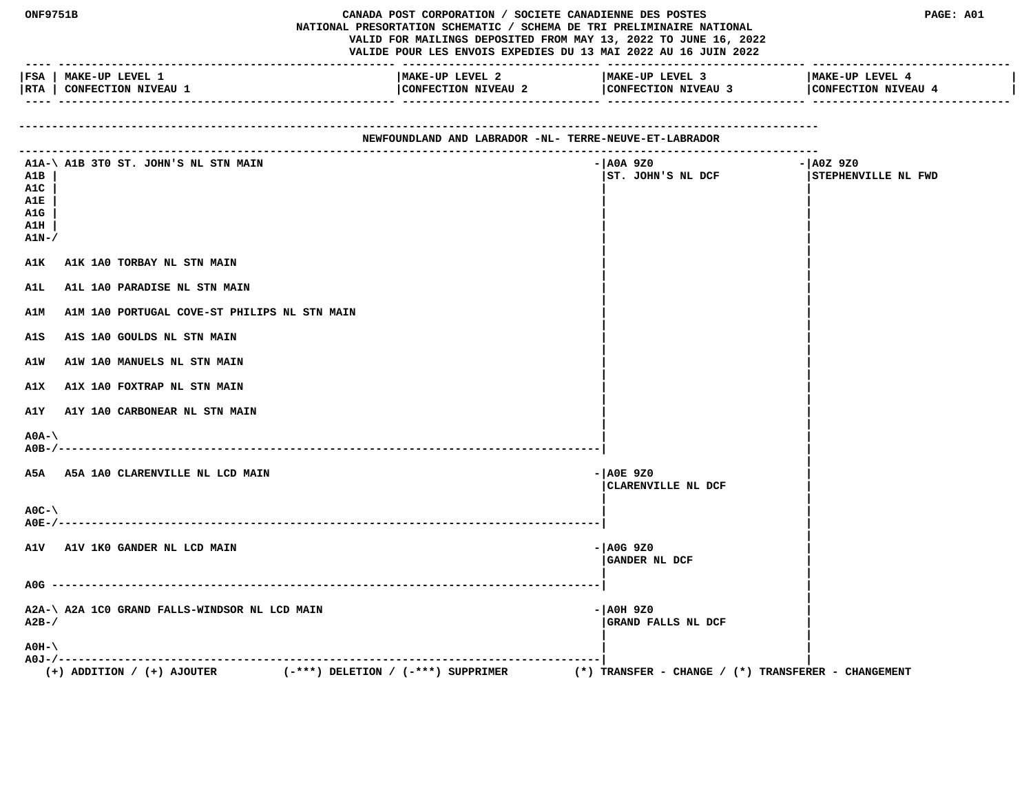| ONF9751B<br>CANADA POST CORPORATION / SOCIETE CANADIENNE DES POSTES<br>NATIONAL PRESORTATION SCHEMATIC / SCHEMA DE TRI PRELIMINAIRE NATIONAL<br>VALID FOR MAILINGS DEPOSITED FROM MAY 13, 2022 TO JUNE 16, 2022<br>VALIDE POUR LES ENVOIS EXPEDIES DU 13 MAI 2022 AU 16 JUIN 2022<br>---- -------------------------------- |                                                                          |                                                        | PAGE: A01                                               |                                    |
|----------------------------------------------------------------------------------------------------------------------------------------------------------------------------------------------------------------------------------------------------------------------------------------------------------------------------|--------------------------------------------------------------------------|--------------------------------------------------------|---------------------------------------------------------|------------------------------------|
|                                                                                                                                                                                                                                                                                                                            | FSA   MAKE-UP LEVEL 1                                                    | MAKE-UP LEVEL 2                                        | MAKE-UP LEVEL 3                                         | MAKE-UP LEVEL 4                    |
|                                                                                                                                                                                                                                                                                                                            | RTA   CONFECTION NIVEAU 1                                                | CONFECTION NIVEAU 2                                    | CONFECTION NIVEAU 3                                     | CONFECTION NIVEAU 4                |
|                                                                                                                                                                                                                                                                                                                            |                                                                          | NEWFOUNDLAND AND LABRADOR -NL- TERRE-NEUVE-ET-LABRADOR |                                                         |                                    |
| A1B                                                                                                                                                                                                                                                                                                                        | A1A-\ A1B 3T0 ST. JOHN'S NL STN MAIN                                     |                                                        | - AOA 9Z0<br>ST. JOHN'S NL DCF                          | $- A0Z 9Z0$<br>STEPHENVILLE NL FWD |
| A1C                                                                                                                                                                                                                                                                                                                        |                                                                          |                                                        |                                                         |                                    |
| A1E<br>A1G                                                                                                                                                                                                                                                                                                                 |                                                                          |                                                        |                                                         |                                    |
| A1H                                                                                                                                                                                                                                                                                                                        |                                                                          |                                                        |                                                         |                                    |
| $A1N-$                                                                                                                                                                                                                                                                                                                     |                                                                          |                                                        |                                                         |                                    |
| A1K                                                                                                                                                                                                                                                                                                                        | A1K 1A0 TORBAY NL STN MAIN                                               |                                                        |                                                         |                                    |
| A1L                                                                                                                                                                                                                                                                                                                        | A1L 1A0 PARADISE NL STN MAIN                                             |                                                        |                                                         |                                    |
| <b>A1M</b>                                                                                                                                                                                                                                                                                                                 | A1M 1A0 PORTUGAL COVE-ST PHILIPS NL STN MAIN                             |                                                        |                                                         |                                    |
| A1S                                                                                                                                                                                                                                                                                                                        | A1S 1A0 GOULDS NL STN MAIN                                               |                                                        |                                                         |                                    |
| A1W                                                                                                                                                                                                                                                                                                                        | A1W 1A0 MANUELS NL STN MAIN                                              |                                                        |                                                         |                                    |
| A1X                                                                                                                                                                                                                                                                                                                        | A1X 1A0 FOXTRAP NL STN MAIN                                              |                                                        |                                                         |                                    |
| A1Y                                                                                                                                                                                                                                                                                                                        | <b>A1Y 1A0 CARBONEAR NL STN MAIN</b>                                     |                                                        |                                                         |                                    |
| $A0A-\lambda$                                                                                                                                                                                                                                                                                                              |                                                                          |                                                        |                                                         |                                    |
|                                                                                                                                                                                                                                                                                                                            | A5A A5A 1A0 CLARENVILLE NL LCD MAIN                                      |                                                        | $ A0E$ 920                                              |                                    |
|                                                                                                                                                                                                                                                                                                                            |                                                                          |                                                        | CLARENVILLE NL DCF                                      |                                    |
| $AOC - \setminus$                                                                                                                                                                                                                                                                                                          |                                                                          |                                                        |                                                         |                                    |
|                                                                                                                                                                                                                                                                                                                            | A1V A1V 1KO GANDER NL LCD MAIN                                           |                                                        | $-$ AOG 9Z0<br>GANDER NL DCF                            |                                    |
|                                                                                                                                                                                                                                                                                                                            |                                                                          |                                                        |                                                         |                                    |
| $A2B-$ /                                                                                                                                                                                                                                                                                                                   | A2A-\ A2A 1C0 GRAND FALLS-WINDSOR NL LCD MAIN                            |                                                        | - AOH 9Z0<br>GRAND FALLS NL DCF                         |                                    |
| $AOH-$                                                                                                                                                                                                                                                                                                                     |                                                                          |                                                        |                                                         |                                    |
|                                                                                                                                                                                                                                                                                                                            | $(+)$ ADDITION / $(+)$ AJOUTER<br>$(-***)$ DELETION / $(-***)$ SUPPRIMER |                                                        | $(*)$ TRANSFER - CHANGE / $(*)$ TRANSFERER - CHANGEMENT |                                    |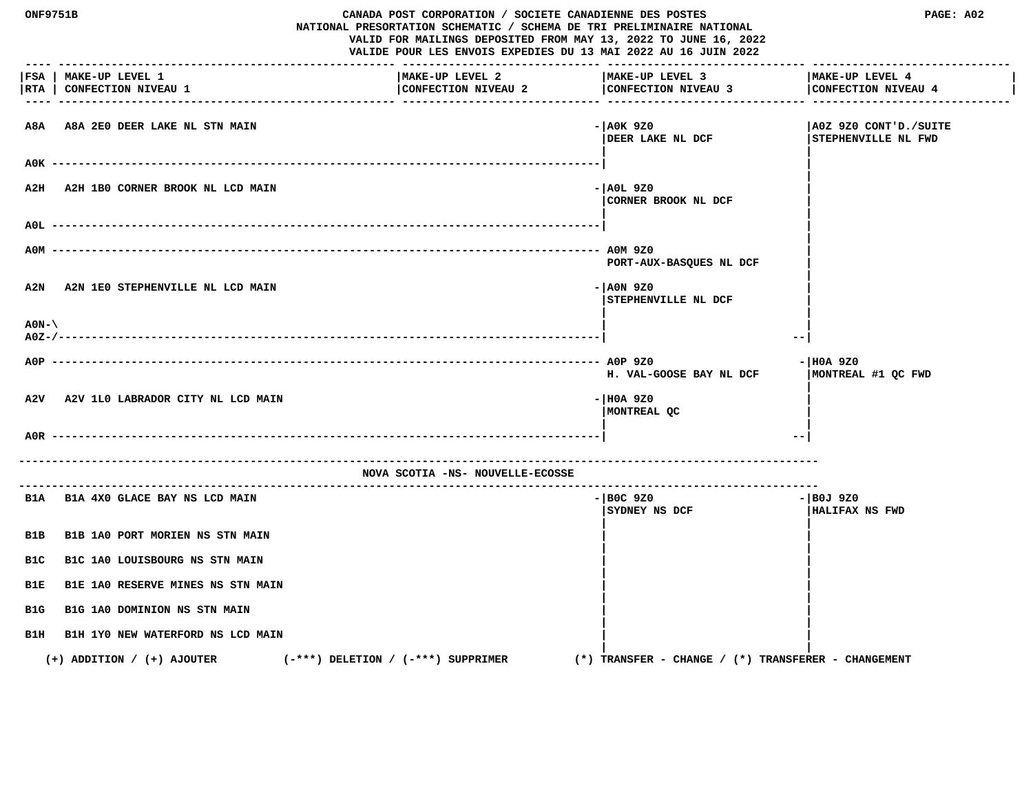| CANADA POST CORPORATION / SOCIETE CANADIENNE DES POSTES<br><b>ONF9751B</b><br>NATIONAL PRESORTATION SCHEMATIC / SCHEMA DE TRI PRELIMINAIRE NATIONAL<br>VALID FOR MAILINGS DEPOSITED FROM MAY 13, 2022 TO JUNE 16, 2022<br>VALIDE POUR LES ENVOIS EXPEDIES DU 13 MAI 2022 AU 16 JUIN 2022 |                                                    |                                        | PAGE: A02                                           |                                              |
|------------------------------------------------------------------------------------------------------------------------------------------------------------------------------------------------------------------------------------------------------------------------------------------|----------------------------------------------------|----------------------------------------|-----------------------------------------------------|----------------------------------------------|
|                                                                                                                                                                                                                                                                                          | FSA   MAKE-UP LEVEL 1<br>RTA   CONFECTION NIVEAU 1 | MAKE-UP LEVEL 2<br>CONFECTION NIVEAU 2 | MAKE-UP LEVEL 3<br>CONFECTION NIVEAU 3              | MAKE-UP LEVEL 4<br>CONFECTION NIVEAU 4       |
|                                                                                                                                                                                                                                                                                          | A8A A8A 2E0 DEER LAKE NL STN MAIN                  |                                        | - AOK 9Z0<br>DEER LAKE NL DCF                       | A0Z 9Z0 CONT'D./SUITE<br>STEPHENVILLE NL FWD |
|                                                                                                                                                                                                                                                                                          |                                                    |                                        |                                                     |                                              |
| A2H                                                                                                                                                                                                                                                                                      | A2H 1B0 CORNER BROOK NL LCD MAIN                   |                                        | - AOL 9Z0<br>CORNER BROOK NL DCF                    |                                              |
| AOL.                                                                                                                                                                                                                                                                                     |                                                    |                                        |                                                     |                                              |
| A0M                                                                                                                                                                                                                                                                                      |                                                    |                                        | PORT-AUX-BASQUES NL DCF                             |                                              |
| A2N                                                                                                                                                                                                                                                                                      | A2N 1E0 STEPHENVILLE NL LCD MAIN                   |                                        | - AON 9Z0<br>STEPHENVILLE NL DCF                    |                                              |
| $A0N-\lambda$                                                                                                                                                                                                                                                                            |                                                    |                                        | --                                                  |                                              |
| $ADP$ ----                                                                                                                                                                                                                                                                               |                                                    |                                        | H. VAL-GOOSE BAY NL DCF                             | - HOA 9Z0<br>MONTREAL #1 QC FWD              |
| A2V                                                                                                                                                                                                                                                                                      | A2V 1L0 LABRADOR CITY NL LCD MAIN                  |                                        | $ H0A$ 9Z0<br>MONTREAL QC                           |                                              |
| A0R.                                                                                                                                                                                                                                                                                     |                                                    |                                        | $- -$                                               |                                              |
|                                                                                                                                                                                                                                                                                          |                                                    | NOVA SCOTIA -NS- NOUVELLE-ECOSSE       |                                                     |                                              |
|                                                                                                                                                                                                                                                                                          | B1A B1A 4X0 GLACE BAY NS LCD MAIN                  |                                        | $-$ BOC 9Z0<br><b>SYDNEY NS DCF</b>                 | $-$ BOJ 9Z0<br><b>HALIFAX NS FWD</b>         |
| B1B                                                                                                                                                                                                                                                                                      | B1B 1A0 PORT MORIEN NS STN MAIN                    |                                        |                                                     |                                              |
| B1C                                                                                                                                                                                                                                                                                      | B1C 1A0 LOUISBOURG NS STN MAIN                     |                                        |                                                     |                                              |
| B1E                                                                                                                                                                                                                                                                                      | B1E 1A0 RESERVE MINES NS STN MAIN                  |                                        |                                                     |                                              |
| B1G                                                                                                                                                                                                                                                                                      | B1G 1A0 DOMINION NS STN MAIN                       |                                        |                                                     |                                              |
| B1H                                                                                                                                                                                                                                                                                      | B1H 1YO NEW WATERFORD NS LCD MAIN                  |                                        |                                                     |                                              |
|                                                                                                                                                                                                                                                                                          | $(+)$ ADDITION / $(+)$ AJOUTER                     | $(-***)$ DELETION / $(-***)$ SUPPRIMER | (*) TRANSFER - CHANGE / (*) TRANSFERER - CHANGEMENT |                                              |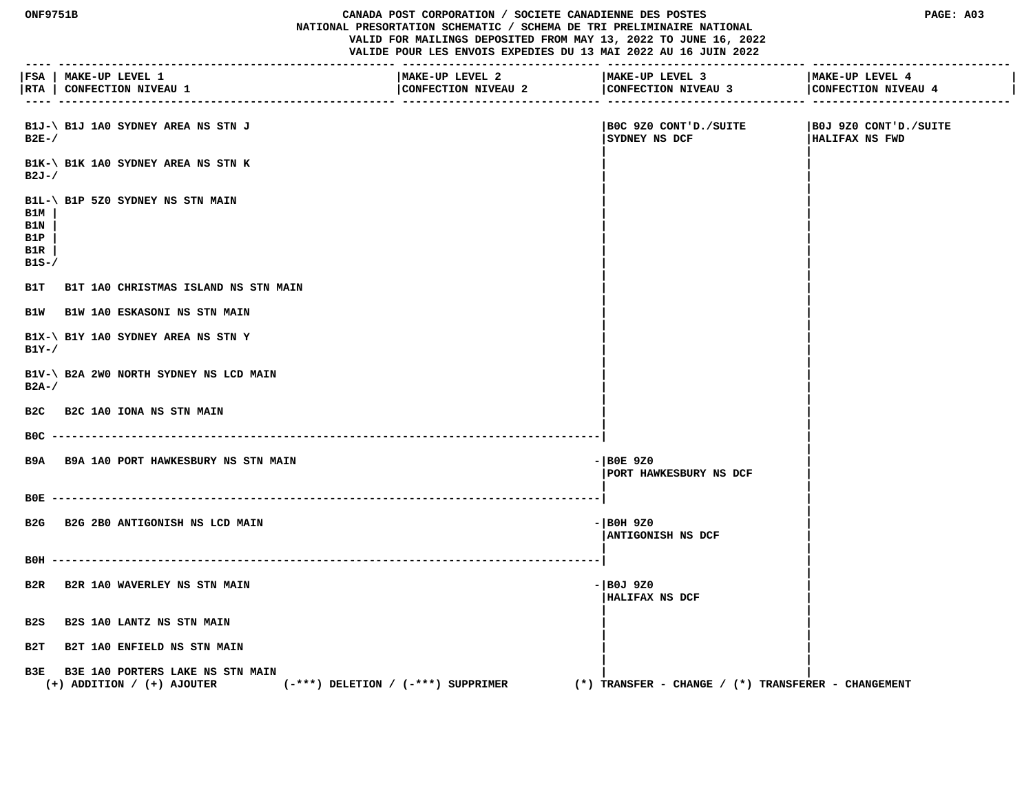#### **ONF9751B CANADA POST CORPORATION / SOCIETE CANADIENNE DES POSTES PAGE: A03 NATIONAL PRESORTATION SCHEMATIC / SCHEMA DE TRI PRELIMINAIRE NATIONAL VALID FOR MAILINGS DEPOSITED FROM MAY 13, 2022 TO JUNE 16, 2022 VALIDE POUR LES ENVOIS EXPEDIES DU 13 MAI 2022 AU 16 JUIN 2022**

 **---- --------------------------------------------------- ------------------------------ ------------------------------ ------------------------------ |FSA | MAKE-UP LEVEL 1 |MAKE-UP LEVEL 2 |MAKE-UP LEVEL 3 |MAKE-UP LEVEL 4 | |RTA | CONFECTION NIVEAU 1 |CONFECTION NIVEAU 2 |CONFECTION NIVEAU 3 |CONFECTION NIVEAU 4 | ---- --------------------------------------------------- ------------------------------ ------------------------------ ------------------------------ B1J-\ B1J 1A0 SYDNEY AREA NS STN J |B0C 9Z0 CONT'D./SUITE |B0J 9Z0 CONT'D./SUITE B2E-/ |SYDNEY NS DCF |HALIFAX NS FWD | | B1K-\ B1K 1A0 SYDNEY AREA NS STN K | | B2J-/ | | | | B1L-\ B1P 5Z0 SYDNEY NS STN MAIN | | B1M | | | B1N | | | B1P | | | B1R | | | B1S-/**  $\blacksquare$  **| | B1T B1T 1A0 CHRISTMAS ISLAND NS STN MAIN | | B1W B1W 1A0 ESKASONI NS STN MAIN | | | | B1X-\ B1Y 1A0 SYDNEY AREA NS STN Y | | B1Y-/**  $\qquad \qquad$  |  **| | B1V-\ B2A 2W0 NORTH SYDNEY NS LCD MAIN | | B2A-/ | | | | B2C B2C 1A0 IONA NS STN MAIN | | | | B0C -----------------------------------------------------------------------------------| | | B9A B9A 1A0 PORT HAWKESBURY NS STN MAIN -|B0E 9Z0 | |PORT HAWKESBURY NS DCF | | | B0E -----------------------------------------------------------------------------------| | | B2G B2G 2B0 ANTIGONISH NS LCD MAIN -|B0H 9Z0 | |ANTIGONISH NS DCF | | | B0H -----------------------------------------------------------------------------------| | | B2R B2R 1A0 WAVERLEY NS STN MAIN -|B0J 9Z0 | |HALIFAX NS DCF | | | B2S B2S 1A0 LANTZ NS STN MAIN | | | | B2T B2T 1A0 ENFIELD NS STN MAIN | | | | B3E B3E 1A0 PORTERS LAKE NS STN MAIN | | (+) ADDITION / (+) AJOUTER (-\*\*\*) DELETION / (-\*\*\*) SUPPRIMER (\*) TRANSFER - CHANGE / (\*) TRANSFERER - CHANGEMENT**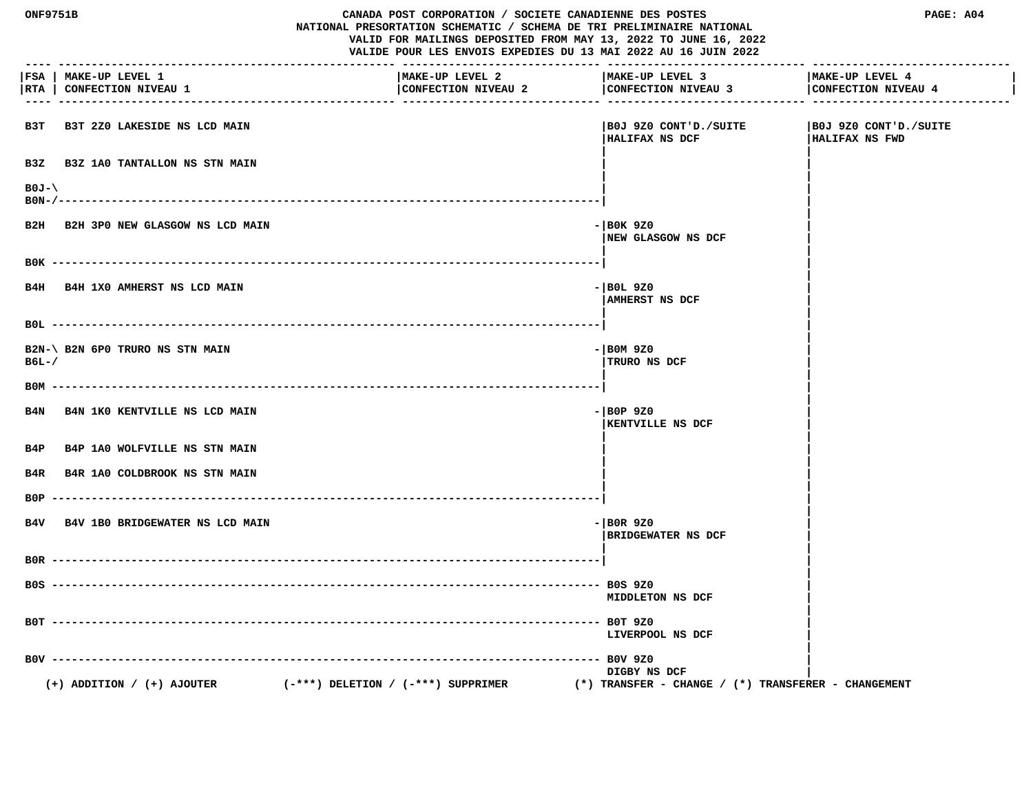| ONF9751B        |                                               |                                        | CANADA POST CORPORATION / SOCIETE CANADIENNE DES POSTES<br>NATIONAL PRESORTATION SCHEMATIC / SCHEMA DE TRI PRELIMINAIRE NATIONAL<br>VALID FOR MAILINGS DEPOSITED FROM MAY 13, 2022 TO JUNE 16, 2022<br>VALIDE POUR LES ENVOIS EXPEDIES DU 13 MAI 2022 AU 16 JUIN 2022 |                                                 |
|-----------------|-----------------------------------------------|----------------------------------------|-----------------------------------------------------------------------------------------------------------------------------------------------------------------------------------------------------------------------------------------------------------------------|-------------------------------------------------|
| FSA  <br>RTA    | MAKE-UP LEVEL 1<br><b>CONFECTION NIVEAU 1</b> | MAKE-UP LEVEL 2<br>CONFECTION NIVEAU 2 | MAKE-UP LEVEL 3<br>CONFECTION NIVEAU 3                                                                                                                                                                                                                                | MAKE-UP LEVEL 4<br>CONFECTION NIVEAU 4          |
| взт             | B3T 2Z0 LAKESIDE NS LCD MAIN                  |                                        | BOJ 9Z0 CONT'D./SUITE <br>HALIFAX NS DCF                                                                                                                                                                                                                              | SUITE   BOJ 9Z0 CONT'D./SUITE<br>HALIFAX NS FWD |
| B3Z             | <b>B3Z 1A0 TANTALLON NS STN MAIN</b>          |                                        |                                                                                                                                                                                                                                                                       |                                                 |
| $B0J-\lambda$   |                                               |                                        |                                                                                                                                                                                                                                                                       |                                                 |
|                 | B2H B2H 3P0 NEW GLASGOW NS LCD MAIN           |                                        | - BOK 9Z0<br>NEW GLASGOW NS DCF                                                                                                                                                                                                                                       |                                                 |
|                 |                                               |                                        |                                                                                                                                                                                                                                                                       |                                                 |
|                 | B4H B4H 1X0 AMHERST NS LCD MAIN               |                                        | $-$ BOL 9Z0<br>AMHERST NS DCF                                                                                                                                                                                                                                         |                                                 |
|                 |                                               |                                        |                                                                                                                                                                                                                                                                       |                                                 |
| $B6L-$          | B2N-\ B2N 6P0 TRURO NS STN MAIN               |                                        | $-$ BOM 9Z0<br>TRURO NS DCF                                                                                                                                                                                                                                           |                                                 |
|                 |                                               |                                        |                                                                                                                                                                                                                                                                       |                                                 |
| B4N             | B4N 1KO KENTVILLE NS LCD MAIN                 |                                        | $ \overline{)$ BOP 9Z0<br><b>KENTVILLE NS DCF</b>                                                                                                                                                                                                                     |                                                 |
| B4P             | <b>B4P 1A0 WOLFVILLE NS STN MAIN</b>          |                                        |                                                                                                                                                                                                                                                                       |                                                 |
| B4R             | B4R 1A0 COLDBROOK NS STN MAIN                 |                                        |                                                                                                                                                                                                                                                                       |                                                 |
| B0P.            |                                               |                                        |                                                                                                                                                                                                                                                                       |                                                 |
|                 | B4V B4V 1B0 BRIDGEWATER NS LCD MAIN           |                                        | $-$ BOR 9Z0<br><b>BRIDGEWATER NS DCF</b>                                                                                                                                                                                                                              |                                                 |
|                 |                                               |                                        |                                                                                                                                                                                                                                                                       |                                                 |
|                 |                                               |                                        | <b>MIDDLETON NS DCF</b>                                                                                                                                                                                                                                               |                                                 |
|                 |                                               |                                        | B0T 9Z0<br>LIVERPOOL NS DCF                                                                                                                                                                                                                                           |                                                 |
| $B0V - - - - -$ |                                               |                                        | -- BOV 9Z0<br>DIGBY NS DCF                                                                                                                                                                                                                                            |                                                 |
|                 | $(+)$ ADDITION / $(+)$ AJOUTER                | $(-***)$ DELETION / $(-***)$ SUPPRIMER | $(*)$ TRANSFER - CHANGE / $(*)$ TRANSFERER - CHANGEMENT                                                                                                                                                                                                               |                                                 |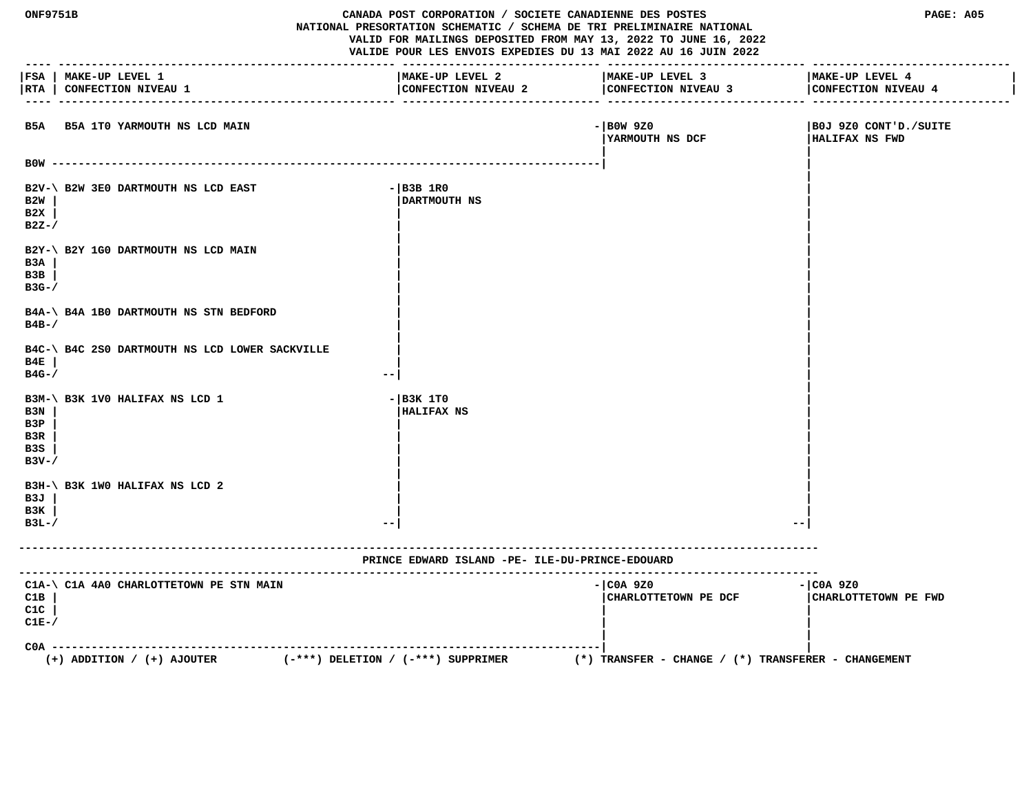| ONF9751B<br>CANADA POST CORPORATION / SOCIETE CANADIENNE DES POSTES<br>NATIONAL PRESORTATION SCHEMATIC / SCHEMA DE TRI PRELIMINAIRE NATIONAL<br>VALID FOR MAILINGS DEPOSITED FROM MAY 13, 2022 TO JUNE 16, 2022<br>VALIDE POUR LES ENVOIS EXPEDIES DU 13 MAI 2022 AU 16 JUIN 2022 |                                                                          |                                                 | PAGE: A05                                           |                                                         |
|-----------------------------------------------------------------------------------------------------------------------------------------------------------------------------------------------------------------------------------------------------------------------------------|--------------------------------------------------------------------------|-------------------------------------------------|-----------------------------------------------------|---------------------------------------------------------|
| RTA                                                                                                                                                                                                                                                                               | FSA   MAKE-UP LEVEL 1<br><b>CONFECTION NIVEAU 1</b>                      | MAKE-UP LEVEL 2<br>CONFECTION NIVEAU 2          | MAKE-UP LEVEL 3<br>CONFECTION NIVEAU 3              | MAKE-UP LEVEL 4<br>CONFECTION NIVEAU 4<br>-- ---------- |
|                                                                                                                                                                                                                                                                                   | B5A B5A 1T0 YARMOUTH NS LCD MAIN                                         |                                                 | $-$ BOW 9Z0<br><b>IYARMOUTH NS DCF</b>              | B0J 9Z0 CONT'D./SUITE<br>HALIFAX NS FWD                 |
|                                                                                                                                                                                                                                                                                   |                                                                          |                                                 |                                                     |                                                         |
| B2W<br>B2X<br>$B2Z-$                                                                                                                                                                                                                                                              | B2V-\ B2W 3E0 DARTMOUTH NS LCD EAST                                      | $-$ B3B 1R0<br>DARTMOUTH NS                     |                                                     |                                                         |
| B3A<br>B3B<br>$B3G-$ /                                                                                                                                                                                                                                                            | B2Y-\ B2Y 1G0 DARTMOUTH NS LCD MAIN                                      |                                                 |                                                     |                                                         |
| $B4B-$ /                                                                                                                                                                                                                                                                          | B4A-\ B4A 1B0 DARTMOUTH NS STN BEDFORD                                   |                                                 |                                                     |                                                         |
| B4E<br>$B4G-$ /                                                                                                                                                                                                                                                                   | B4C-\ B4C 2S0 DARTMOUTH NS LCD LOWER SACKVILLE                           |                                                 |                                                     |                                                         |
| B3N<br>B3P<br>B3R<br>B3S<br>$B3V - /$                                                                                                                                                                                                                                             | B3M-\ B3K 1V0 HALIFAX NS LCD 1                                           | $ B3K$ 1TO<br><b>HALIFAX NS</b>                 |                                                     |                                                         |
| B3J<br>B3K<br>$B3L-$                                                                                                                                                                                                                                                              | B3H-\ B3K 1WO HALIFAX NS LCD 2                                           | $ -$                                            |                                                     |                                                         |
|                                                                                                                                                                                                                                                                                   |                                                                          | PRINCE EDWARD ISLAND -PE- ILE-DU-PRINCE-EDOUARD |                                                     |                                                         |
| C1B<br>C1C<br>$CLE-$                                                                                                                                                                                                                                                              | C1A-\ C1A 4A0 CHARLOTTETOWN PE STN MAIN                                  |                                                 | - COA 9Z0<br>CHARLOTTETOWN PE DCF                   | $ COA$ 9Z0<br>CHARLOTTETOWN PE FWD                      |
| $COA -$                                                                                                                                                                                                                                                                           | $(-***)$ DELETION / $(-***)$ SUPPRIMER<br>$(+)$ ADDITION / $(+)$ AJOUTER |                                                 | (*) TRANSFER - CHANGE / (*) TRANSFERER - CHANGEMENT |                                                         |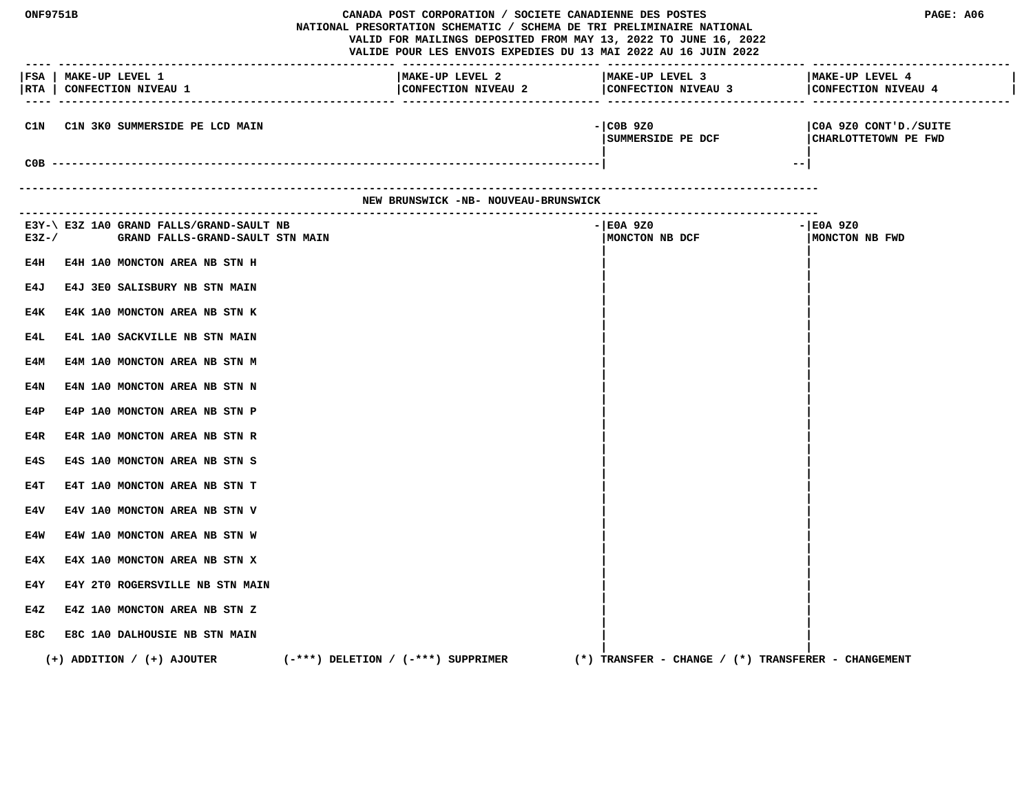| ONF9751B    |                                                                              | CANADA POST CORPORATION / SOCIETE CANADIENNE DES POSTES<br>NATIONAL PRESORTATION SCHEMATIC / SCHEMA DE TRI PRELIMINAIRE NATIONAL<br>VALID FOR MAILINGS DEPOSITED FROM MAY 13, 2022 TO JUNE 16, 2022<br>VALIDE POUR LES ENVOIS EXPEDIES DU 13 MAI 2022 AU 16 JUIN 2022 | PAGE: A06                                                                      |                                               |
|-------------|------------------------------------------------------------------------------|-----------------------------------------------------------------------------------------------------------------------------------------------------------------------------------------------------------------------------------------------------------------------|--------------------------------------------------------------------------------|-----------------------------------------------|
| $- - - - -$ | FSA   MAKE-UP LEVEL 1<br> RTA   CONFECTION NIVEAU 1                          | MAKE-UP LEVEL 2                                                                                                                                                                                                                                                       | MAKE-UP LEVEL 3<br>CONFECTION NIVEAU 2 CONFECTION NIVEAU 3 CONFECTION NIVEAU 4 | MAKE-UP LEVEL 4                               |
| C1N         | C1N 3K0 SUMMERSIDE PE LCD MAIN                                               |                                                                                                                                                                                                                                                                       | $-$ COB 9Z0<br>SUMMERSIDE PE DCF                                               | COA 9Z0 CONT'D./SUITE<br>CHARLOTTETOWN PE FWD |
|             |                                                                              |                                                                                                                                                                                                                                                                       |                                                                                | $- -$                                         |
|             |                                                                              | NEW BRUNSWICK -NB- NOUVEAU-BRUNSWICK                                                                                                                                                                                                                                  |                                                                                |                                               |
| $E3Z-$      | E3Y-\ E3Z 1A0 GRAND FALLS/GRAND-SAULT NB<br>GRAND FALLS-GRAND-SAULT STN MAIN |                                                                                                                                                                                                                                                                       | - E0A 9Z0<br>MONCTON NB DCF                                                    | $-$ EOA 9Z0<br>MONCTON NB FWD                 |
| E4H         | E4H 1A0 MONCTON AREA NB STN H                                                |                                                                                                                                                                                                                                                                       |                                                                                |                                               |
| E4J         | E4J 3E0 SALISBURY NB STN MAIN                                                |                                                                                                                                                                                                                                                                       |                                                                                |                                               |
| E4K         | E4K 1A0 MONCTON AREA NB STN K                                                |                                                                                                                                                                                                                                                                       |                                                                                |                                               |
| E4L         | E4L 1A0 SACKVILLE NB STN MAIN                                                |                                                                                                                                                                                                                                                                       |                                                                                |                                               |
| E4M         | E4M 1A0 MONCTON AREA NB STN M                                                |                                                                                                                                                                                                                                                                       |                                                                                |                                               |
| E4N         | E4N 1A0 MONCTON AREA NB STN N                                                |                                                                                                                                                                                                                                                                       |                                                                                |                                               |
| E4P         | E4P 1A0 MONCTON AREA NB STN P                                                |                                                                                                                                                                                                                                                                       |                                                                                |                                               |
| E4R         | E4R 1A0 MONCTON AREA NB STN R                                                |                                                                                                                                                                                                                                                                       |                                                                                |                                               |
| E4S         | E4S 1A0 MONCTON AREA NB STN S                                                |                                                                                                                                                                                                                                                                       |                                                                                |                                               |
| E4T         | E4T 1A0 MONCTON AREA NB STN T                                                |                                                                                                                                                                                                                                                                       |                                                                                |                                               |
| E4V         | E4V 1A0 MONCTON AREA NB STN V                                                |                                                                                                                                                                                                                                                                       |                                                                                |                                               |
| E4W         | E4W 1A0 MONCTON AREA NB STN W                                                |                                                                                                                                                                                                                                                                       |                                                                                |                                               |
| E4X         | E4X 1A0 MONCTON AREA NB STN X                                                |                                                                                                                                                                                                                                                                       |                                                                                |                                               |
| E4Y         | E4Y 2T0 ROGERSVILLE NB STN MAIN                                              |                                                                                                                                                                                                                                                                       |                                                                                |                                               |
| E4Z         | E4Z 1A0 MONCTON AREA NB STN Z                                                |                                                                                                                                                                                                                                                                       |                                                                                |                                               |
| E8C         | E8C 1A0 DALHOUSIE NB STN MAIN                                                |                                                                                                                                                                                                                                                                       |                                                                                |                                               |
|             | $(+)$ ADDITION / $(+)$ AJOUTER                                               | $(-***)$ DELETION / $(-***)$ SUPPRIMER                                                                                                                                                                                                                                | $(*)$ TRANSFER - CHANGE / $(*)$ TRANSFERER - CHANGEMENT                        |                                               |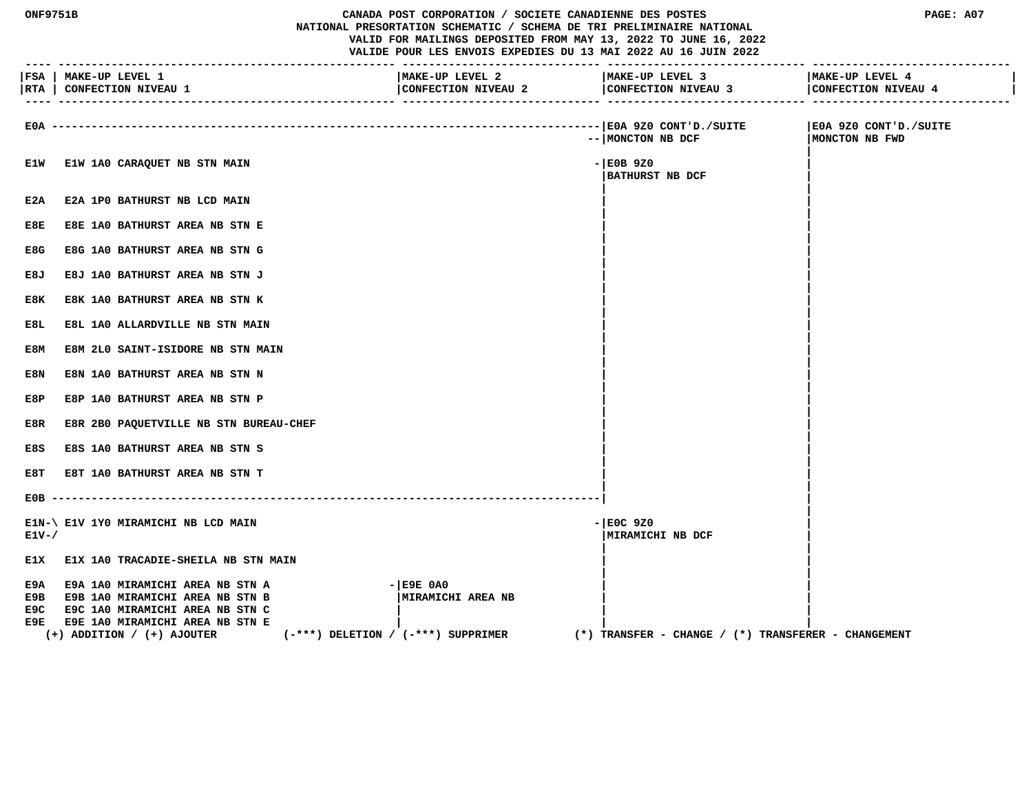| <b>ONF9751B</b>           |                                                                                                                                                                                   | CANADA POST CORPORATION / SOCIETE CANADIENNE DES POSTES<br>NATIONAL PRESORTATION SCHEMATIC / SCHEMA DE TRI PRELIMINAIRE NATIONAL<br>VALID FOR MAILINGS DEPOSITED FROM MAY 13, 2022 TO JUNE 16, 2022<br>VALIDE POUR LES ENVOIS EXPEDIES DU 13 MAI 2022 AU 16 JUIN 2022 |                                                     | PAGE: A07                               |
|---------------------------|-----------------------------------------------------------------------------------------------------------------------------------------------------------------------------------|-----------------------------------------------------------------------------------------------------------------------------------------------------------------------------------------------------------------------------------------------------------------------|-----------------------------------------------------|-----------------------------------------|
|                           | FSA   MAKE-UP LEVEL 1<br>RTA   CONFECTION NIVEAU 1                                                                                                                                | MAKE-UP LEVEL 2<br>CONFECTION NIVEAU 2                                                                                                                                                                                                                                | MAKE-UP LEVEL 3<br>CONFECTION NIVEAU 3              | MAKE-UP LEVEL 4<br>CONFECTION NIVEAU 4  |
| $E0A - -$                 |                                                                                                                                                                                   |                                                                                                                                                                                                                                                                       | -- MONCTON NB DCF                                   | E0A 9Z0 CONT'D./SUITE<br>MONCTON NB FWD |
| E1W                       | E1W 1A0 CARAQUET NB STN MAIN                                                                                                                                                      |                                                                                                                                                                                                                                                                       | $-$ EOB 9Z0<br><b>BATHURST NB DCF</b>               |                                         |
| E2A                       | E2A 1PO BATHURST NB LCD MAIN                                                                                                                                                      |                                                                                                                                                                                                                                                                       |                                                     |                                         |
| E8E                       | E8E 1A0 BATHURST AREA NB STN E                                                                                                                                                    |                                                                                                                                                                                                                                                                       |                                                     |                                         |
| E8G                       | E8G 1A0 BATHURST AREA NB STN G                                                                                                                                                    |                                                                                                                                                                                                                                                                       |                                                     |                                         |
| E8J                       | E8J 1A0 BATHURST AREA NB STN J                                                                                                                                                    |                                                                                                                                                                                                                                                                       |                                                     |                                         |
| E8K                       | E8K 1A0 BATHURST AREA NB STN K                                                                                                                                                    |                                                                                                                                                                                                                                                                       |                                                     |                                         |
| E8L                       | E8L 1A0 ALLARDVILLE NB STN MAIN                                                                                                                                                   |                                                                                                                                                                                                                                                                       |                                                     |                                         |
| E8M                       | E8M 2L0 SAINT-ISIDORE NB STN MAIN                                                                                                                                                 |                                                                                                                                                                                                                                                                       |                                                     |                                         |
| E8N                       | E8N 1A0 BATHURST AREA NB STN N                                                                                                                                                    |                                                                                                                                                                                                                                                                       |                                                     |                                         |
| E8P                       | E8P 1A0 BATHURST AREA NB STN P                                                                                                                                                    |                                                                                                                                                                                                                                                                       |                                                     |                                         |
| E8R                       | E8R 2B0 PAQUETVILLE NB STN BUREAU-CHEF                                                                                                                                            |                                                                                                                                                                                                                                                                       |                                                     |                                         |
| E8S                       | E8S 1A0 BATHURST AREA NB STN S                                                                                                                                                    |                                                                                                                                                                                                                                                                       |                                                     |                                         |
| E8T                       | E8T 1A0 BATHURST AREA NB STN T                                                                                                                                                    |                                                                                                                                                                                                                                                                       |                                                     |                                         |
| E0B                       |                                                                                                                                                                                   |                                                                                                                                                                                                                                                                       |                                                     |                                         |
| $E1V-$                    | E1N-\ E1V 1Y0 MIRAMICHI NB LCD MAIN                                                                                                                                               |                                                                                                                                                                                                                                                                       | $-$ E0C 9Z0<br>MIRAMICHI NB DCF                     |                                         |
| E1X.                      | <b>E1X 1A0 TRACADIE-SHEILA NB STN MAIN</b>                                                                                                                                        |                                                                                                                                                                                                                                                                       |                                                     |                                         |
| E9A<br>E9B<br>E9C<br>E9E. | <b>E9A 1A0 MIRAMICHI AREA NB STN A</b><br>E9B 1A0 MIRAMICHI AREA NB STN B<br>E9C 1A0 MIRAMICHI AREA NB STN C<br>E9E 1A0 MIRAMICHI AREA NB STN E<br>$(+)$ ADDITION / $(+)$ AJOUTER | $ E9E$ $0A0$<br>MIRAMICHI AREA NB<br>$(-***)$ DELETION / $(-***)$ SUPPRIMER                                                                                                                                                                                           | (*) TRANSFER - CHANGE / (*) TRANSFERER - CHANGEMENT |                                         |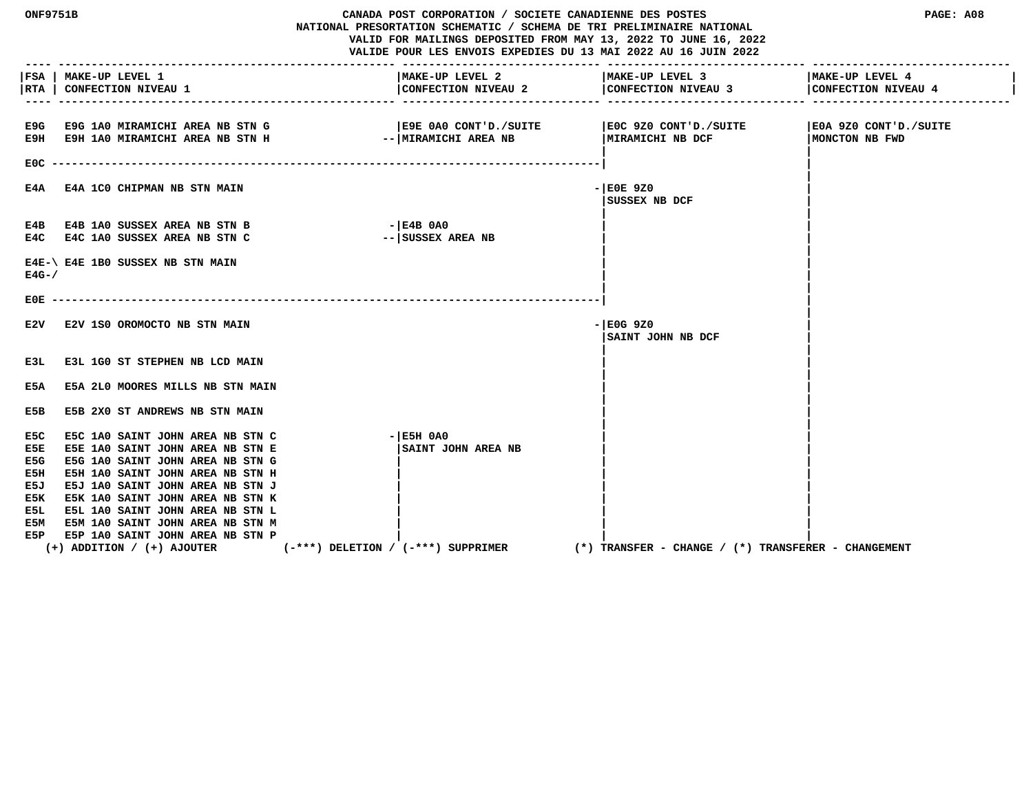| <b>ONF9751B</b>                                                                                                                                                                                                                                                                                                                                                                                                                   | CANADA POST CORPORATION / SOCIETE CANADIENNE DES POSTES<br>NATIONAL PRESORTATION SCHEMATIC / SCHEMA DE TRI PRELIMINAIRE NATIONAL<br>VALID FOR MAILINGS DEPOSITED FROM MAY 13, 2022 TO JUNE 16, 2022<br>VALIDE POUR LES ENVOIS EXPEDIES DU 13 MAI 2022 AU 16 JUIN 2022 |                                                     | PAGE: A08                               |
|-----------------------------------------------------------------------------------------------------------------------------------------------------------------------------------------------------------------------------------------------------------------------------------------------------------------------------------------------------------------------------------------------------------------------------------|-----------------------------------------------------------------------------------------------------------------------------------------------------------------------------------------------------------------------------------------------------------------------|-----------------------------------------------------|-----------------------------------------|
| FSA   MAKE-UP LEVEL 1<br><b>CONFECTION NIVEAU 1</b><br> RTA                                                                                                                                                                                                                                                                                                                                                                       | MAKE-UP LEVEL 2                                                                                                                                                                                                                                                       | MAKE-UP LEVEL 3                                     | MAKE-UP LEVEL 4                         |
| E9H E9H 1A0 MIRAMICHI AREA NB STN H<br>E0C -                                                                                                                                                                                                                                                                                                                                                                                      | E9G E9G 1A0 MIRAMICHI AREA NB STN G (E9E 0A0 CONT'D./SUITE<br>--   MIRAMICHI AREA NB                                                                                                                                                                                  | SUITE 320 CONT'D./SUITE<br>MIRAMICHI NB DCF         | E0A 9Z0 CONT'D./SUITE<br>MONCTON NB FWD |
| <b>E4A 1CO CHIPMAN NB STN MAIN</b><br>E4A                                                                                                                                                                                                                                                                                                                                                                                         |                                                                                                                                                                                                                                                                       | $-$ EOE 9Z0<br>SUSSEX NB DCF                        |                                         |
| <b>E4B 1A0 SUSSEX AREA NB STN B</b><br>E4B<br>E4C E4C 1A0 SUSSEX AREA NB STN C                                                                                                                                                                                                                                                                                                                                                    | $ E4B$ 0A0<br>-- SUSSEX AREA NB                                                                                                                                                                                                                                       |                                                     |                                         |
| E4E-\ E4E 1B0 SUSSEX NB STN MAIN<br>$E4G - /$                                                                                                                                                                                                                                                                                                                                                                                     |                                                                                                                                                                                                                                                                       |                                                     |                                         |
| E0E.                                                                                                                                                                                                                                                                                                                                                                                                                              |                                                                                                                                                                                                                                                                       |                                                     |                                         |
| E2V 1S0 OROMOCTO NB STN MAIN<br>E2V                                                                                                                                                                                                                                                                                                                                                                                               |                                                                                                                                                                                                                                                                       | - E0G 9Z0<br>SAINT JOHN NB DCF                      |                                         |
| E3L 1G0 ST STEPHEN NB LCD MAIN<br>E3L                                                                                                                                                                                                                                                                                                                                                                                             |                                                                                                                                                                                                                                                                       |                                                     |                                         |
| E5A<br>E5A 2L0 MOORES MILLS NB STN MAIN                                                                                                                                                                                                                                                                                                                                                                                           |                                                                                                                                                                                                                                                                       |                                                     |                                         |
| E5B 2X0 ST ANDREWS NB STN MAIN<br>E5B                                                                                                                                                                                                                                                                                                                                                                                             |                                                                                                                                                                                                                                                                       |                                                     |                                         |
| E5C 1A0 SAINT JOHN AREA NB STN C<br>E5C<br>E5E 1A0 SAINT JOHN AREA NB STN E<br>E5E<br>E5G 1A0 SAINT JOHN AREA NB STN G<br>E5G<br>E5H 1A0 SAINT JOHN AREA NB STN H<br>E5H<br>E5J 1A0 SAINT JOHN AREA NB STN J<br>E5J<br>E5K 1A0 SAINT JOHN AREA NB STN K<br>E5K<br>E5L 1A0 SAINT JOHN AREA NB STN L<br>E5L<br>E5M 1A0 SAINT JOHN AREA NB STN M<br>E5M<br>E5P 1A0 SAINT JOHN AREA NB STN P<br>E5P<br>$(+)$ ADDITION / $(+)$ AJOUTER | $ E5H$ $0A0$<br><b>SAINT JOHN AREA NB</b><br>$(-***)$ DELETION / $(-***)$ SUPPRIMER                                                                                                                                                                                   | (*) TRANSFER - CHANGE / (*) TRANSFERER - CHANGEMENT |                                         |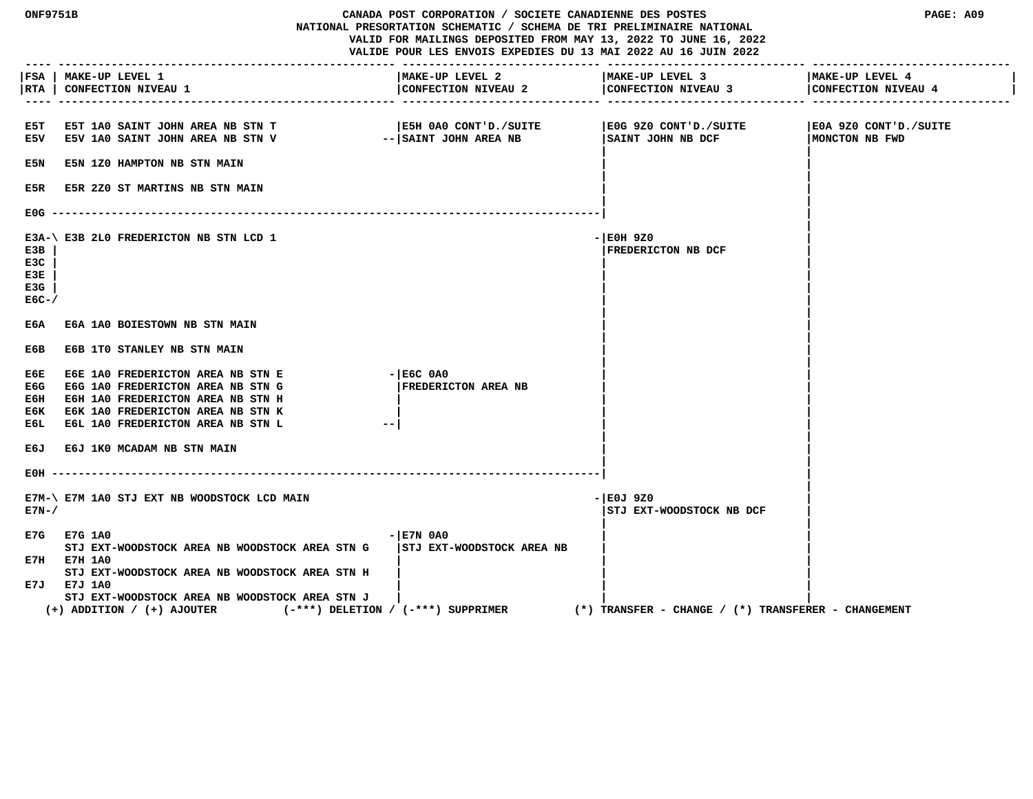| <b>ONF9751B</b>                    |                                                                                                                                                                                       | CANADA POST CORPORATION / SOCIETE CANADIENNE DES POSTES<br>NATIONAL PRESORTATION SCHEMATIC / SCHEMA DE TRI PRELIMINAIRE NATIONAL<br>VALID FOR MAILINGS DEPOSITED FROM MAY 13, 2022 TO JUNE 16, 2022<br>VALIDE POUR LES ENVOIS EXPEDIES DU 13 MAI 2022 AU 16 JUIN 2022 |                                                         | PAGE: A09                               |
|------------------------------------|---------------------------------------------------------------------------------------------------------------------------------------------------------------------------------------|-----------------------------------------------------------------------------------------------------------------------------------------------------------------------------------------------------------------------------------------------------------------------|---------------------------------------------------------|-----------------------------------------|
| <b>RTA</b>                         | FSA   MAKE-UP LEVEL 1<br><b>CONFECTION NIVEAU 1</b>                                                                                                                                   | MAKE-UP LEVEL 2<br>CONFECTION NIVEAU 2                                                                                                                                                                                                                                | MAKE-UP LEVEL 3<br>CONFECTION NIVEAU 3                  | MAKE-UP LEVEL 4<br>CONFECTION NIVEAU 4  |
| E5T<br>E5V                         | E5T 1A0 SAINT JOHN AREA NB STN T<br>E5V 1A0 SAINT JOHN AREA NB STN V                                                                                                                  | E5H 0A0 CONT'D./SUITE<br>-- SAINT JOHN AREA NB                                                                                                                                                                                                                        | E0G 9Z0 CONT'D./SUITE<br>SAINT JOHN NB DCF              | E0A 9Z0 CONT'D./SUITE<br>MONCTON NB FWD |
| E5N                                | E5N 1Z0 HAMPTON NB STN MAIN                                                                                                                                                           |                                                                                                                                                                                                                                                                       |                                                         |                                         |
| E5R                                | <b>E5R 2Z0 ST MARTINS NB STN MAIN</b>                                                                                                                                                 |                                                                                                                                                                                                                                                                       |                                                         |                                         |
| E0G.                               |                                                                                                                                                                                       | ---------------------------                                                                                                                                                                                                                                           |                                                         |                                         |
| E3B<br>E3C<br>E3E<br>E3G<br>$EGC-$ | E3A-\ E3B 2L0 FREDERICTON NB STN LCD 1                                                                                                                                                |                                                                                                                                                                                                                                                                       | - E0H 9Z0<br>FREDERICTON NB DCF                         |                                         |
| ЕбА                                | E6A 1A0 BOIESTOWN NB STN MAIN                                                                                                                                                         |                                                                                                                                                                                                                                                                       |                                                         |                                         |
| E6B                                | E6B 1TO STANLEY NB STN MAIN                                                                                                                                                           |                                                                                                                                                                                                                                                                       |                                                         |                                         |
| ЕбЕ<br>E6G<br>Е6Н.<br>Е6К<br>E6L   | E6E 1A0 FREDERICTON AREA NB STN E<br>E6G 1A0 FREDERICTON AREA NB STN G<br>E6H 1A0 FREDERICTON AREA NB STN H<br>E6K 1A0 FREDERICTON AREA NB STN K<br>E6L 1A0 FREDERICTON AREA NB STN L | $ E6C$ $0A0$<br>FREDERICTON AREA NB                                                                                                                                                                                                                                   |                                                         |                                         |
| E6J                                | E6J 1K0 MCADAM NB STN MAIN                                                                                                                                                            |                                                                                                                                                                                                                                                                       |                                                         |                                         |
| EOH                                |                                                                                                                                                                                       |                                                                                                                                                                                                                                                                       |                                                         |                                         |
| $E7N-$                             | E7M-\ E7M 1A0 STJ EXT NB WOODSTOCK LCD MAIN                                                                                                                                           |                                                                                                                                                                                                                                                                       | - E0J 9Z0<br>STJ EXT-WOODSTOCK NB DCF                   |                                         |
|                                    | E7G E7G 1A0<br>STJ EXT-WOODSTOCK AREA NB WOODSTOCK AREA STN G<br>E7H E7H 1A0<br>STJ EXT-WOODSTOCK AREA NB WOODSTOCK AREA STN H                                                        | $ E7N$ 0A0<br><b>STJ EXT-WOODSTOCK AREA NB</b>                                                                                                                                                                                                                        |                                                         |                                         |
|                                    | E7J E7J 1A0<br>STJ EXT-WOODSTOCK AREA NB WOODSTOCK AREA STN J<br>$(+)$ ADDITION / $(+)$ AJOUTER                                                                                       | $(-***)$ DELETION / $(-***)$ SUPPRIMER                                                                                                                                                                                                                                | $(*)$ TRANSFER - CHANGE / $(*)$ TRANSFERER - CHANGEMENT |                                         |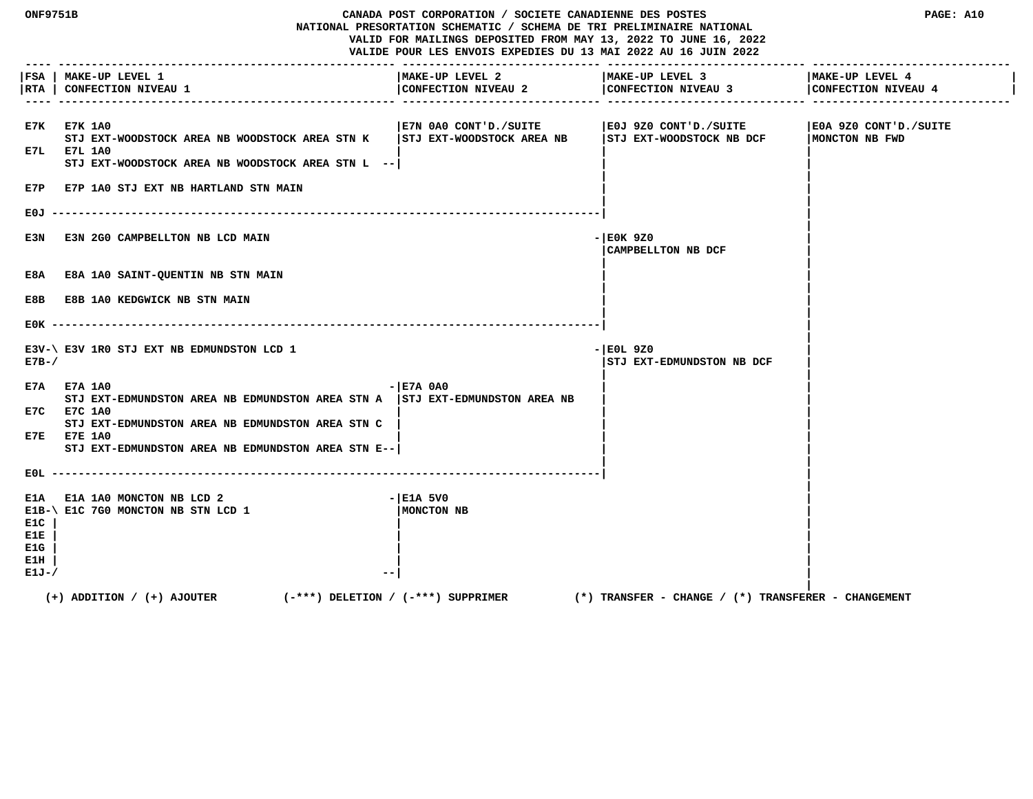| <b>ONF9751B</b>                              |                                                                                                                                                                                                                                        | CANADA POST CORPORATION / SOCIETE CANADIENNE DES POSTES<br>NATIONAL PRESORTATION SCHEMATIC / SCHEMA DE TRI PRELIMINAIRE NATIONAL<br>VALID FOR MAILINGS DEPOSITED FROM MAY 13, 2022 TO JUNE 16, 2022<br>VALIDE POUR LES ENVOIS EXPEDIES DU 13 MAI 2022 AU 16 JUIN 2022 |                                                     | PAGE: A10                               |
|----------------------------------------------|----------------------------------------------------------------------------------------------------------------------------------------------------------------------------------------------------------------------------------------|-----------------------------------------------------------------------------------------------------------------------------------------------------------------------------------------------------------------------------------------------------------------------|-----------------------------------------------------|-----------------------------------------|
| RTA                                          | FSA   MAKE-UP LEVEL 1<br><b>CONFECTION NIVEAU 1</b>                                                                                                                                                                                    | MAKE-UP LEVEL 2<br>CONFECTION NIVEAU 2                                                                                                                                                                                                                                | MAKE-UP LEVEL 3<br>CONFECTION NIVEAU 3              | MAKE-UP LEVEL 4<br>CONFECTION NIVEAU 4  |
|                                              | E7K E7K 1A0<br>STJ EXT-WOODSTOCK AREA NB WOODSTOCK AREA STN K<br>E7L E7L 1A0<br>STJ EXT-WOODSTOCK AREA NB WOODSTOCK AREA STN L --<br>E7P E7P 1A0 STJ EXT NB HARTLAND STN MAIN                                                          | E7N 0A0 CONT'D./SUITE<br>STJ EXT-WOODSTOCK AREA NB                                                                                                                                                                                                                    | EOJ 9Z0 CONT'D./SUITE<br>STJ EXT-WOODSTOCK NB DCF   | E0A 9Z0 CONT'D./SUITE<br>MONCTON NB FWD |
|                                              |                                                                                                                                                                                                                                        |                                                                                                                                                                                                                                                                       |                                                     |                                         |
| E3N                                          | E3N 2G0 CAMPBELLTON NB LCD MAIN                                                                                                                                                                                                        |                                                                                                                                                                                                                                                                       | $-$ EOK 9Z0<br>CAMPBELLTON NB DCF                   |                                         |
| E8A                                          | <b>E8A 1A0 SAINT-QUENTIN NB STN MAIN</b>                                                                                                                                                                                               |                                                                                                                                                                                                                                                                       |                                                     |                                         |
| E8B                                          | <b>E8B 1A0 KEDGWICK NB STN MAIN</b>                                                                                                                                                                                                    |                                                                                                                                                                                                                                                                       |                                                     |                                         |
|                                              |                                                                                                                                                                                                                                        |                                                                                                                                                                                                                                                                       |                                                     |                                         |
| $E7B-$                                       | E3V-\ E3V 1R0 STJ EXT NB EDMUNDSTON LCD 1                                                                                                                                                                                              |                                                                                                                                                                                                                                                                       | - EOL 9Z0<br>STJ EXT-EDMUNDSTON NB DCF              |                                         |
|                                              | E7A E7A 1A0<br>STJ EXT-EDMUNDSTON AREA NB EDMUNDSTON AREA STN A $ $ STJ EXT-EDMUNDSTON AREA NB<br>E7C E7C 1A0<br>STJ EXT-EDMUNDSTON AREA NB EDMUNDSTON AREA STN C<br>E7E E7E 1A0<br>STJ EXT-EDMUNDSTON AREA NB EDMUNDSTON AREA STN E-- | $ E7A$ $0A0$                                                                                                                                                                                                                                                          |                                                     |                                         |
|                                              | EOL ---------------                                                                                                                                                                                                                    |                                                                                                                                                                                                                                                                       |                                                     |                                         |
| E1A<br>E1C.<br>E1E.<br>E1G<br>E1H<br>$E1J-J$ | E1A 1A0 MONCTON NB LCD 2<br>E1B-\ E1C 7G0 MONCTON NB STN LCD 1                                                                                                                                                                         | $ E1A$ 5V0<br>MONCTON NB                                                                                                                                                                                                                                              |                                                     |                                         |
|                                              | $(-***)$ DELETION / $(-***)$ SUPPRIMER<br>$(+)$ ADDITION / $(+)$ AJOUTER                                                                                                                                                               |                                                                                                                                                                                                                                                                       | (*) TRANSFER – CHANGE / (*) TRANSFERER – CHANGEMENT |                                         |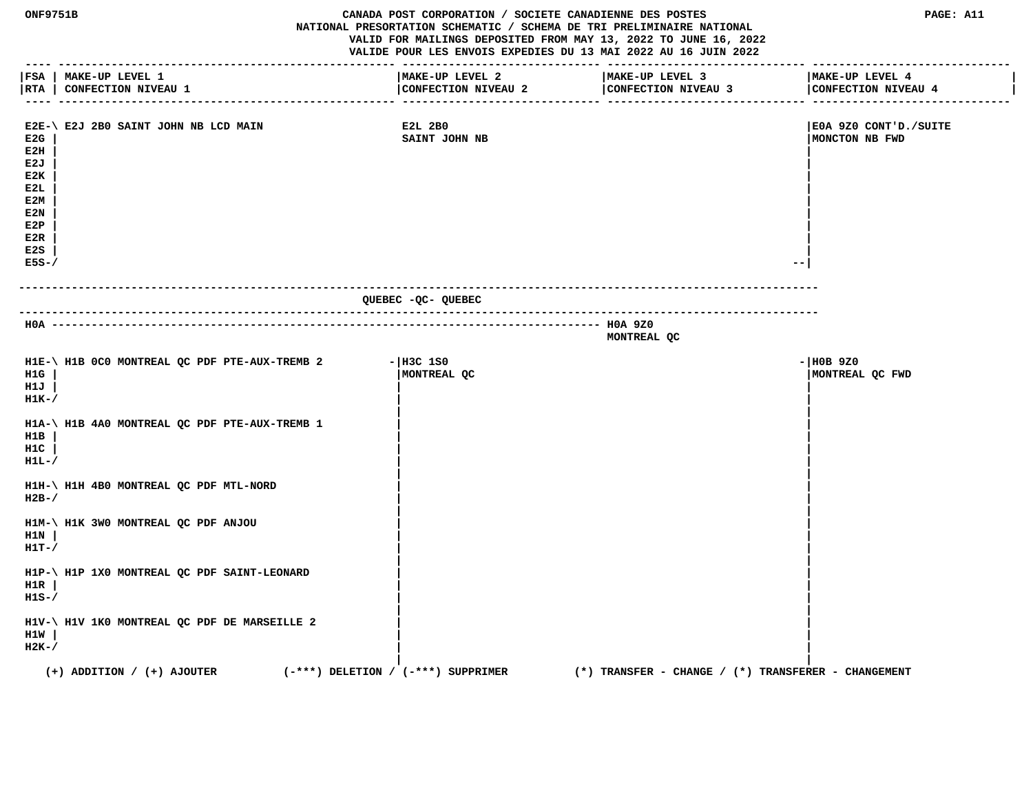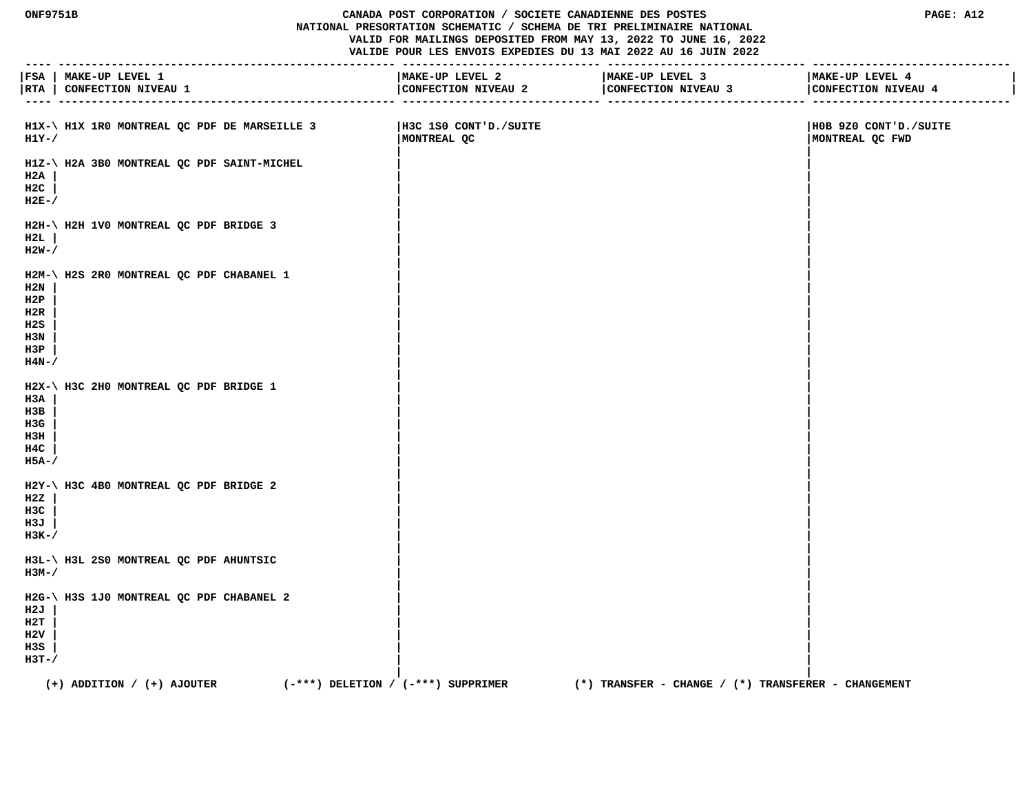#### **ONF9751B CANADA POST CORPORATION / SOCIETE CANADIENNE DES POSTES PAGE: A12 NATIONAL PRESORTATION SCHEMATIC / SCHEMA DE TRI PRELIMINAIRE NATIONAL VALID FOR MAILINGS DEPOSITED FROM MAY 13, 2022 TO JUNE 16, 2022 VALIDE POUR LES ENVOIS EXPEDIES DU 13 MAI 2022 AU 16 JUIN 2022**

|                                                          | FSA   MAKE-UP LEVEL 1<br>RTA   CONFECTION NIVEAU 1                       | MAKE-UP LEVEL 2                      | MAKE-UP LEVEL 3<br>CONFECTION NIVEAU 2 CONFECTION NIVEAU 3 | MAKE-UP LEVEL 4<br>CONFECTION NIVEAU 4   |
|----------------------------------------------------------|--------------------------------------------------------------------------|--------------------------------------|------------------------------------------------------------|------------------------------------------|
| H1Y-/                                                    | $H1X-\$ H1X 1R0 MONTREAL QC PDF DE MARSEILLE 3                           | H3C 1S0 CONT'D./SUITE<br>MONTREAL QC |                                                            | HOB 9Z0 CONT'D./SUITE<br>MONTREAL QC FWD |
| H2A<br>H2C<br>$H2E-$                                     | H1Z-\ H2A 3B0 MONTREAL QC PDF SAINT-MICHEL                               |                                      |                                                            |                                          |
| H2L<br>$H2W-$ /                                          | H2H-\ H2H 1V0 MONTREAL QC PDF BRIDGE 3                                   |                                      |                                                            |                                          |
| $_{\rm H2N}$<br>H2P<br>H2R<br>H2S<br>H3N<br>H3P<br>H4N-/ | H2M-\ H2S 2R0 MONTREAL QC PDF CHABANEL 1                                 |                                      |                                                            |                                          |
| H3A<br>нзв<br>H3G<br>нзн<br>H4C<br>H5A-/                 | H2X-\ H3C 2H0 MONTREAL QC PDF BRIDGE 1                                   |                                      |                                                            |                                          |
| H2Z<br>H3C<br>н 3 Ј<br>нзк-/                             | H2Y-\ H3C 4B0 MONTREAL QC PDF BRIDGE 2                                   |                                      |                                                            |                                          |
| нзм-/                                                    | H3L-\ H3L 2S0 MONTREAL QC PDF AHUNTSIC                                   |                                      |                                                            |                                          |
| H2J<br>н2т<br>H2V<br>H3S<br>$H3T-$                       | H2G-\ H3S 1J0 MONTREAL QC PDF CHABANEL 2                                 |                                      |                                                            |                                          |
|                                                          | $(+)$ ADDITION / $(+)$ AJOUTER<br>$(-***)$ DELETION / $(-***)$ SUPPRIMER |                                      | (*) TRANSFER – CHANGE / (*) TRANSFERER – CHANGEMENT        |                                          |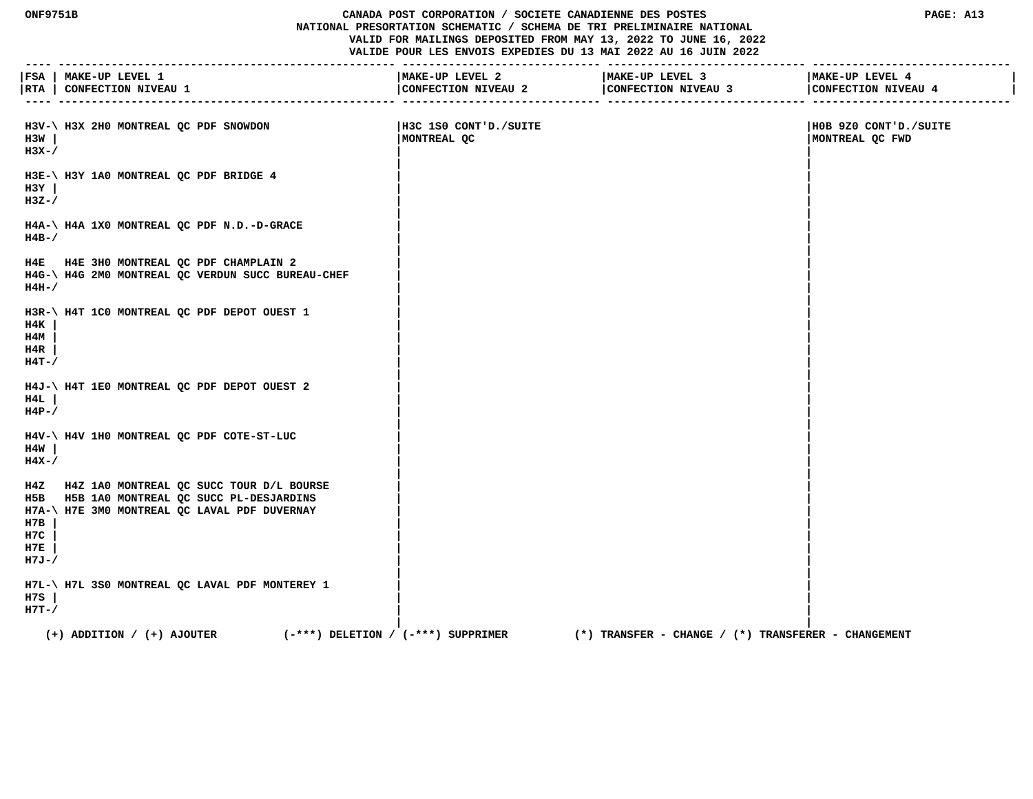## **ONF9751B CANADA POST CORPORATION / SOCIETE CANADIENNE DES POSTES PAGE: A13 NATIONAL PRESORTATION SCHEMATIC / SCHEMA DE TRI PRELIMINAIRE NATIONAL VALID FOR MAILINGS DEPOSITED FROM MAY 13, 2022 TO JUNE 16, 2022 VALIDE POUR LES ENVOIS EXPEDIES DU 13 MAI 2022 AU 16 JUIN 2022**

|            |                                                                          | -------------------   | ----------------------                                     |                       |
|------------|--------------------------------------------------------------------------|-----------------------|------------------------------------------------------------|-----------------------|
|            | FSA   MAKE-UP LEVEL 1                                                    | MAKE-UP LEVEL 2       | MAKE-UP LEVEL 3                                            | MAKE-UP LEVEL 4       |
|            | RTA   CONFECTION NIVEAU 1                                                | CONFECTION NIVEAU 2   | CONFECTION NIVEAU 3<br>. _ _ _ _ _ _ _ _ _ _ _ _ _ _ _ _ _ | CONFECTION NIVEAU 4   |
|            |                                                                          |                       | ---------------- -----------                               |                       |
|            | H3V-\ H3X 2H0 MONTREAL QC PDF SNOWDON                                    | H3C 1S0 CONT'D./SUITE |                                                            | H0B 9Z0 CONT'D./SUITE |
| H3W        |                                                                          | MONTREAL QC           |                                                            | MONTREAL QC FWD       |
| $H3X-$     |                                                                          |                       |                                                            |                       |
|            | H3E-\ H3Y 1A0 MONTREAL QC PDF BRIDGE 4                                   |                       |                                                            |                       |
| H3Y        |                                                                          |                       |                                                            |                       |
| $H3Z-$     |                                                                          |                       |                                                            |                       |
|            |                                                                          |                       |                                                            |                       |
|            | H4A-\ H4A 1X0 MONTREAL QC PDF N.D.-D-GRACE                               |                       |                                                            |                       |
| $H4B-$ /   |                                                                          |                       |                                                            |                       |
|            | H4E H4E 3H0 MONTREAL QC PDF CHAMPLAIN 2                                  |                       |                                                            |                       |
|            | H4G-\ H4G 2M0 MONTREAL QC VERDUN SUCC BUREAU-CHEF                        |                       |                                                            |                       |
| $H4H-$     |                                                                          |                       |                                                            |                       |
|            |                                                                          |                       |                                                            |                       |
| H4K        | H3R-\ H4T 1C0 MONTREAL QC PDF DEPOT OUEST 1                              |                       |                                                            |                       |
| H4M        |                                                                          |                       |                                                            |                       |
| H4R        |                                                                          |                       |                                                            |                       |
| $H4T - /$  |                                                                          |                       |                                                            |                       |
|            |                                                                          |                       |                                                            |                       |
| H4L        | H4J-\ H4T 1E0 MONTREAL QC PDF DEPOT OUEST 2                              |                       |                                                            |                       |
| $H4P-$ /   |                                                                          |                       |                                                            |                       |
|            |                                                                          |                       |                                                            |                       |
|            | H4V-\ H4V 1H0 MONTREAL QC PDF COTE-ST-LUC                                |                       |                                                            |                       |
| H4W        |                                                                          |                       |                                                            |                       |
| $H4X-$     |                                                                          |                       |                                                            |                       |
|            | H4Z H4Z 1A0 MONTREAL QC SUCC TOUR D/L BOURSE                             |                       |                                                            |                       |
|            | H5B H5B 1A0 MONTREAL QC SUCC PL-DESJARDINS                               |                       |                                                            |                       |
|            | H7A-\ H7E 3M0 MONTREAL QC LAVAL PDF DUVERNAY                             |                       |                                                            |                       |
| H7B        |                                                                          |                       |                                                            |                       |
| H7C<br>H7E |                                                                          |                       |                                                            |                       |
| $H7J-/$    |                                                                          |                       |                                                            |                       |
|            |                                                                          |                       |                                                            |                       |
|            | H7L-\ H7L 3S0 MONTREAL QC LAVAL PDF MONTEREY 1                           |                       |                                                            |                       |
| H7S        |                                                                          |                       |                                                            |                       |
| $H7T-$     |                                                                          |                       |                                                            |                       |
|            | $(+)$ ADDITION / $(+)$ AJOUTER<br>$(-***)$ DELETION / $(-***)$ SUPPRIMER |                       | $(*)$ TRANSFER - CHANGE / $(*)$ TRANSFERER - CHANGEMENT    |                       |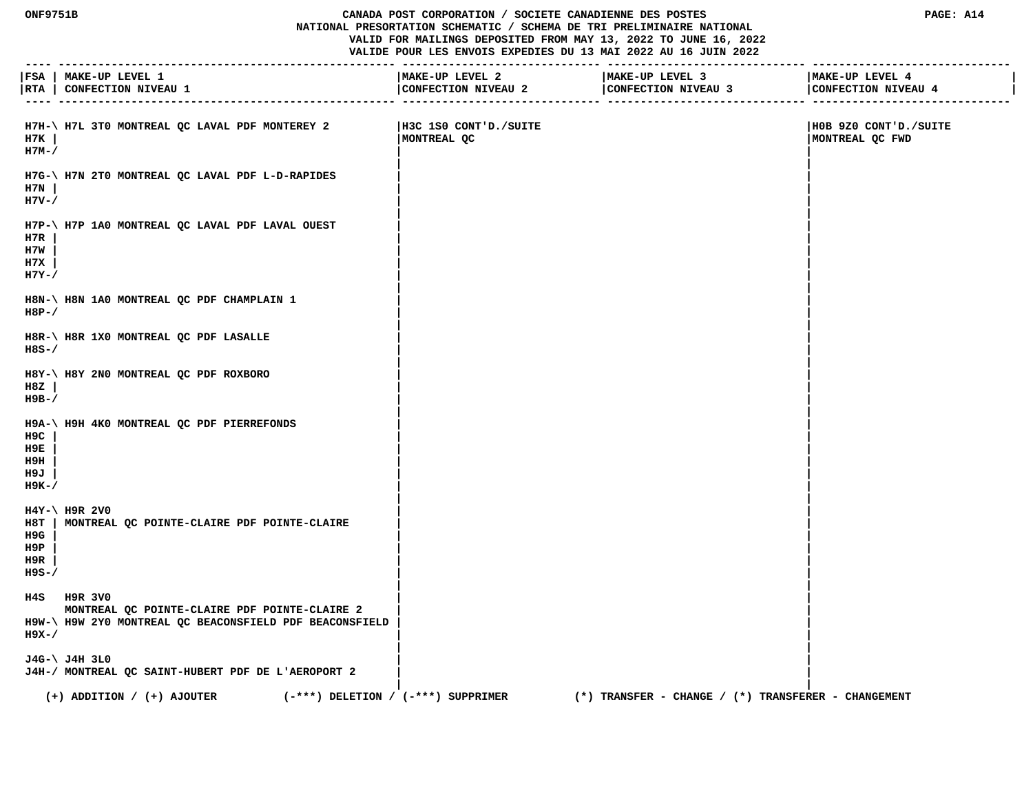## **ONF9751B CANADA POST CORPORATION / SOCIETE CANADIENNE DES POSTES PAGE: A14 NATIONAL PRESORTATION SCHEMATIC / SCHEMA DE TRI PRELIMINAIRE NATIONAL VALID FOR MAILINGS DEPOSITED FROM MAY 13, 2022 TO JUNE 16, 2022 VALIDE POUR LES ENVOIS EXPEDIES DU 13 MAI 2022 AU 16 JUIN 2022**

|                                   | FSA   MAKE-UP LEVEL 1<br> RTA   CONFECTION NIVEAU 1                                                                     | MAKE-UP LEVEL 2<br>CONFECTION NIVEAU 2 | MAKE-UP LEVEL 3<br>CONFECTION NIVEAU 3                  | MAKE-UP LEVEL 4<br>CONFECTION NIVEAU 4   |
|-----------------------------------|-------------------------------------------------------------------------------------------------------------------------|----------------------------------------|---------------------------------------------------------|------------------------------------------|
| H7K<br>$H7M-$                     | H7H-\ H7L 3T0 MONTREAL QC LAVAL PDF MONTEREY 2                                                                          | H3C 1S0 CONT'D./SUITE<br>MONTREAL QC   |                                                         | H0B 9Z0 CONT'D./SUITE<br>MONTREAL QC FWD |
| H7N  <br>$H7V - /$                | H7G-\ H7N 2T0 MONTREAL QC LAVAL PDF L-D-RAPIDES                                                                         |                                        |                                                         |                                          |
| H7R<br>H7W<br>н7х<br>$H7Y-$       | H7P-\ H7P 1A0 MONTREAL QC LAVAL PDF LAVAL OUEST                                                                         |                                        |                                                         |                                          |
| $H8P-$                            | H8N-\ H8N 1A0 MONTREAL QC PDF CHAMPLAIN 1                                                                               |                                        |                                                         |                                          |
| H8S-/                             | H8R-\ H8R 1X0 MONTREAL QC PDF LASALLE                                                                                   |                                        |                                                         |                                          |
| H8Z<br>н9в-/                      | H8Y-\ H8Y 2N0 MONTREAL QC PDF ROXBORO                                                                                   |                                        |                                                         |                                          |
| H9C<br>н9Е<br>н9н<br>H9J<br>н9к-/ | H9A-\ H9H 4K0 MONTREAL QC PDF PIERREFONDS                                                                               |                                        |                                                         |                                          |
| H9G<br>H9P<br>H9R<br>H9S-/        | $H4Y-\$ H9R 2V0<br>H8T   MONTREAL QC POINTE-CLAIRE PDF POINTE-CLAIRE                                                    |                                        |                                                         |                                          |
| н9х-/                             | H4S H9R 3V0<br>MONTREAL QC POINTE-CLAIRE PDF POINTE-CLAIRE 2<br>H9W-\ H9W 2Y0 MONTREAL QC BEACONSFIELD PDF BEACONSFIELD |                                        |                                                         |                                          |
|                                   | J4G-\ J4H 3L0<br>J4H-/ MONTREAL QC SAINT-HUBERT PDF DE L'AEROPORT 2                                                     |                                        |                                                         |                                          |
|                                   | $(-***)$ DELETION / $(-***)$ SUPPRIMER<br>$(+)$ ADDITION / $(+)$ AJOUTER                                                |                                        | $(*)$ TRANSFER - CHANGE / $(*)$ TRANSFERER - CHANGEMENT |                                          |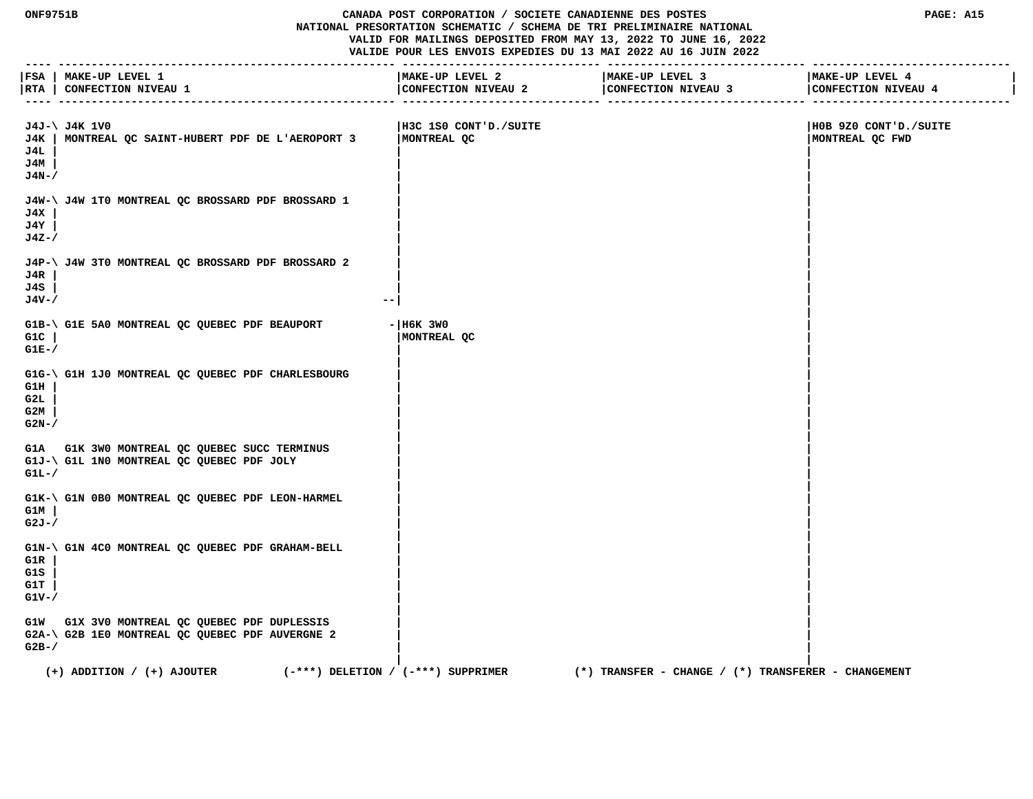## **ONF9751B CANADA POST CORPORATION / SOCIETE CANADIENNE DES POSTES PAGE: A15 NATIONAL PRESORTATION SCHEMATIC / SCHEMA DE TRI PRELIMINAIRE NATIONAL VALID FOR MAILINGS DEPOSITED FROM MAY 13, 2022 TO JUNE 16, 2022 VALIDE POUR LES ENVOIS EXPEDIES DU 13 MAI 2022 AU 16 JUIN 2022**

|                               | FSA   MAKE-UP LEVEL 1<br> RTA   CONFECTION NIVEAU 1                                             | MAKE-UP LEVEL 2<br>CONFECTION NIVEAU 2 | MAKE-UP LEVEL 3<br>CONFECTION NIVEAU 3              | MAKE-UP LEVEL 4<br>CONFECTION NIVEAU 4   |
|-------------------------------|-------------------------------------------------------------------------------------------------|----------------------------------------|-----------------------------------------------------|------------------------------------------|
| J4L<br>J4M<br>$J4N-$ /        | J4J-\ J4K 1V0<br>J4K   MONTREAL OC SAINT-HUBERT PDF DE L'AEROPORT 3                             | H3C 1S0 CONT'D./SUITE<br>MONTREAL QC   |                                                     | H0B 9Z0 CONT'D./SUITE<br>MONTREAL QC FWD |
| J4X<br>J4Y<br>J4Z-/           | J4W-\ J4W 1T0 MONTREAL QC BROSSARD PDF BROSSARD 1                                               |                                        |                                                     |                                          |
| J4R<br>J4S<br>J4V-/           | J4P-\ J4W 3T0 MONTREAL QC BROSSARD PDF BROSSARD 2<br>$ -$                                       |                                        |                                                     |                                          |
| $G1C$  <br>$GLE-$             | G1B-\ G1E 5A0 MONTREAL QC QUEBEC PDF BEAUPORT                                                   | $ H6K$ 3W0<br>MONTREAL OC              |                                                     |                                          |
| G1H<br>G2L<br>G2M<br>$G2N-$   | G1G-\ G1H 1J0 MONTREAL QC QUEBEC PDF CHARLESBOURG                                               |                                        |                                                     |                                          |
| $GLL-$                        | G1A G1K 3W0 MONTREAL QC QUEBEC SUCC TERMINUS<br>G1J-\ G1L 1N0 MONTREAL QC QUEBEC PDF JOLY       |                                        |                                                     |                                          |
| G1M<br>$G2J - /$              | G1K-\ G1N 0B0 MONTREAL QC QUEBEC PDF LEON-HARMEL                                                |                                        |                                                     |                                          |
| G1R<br>G1S<br>G1T<br>$G1V-$ / | G1N-\ G1N 4C0 MONTREAL QC QUEBEC PDF GRAHAM-BELL                                                |                                        |                                                     |                                          |
| $G2B-$                        | G1W G1X 3V0 MONTREAL QC QUEBEC PDF DUPLESSIS<br>G2A-\ G2B 1E0 MONTREAL QC QUEBEC PDF AUVERGNE 2 |                                        |                                                     |                                          |
|                               | $(+)$ ADDITION / $(+)$ AJOUTER<br>$(-***)$ DELETION / $(-***)$ SUPPRIMER                        |                                        | (*) TRANSFER - CHANGE / (*) TRANSFERER - CHANGEMENT |                                          |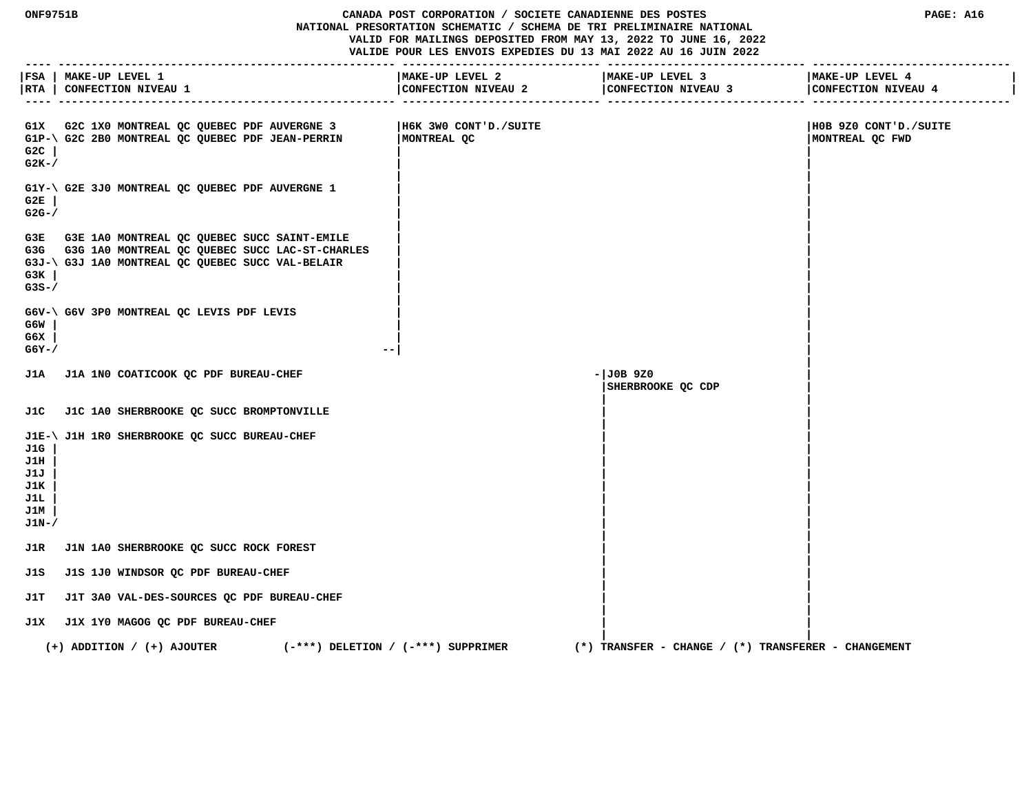**VALID FOR MAILINGS DEPOSITED FROM MAY 13, 2022 TO JUNE 16, 2022 VALIDE POUR LES ENVOIS EXPEDIES DU 13 MAI 2022 AU 16 JUIN 2022 ---- --------------------------------------------------- ------------------------------ ------------------------------ ------------------------------ |FSA | MAKE-UP LEVEL 1 |MAKE-UP LEVEL 2 |MAKE-UP LEVEL 3 |MAKE-UP LEVEL 4 | |RTA | CONFECTION NIVEAU 1 |CONFECTION NIVEAU 2 |CONFECTION NIVEAU 3 |CONFECTION NIVEAU 4 | ---- --------------------------------------------------- ------------------------------ ------------------------------ ------------------------------ G1X G2C 1X0 MONTREAL QC QUEBEC PDF AUVERGNE 3 |H6K 3W0 CONT'D./SUITE |H0B 9Z0 CONT'D./SUITE G1P-\ G2C 2B0 MONTREAL QC QUEBEC PDF JEAN-PERRIN |MONTREAL QC |MONTREAL QC FWD G2C | | | G2K-/ | | | |** G1Y-\ G2E 3J0 MONTREAL QC QUEBEC PDF AUVERGNE 1  **G2E | | | G2G-/ | | | | G3E G3E 1A0 MONTREAL QC QUEBEC SUCC SAINT-EMILE | | G3G G3G 1A0 MONTREAL QC QUEBEC SUCC LAC-ST-CHARLES | | G3J-\ G3J 1A0 MONTREAL QC QUEBEC SUCC VAL-BELAIR | | G3K | | | G3S-/ | | | | G6V-\ G6V 3P0 MONTREAL QC LEVIS PDF LEVIS | | G6W | | | G6X | | | G6Y-/ --| | | J1A J1A 1N0 COATICOOK QC PDF BUREAU-CHEF -|J0B 9Z0 | |SHERBROOKE QC CDP | | | J1C J1C 1A0 SHERBROOKE QC SUCC BROMPTONVILLE | | | | J1E-\ J1H 1R0 SHERBROOKE QC SUCC BUREAU-CHEF | | J1G | | | J1H | | | J1J | | | J1K | | | J1L | | | J1M | | | J1N-/ | | | | J1R J1N 1A0 SHERBROOKE QC SUCC ROCK FOREST | | | | J1S J1S 1J0 WINDSOR QC PDF BUREAU-CHEF | | | | J1T J1T 3A0 VAL-DES-SOURCES QC PDF BUREAU-CHEF | | | | J1X J1X 1Y0 MAGOG QC PDF BUREAU-CHEF | | | | (+) ADDITION / (+) AJOUTER (-\*\*\*) DELETION / (-\*\*\*) SUPPRIMER (\*) TRANSFER - CHANGE / (\*) TRANSFERER - CHANGEMENT**

 **ONF9751B CANADA POST CORPORATION / SOCIETE CANADIENNE DES POSTES PAGE: A16 NATIONAL PRESORTATION SCHEMATIC / SCHEMA DE TRI PRELIMINAIRE NATIONAL**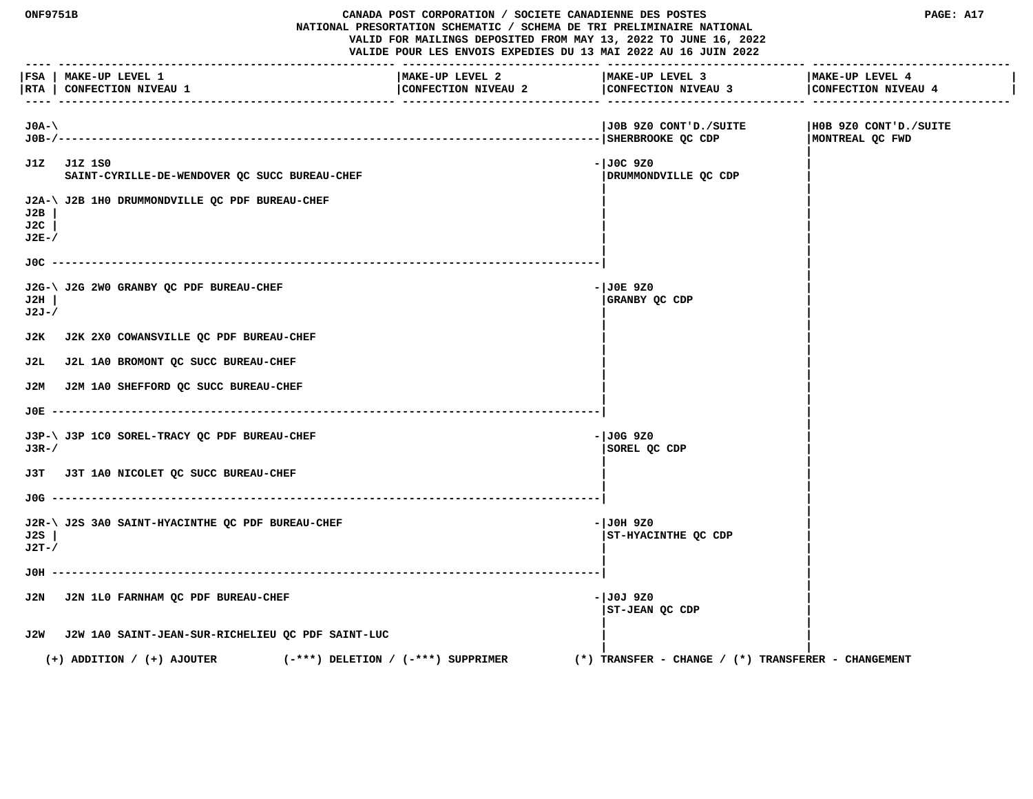**ONF9751B CANADA POST CORPORATION / SOCIETE CANADIENNE DES POSTES PAGE: A17 NATIONAL PRESORTATION SCHEMATIC / SCHEMA DE TRI PRELIMINAIRE NATIONAL VALID FOR MAILINGS DEPOSITED FROM MAY 13, 2022 TO JUNE 16, 2022 VALIDE POUR LES ENVOIS EXPEDIES DU 13 MAI 2022 AU 16 JUIN 2022 ---- --------------------------------------------------- ------------------------------ ------------------------------ ------------------------------ |FSA | MAKE-UP LEVEL 1 |MAKE-UP LEVEL 2 |MAKE-UP LEVEL 3 |MAKE-UP LEVEL 4 | |RTA | CONFECTION NIVEAU 1 |CONFECTION NIVEAU 2 |CONFECTION NIVEAU 3 |CONFECTION NIVEAU 4 | ---- --------------------------------------------------- ------------------------------ ------------------------------ ------------------------------ J0A-\ |J0B 9Z0 CONT'D./SUITE |H0B 9Z0 CONT'D./SUITE J0B-/----------------------------------------------------------------------------------|SHERBROOKE QC CDP |MONTREAL QC FWD | J1Z J1Z 1S0 -|J0C 9Z0 |** SAINT-CYRILLE-DE-WENDOVER OC SUCC BUREAU-CHEF **| DRUMMOND | DRUMMONDVILLE OC CDP | |** J2A-\ J2B 1H0 DRUMMONDVILLE QC PDF BUREAU-CHEF  **J2B | | | J2C | | | J2E-/ | | | | J0C -----------------------------------------------------------------------------------| | | J2G-\ J2G 2W0 GRANBY QC PDF BUREAU-CHEF**  $-$ **|J0E 9Z0 ||J0E 9Z0 ||J0E 9Z0 ||J0E 9Z0 ||J0E 9Z0 ||J0E 9Z0 ||J0E 9Z0 ||J0E 9Z0 ||J0E ||J0E 9Z0 ||J0E ||J0E ||J0E ||J0E ||J0E ||J0E ||J0E ||J0E ||J0E ||J0E ||J0E ||J0E ||J0E ||J0 J2H | |GRANBY QC CDP | J2J-/ | | | | J2K J2K 2X0 COWANSVILLE QC PDF BUREAU-CHEF | | | | J2L J2L 1A0 BROMONT QC SUCC BUREAU-CHEF | | | | J2M J2M 1A0 SHEFFORD QC SUCC BUREAU-CHEF | | | | J0E -----------------------------------------------------------------------------------| | | J3P-\ J3P 1C0 SOREL-TRACY OC PDF BUREAU-CHEF**  $-$  $\frac{1}{00}$  **+**  $\frac{1}{00}$  **+**  $\frac{1}{00}$  **9Z0**  $\frac{9}{20}$  **J3R-/ |SOREL QC CDP | | | J3T J3T 1A0 NICOLET QC SUCC BUREAU-CHEF | | | | J0G -----------------------------------------------------------------------------------| | | J2R-\ J2S 3A0 SAINT-HYACINTHE QC PDF BUREAU-CHEF**  $\overline{ }$  **-**  $\overline{ }$  **-**  $\overline{ }$  **-**  $\overline{ }$  **J0H 9Z0 J2S | |ST-HYACINTHE QC CDP | J2T-/ | | | | J0H -----------------------------------------------------------------------------------| | | J2N J2N 1L0 FARNHAM QC PDF BUREAU-CHEF 600 CONTRACT 100 CONTRACT 100 CONTRACT 100J 9Z0 |ST-JEAN QC CDP | | | J2W J2W 1A0 SAINT-JEAN-SUR-RICHELIEU QC PDF SAINT-LUC | | | | (+) ADDITION / (+) AJOUTER (-\*\*\*) DELETION / (-\*\*\*) SUPPRIMER (\*) TRANSFER - CHANGE / (\*) TRANSFERER - CHANGEMENT**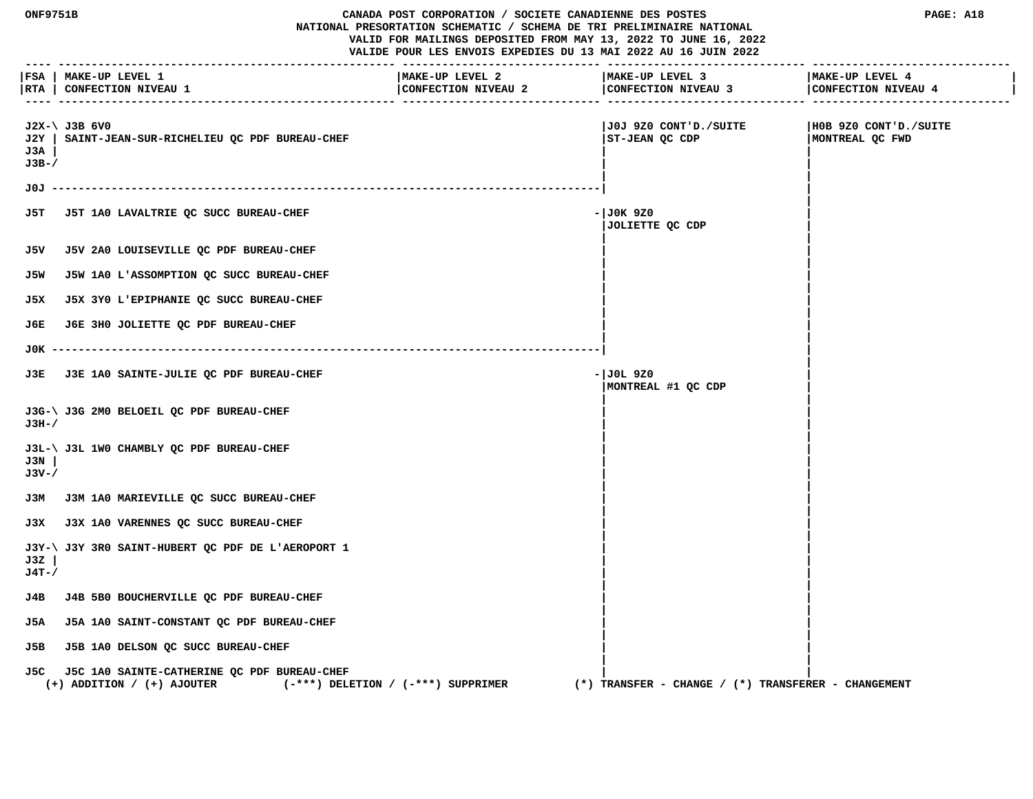|                        | ONF9751B<br>CANADA POST CORPORATION / SOCIETE CANADIENNE DES POSTES<br>NATIONAL PRESORTATION SCHEMATIC / SCHEMA DE TRI PRELIMINAIRE NATIONAL<br>VALID FOR MAILINGS DEPOSITED FROM MAY 13, 2022 TO JUNE 16, 2022<br>VALIDE POUR LES ENVOIS EXPEDIES DU 13 MAI 2022 AU 16 JUIN 2022 |                                        |                                                         | PAGE: A18                                |
|------------------------|-----------------------------------------------------------------------------------------------------------------------------------------------------------------------------------------------------------------------------------------------------------------------------------|----------------------------------------|---------------------------------------------------------|------------------------------------------|
| $- - - -$              | FSA   MAKE-UP LEVEL 1<br> RTA   CONFECTION NIVEAU 1                                                                                                                                                                                                                               | MAKE-UP LEVEL 2<br>CONFECTION NIVEAU 2 | MAKE-UP LEVEL 3<br>CONFECTION NIVEAU 3                  | MAKE-UP LEVEL 4<br>CONFECTION NIVEAU 4   |
| J2Y  <br>J3A<br>$J3B-$ | $J2X-\  J3B$ 6V0<br>SAINT-JEAN-SUR-RICHELIEU QC PDF BUREAU-CHEF                                                                                                                                                                                                                   |                                        | J0J 9Z0 CONT'D./SUITE <br>ST-JEAN QC CDP                | HOB 9Z0 CONT'D./SUITE<br>MONTREAL QC FWD |
|                        |                                                                                                                                                                                                                                                                                   |                                        |                                                         |                                          |
| J5T.                   | J5T 1A0 LAVALTRIE QC SUCC BUREAU-CHEF                                                                                                                                                                                                                                             |                                        | - JOK 9Z0<br>JOLIETTE QC CDP                            |                                          |
| J5V                    | J5V 2A0 LOUISEVILLE QC PDF BUREAU-CHEF                                                                                                                                                                                                                                            |                                        |                                                         |                                          |
| J5W                    | J5W 1A0 L'ASSOMPTION QC SUCC BUREAU-CHEF                                                                                                                                                                                                                                          |                                        |                                                         |                                          |
| J5X                    | J5X 3Y0 L'EPIPHANIE QC SUCC BUREAU-CHEF                                                                                                                                                                                                                                           |                                        |                                                         |                                          |
| J6E.                   | J6E 3H0 JOLIETTE QC PDF BUREAU-CHEF                                                                                                                                                                                                                                               |                                        |                                                         |                                          |
| J0K -                  |                                                                                                                                                                                                                                                                                   |                                        |                                                         |                                          |
| J3E.                   | J3E 1A0 SAINTE-JULIE QC PDF BUREAU-CHEF                                                                                                                                                                                                                                           |                                        | - JOL 9Z0<br>MONTREAL #1 QC CDP                         |                                          |
| J3H-/                  | J3G-\ J3G 2M0 BELOEIL QC PDF BUREAU-CHEF                                                                                                                                                                                                                                          |                                        |                                                         |                                          |
| J3N<br>J3V-/           | J3L-\ J3L 1W0 CHAMBLY QC PDF BUREAU-CHEF                                                                                                                                                                                                                                          |                                        |                                                         |                                          |
|                        | J3M J3M 1A0 MARIEVILLE QC SUCC BUREAU-CHEF                                                                                                                                                                                                                                        |                                        |                                                         |                                          |
|                        | J3X J3X 1A0 VARENNES QC SUCC BUREAU-CHEF                                                                                                                                                                                                                                          |                                        |                                                         |                                          |
| J3Z<br>$J4T - /$       | J3Y-\ J3Y 3R0 SAINT-HUBERT OC PDF DE L'AEROPORT 1                                                                                                                                                                                                                                 |                                        |                                                         |                                          |
| J4B                    | J4B 5B0 BOUCHERVILLE QC PDF BUREAU-CHEF                                                                                                                                                                                                                                           |                                        |                                                         |                                          |
| J5A                    | J5A 1A0 SAINT-CONSTANT OC PDF BUREAU-CHEF                                                                                                                                                                                                                                         |                                        |                                                         |                                          |
| J5B                    | J5B 1A0 DELSON QC SUCC BUREAU-CHEF                                                                                                                                                                                                                                                |                                        |                                                         |                                          |
| J5C.                   | J5C 1A0 SAINTE-CATHERINE QC PDF BUREAU-CHEF<br>$(+)$ ADDITION / $(+)$ AJOUTER                                                                                                                                                                                                     | $(-***)$ DELETION / $(-***)$ SUPPRIMER | $(*)$ TRANSFER - CHANGE / $(*)$ TRANSFERER - CHANGEMENT |                                          |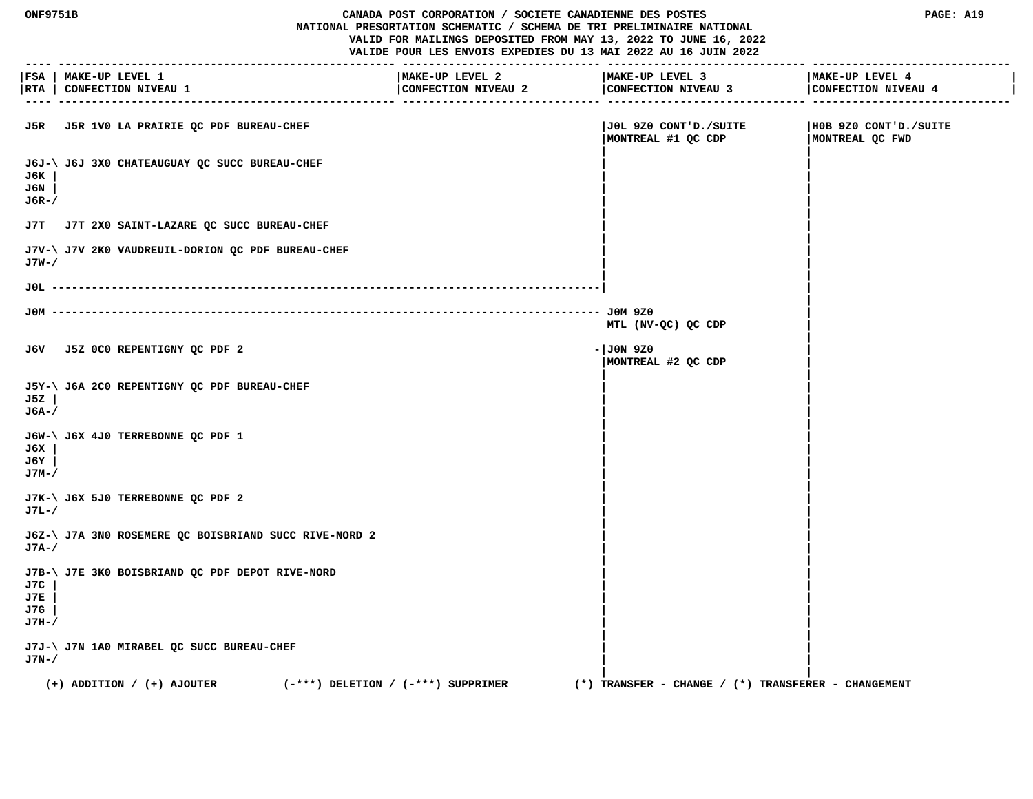#### **ONF9751B CANADA POST CORPORATION / SOCIETE CANADIENNE DES POSTES PAGE: A19 NATIONAL PRESORTATION SCHEMATIC / SCHEMA DE TRI PRELIMINAIRE NATIONAL VALID FOR MAILINGS DEPOSITED FROM MAY 13, 2022 TO JUNE 16, 2022 VALIDE POUR LES ENVOIS EXPEDIES DU 13 MAI 2022 AU 16 JUIN 2022**

 **---- --------------------------------------------------- ------------------------------ ------------------------------ ------------------------------ |FSA | MAKE-UP LEVEL 1 |MAKE-UP LEVEL 2 |MAKE-UP LEVEL 3 |MAKE-UP LEVEL 4 | |RTA | CONFECTION NIVEAU 1 |CONFECTION NIVEAU 2 |CONFECTION NIVEAU 3 |CONFECTION NIVEAU 4 | ---- --------------------------------------------------- ------------------------------ ------------------------------ ------------------------------ J5R J5R 1V0 LA PRAIRIE QC PDF BUREAU-CHEF |J0L 9Z0 CONT'D./SUITE |H0B 9Z0 CONT'D./SUITE |MONTREAL #1 QC CDP |MONTREAL QC FWD | | J6J-\ J6J 3X0 CHATEAUGUAY QC SUCC BUREAU-CHEF | | J6K | | | J6N | | | J6R-/ | | | | J7T J7T 2X0 SAINT-LAZARE QC SUCC BUREAU-CHEF | | | | J7V-\ J7V 2K0 VAUDREUIL-DORION QC PDF BUREAU-CHEF | | J7W-/ | | | | J0L -----------------------------------------------------------------------------------| | | J0M ----------------------------------------------------------------------------------- J0M 9Z0 | MTL (NV-QC) QC CDP | | J6V J5Z 0C0 REPENTIGNY QC PDF 2 -|J0N 9Z0 | |MONTREAL #2 QC CDP | | | J5Y-\ J6A 2C0 REPENTIGNY QC PDF BUREAU-CHEF | | J5Z | | | J6A-/ | | | | J6W-\ J6X 4J0 TERREBONNE QC PDF 1 | | J6X | | | J6Y | | | J7M-/ | | | | J7K-\ J6X 5J0 TERREBONNE QC PDF 2 | | J7L-/ | | | | J6Z-\ J7A 3N0 ROSEMERE QC BOISBRIAND SUCC RIVE-NORD 2 | | J7A-/ | | | | J7B-\ J7E 3K0 BOISBRIAND QC PDF DEPOT RIVE-NORD | | J7C | | | J7E | | | J7G | | | J7H-/ | | | | J7J-\ J7N 1A0 MIRABEL QC SUCC BUREAU-CHEF | | J7N-/ | | | | (+) ADDITION / (+) AJOUTER (-\*\*\*) DELETION / (-\*\*\*) SUPPRIMER (\*) TRANSFER - CHANGE / (\*) TRANSFERER - CHANGEMENT**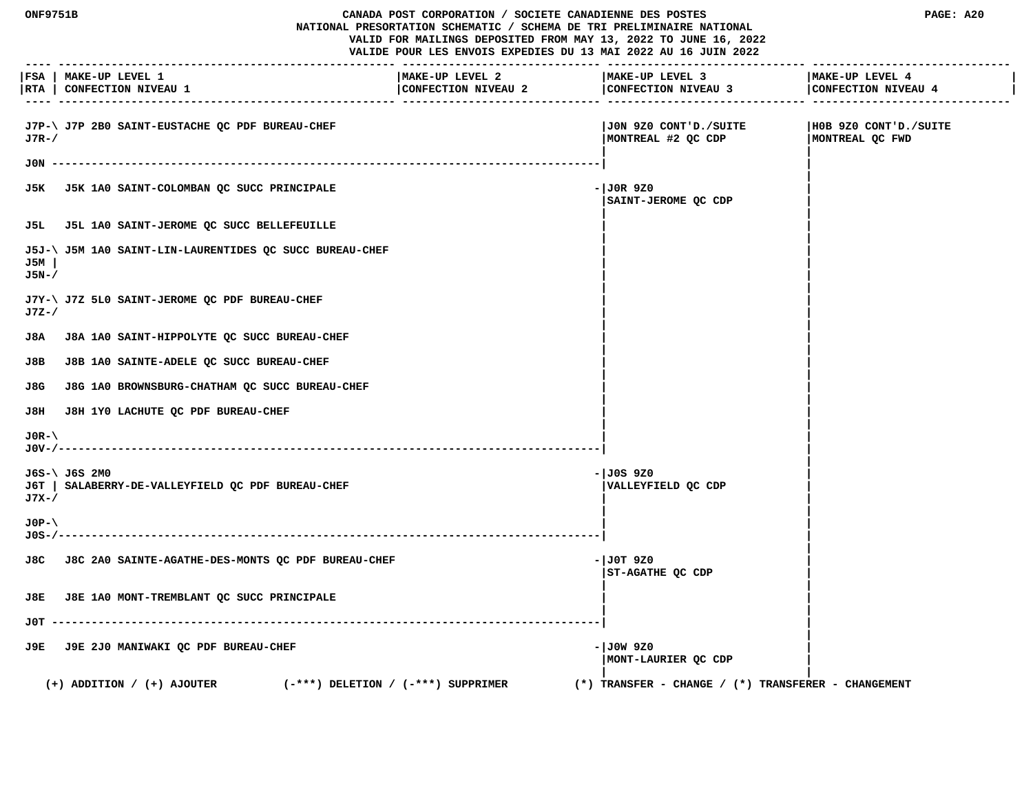|                       | ONF9751B<br>CANADA POST CORPORATION / SOCIETE CANADIENNE DES POSTES<br>NATIONAL PRESORTATION SCHEMATIC / SCHEMA DE TRI PRELIMINAIRE NATIONAL<br>VALID FOR MAILINGS DEPOSITED FROM MAY 13, 2022 TO JUNE 16, 2022<br>VALIDE POUR LES ENVOIS EXPEDIES DU 13 MAI 2022 AU 16 JUIN 2022 |                                        |                                                         | PAGE: A20                                |
|-----------------------|-----------------------------------------------------------------------------------------------------------------------------------------------------------------------------------------------------------------------------------------------------------------------------------|----------------------------------------|---------------------------------------------------------|------------------------------------------|
|                       | FSA   MAKE-UP LEVEL 1<br> RTA   CONFECTION NIVEAU 1                                                                                                                                                                                                                               | MAKE-UP LEVEL 2<br>CONFECTION NIVEAU 2 | MAKE-UP LEVEL 3<br>CONFECTION NIVEAU 3                  | MAKE-UP LEVEL 4<br>CONFECTION NIVEAU 4   |
| $J7R-$                | J7P-\ J7P 2B0 SAINT-EUSTACHE QC PDF BUREAU-CHEF                                                                                                                                                                                                                                   |                                        | JON 9Z0 CONT'D./SUITE <br>MONTREAL #2 QC CDP            | H0B 9Z0 CONT'D./SUITE<br>MONTREAL QC FWD |
|                       |                                                                                                                                                                                                                                                                                   |                                        |                                                         |                                          |
|                       | J5K J5K 1A0 SAINT-COLOMBAN QC SUCC PRINCIPALE                                                                                                                                                                                                                                     |                                        | $-1$ JOR 9Z0<br>SAINT-JEROME QC CDP                     |                                          |
|                       | J5L J5L 1A0 SAINT-JEROME QC SUCC BELLEFEUILLE                                                                                                                                                                                                                                     |                                        |                                                         |                                          |
| J5M<br>$J5N-$         | J5J-\ J5M 1A0 SAINT-LIN-LAURENTIDES QC SUCC BUREAU-CHEF                                                                                                                                                                                                                           |                                        |                                                         |                                          |
| J7Z-/                 | J7Y-\ J7Z 5L0 SAINT-JEROME QC PDF BUREAU-CHEF                                                                                                                                                                                                                                     |                                        |                                                         |                                          |
| J8A                   | J8A 1A0 SAINT-HIPPOLYTE QC SUCC BUREAU-CHEF                                                                                                                                                                                                                                       |                                        |                                                         |                                          |
| J8B                   | J8B 1A0 SAINTE-ADELE QC SUCC BUREAU-CHEF                                                                                                                                                                                                                                          |                                        |                                                         |                                          |
| J8G                   | J8G 1A0 BROWNSBURG-CHATHAM QC SUCC BUREAU-CHEF                                                                                                                                                                                                                                    |                                        |                                                         |                                          |
| J8H                   | J8H 1Y0 LACHUTE QC PDF BUREAU-CHEF                                                                                                                                                                                                                                                |                                        |                                                         |                                          |
| $J0R-\lambda$         |                                                                                                                                                                                                                                                                                   |                                        |                                                         |                                          |
| J7X-/                 | J6S-\ J6S 2M0<br>J6T   SALABERRY-DE-VALLEYFIELD QC PDF BUREAU-CHEF                                                                                                                                                                                                                |                                        | - JOS 9Z0<br>VALLEYFIELD QC CDP                         |                                          |
| $JOP - \$<br>J0S-/--- |                                                                                                                                                                                                                                                                                   |                                        |                                                         |                                          |
|                       | J8C J8C 2A0 SAINTE-AGATHE-DES-MONTS QC PDF BUREAU-CHEF                                                                                                                                                                                                                            |                                        | - JOT 9Z0<br>ST-AGATHE QC CDP                           |                                          |
|                       | J8E J8E 1A0 MONT-TREMBLANT QC SUCC PRINCIPALE                                                                                                                                                                                                                                     |                                        |                                                         |                                          |
| JOT.                  |                                                                                                                                                                                                                                                                                   |                                        |                                                         |                                          |
| J9E.                  | J9E 2J0 MANIWAKI OC PDF BUREAU-CHEF                                                                                                                                                                                                                                               |                                        | - JOW 9Z0<br>MONT-LAURIER QC CDP                        |                                          |
|                       | $(+)$ ADDITION / $(+)$ AJOUTER                                                                                                                                                                                                                                                    | $(-***)$ DELETION / $(-***)$ SUPPRIMER | $(*)$ TRANSFER - CHANGE / $(*)$ TRANSFERER - CHANGEMENT |                                          |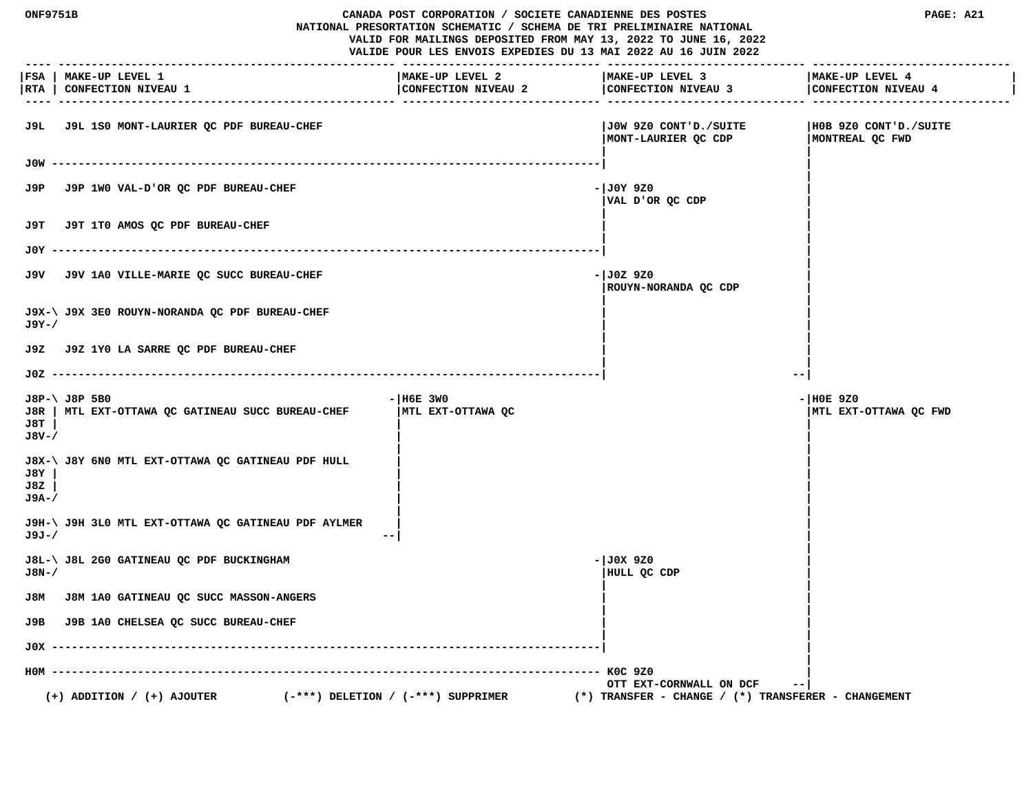**ONF9751B CANADA POST CORPORATION / SOCIETE CANADIENNE DES POSTES PAGE: A21 NATIONAL PRESORTATION SCHEMATIC / SCHEMA DE TRI PRELIMINAIRE NATIONAL VALID FOR MAILINGS DEPOSITED FROM MAY 13, 2022 TO JUNE 16, 2022 VALIDE POUR LES ENVOIS EXPEDIES DU 13 MAI 2022 AU 16 JUIN 2022 ---- --------------------------------------------------- ------------------------------ ------------------------------ ------------------------------ |FSA | MAKE-UP LEVEL 1 |MAKE-UP LEVEL 2 |MAKE-UP LEVEL 3 |MAKE-UP LEVEL 4 |** |RTA | CONFECTION NIVEAU 1 | CONFECTION NIVEAU 2 | CONFECTION NIVEAU 4 | CONFECTION NIVEAU 4 | CONFECTION NIVEAU 4 | CONFECTION NIVEAU 4 | CONFECTION NIVEAU 4  **---- --------------------------------------------------- ------------------------------ ------------------------------ ------------------------------ J9L J9L 1S0 MONT-LAURIER QC PDF BUREAU-CHEF |J0W 9Z0 CONT'D./SUITE |H0B 9Z0 CONT'D./SUITE |MONT-LAURIER QC CDP |MONTREAL QC FWD | | J0W -----------------------------------------------------------------------------------| | | J9P** J9P 1WO VAL-D'OR QC PDF BUREAU-CHEF  $|J0Y9Z0$  **|VAL D'OR QC CDP | | | J9T J9T 1T0 AMOS QC PDF BUREAU-CHEF | | | | J0Y -----------------------------------------------------------------------------------| | | J9V** J9V 1A0 VILLE-MARIE QC SUCC BUREAU-CHEF **And CHEF 1999 -**  $|J0Z|$  9Z0  **|ROUYN-NORANDA QC CDP | | | J9X-\ J9X 3E0 ROUYN-NORANDA QC PDF BUREAU-CHEF | | J9Y-/ | | | | J9Z J9Z 1Y0 LA SARRE QC PDF BUREAU-CHEF | | | | J0Z -----------------------------------------------------------------------------------| --| J8P-\ J8P 5B0 -|H6E 3W0 -|H0E 9Z0 J8R | MTL EXT-OTTAWA QC GATINEAU SUCC BUREAU-CHEF |MTL EXT-OTTAWA QC |MTL EXT-OTTAWA QC FWD J8T | | | J8V-/ | | | | J8X-\ J8Y 6N0 MTL EXT-OTTAWA QC GATINEAU PDF HULL | | J8Y | | | J8Z | | | J9A-/ | | | | J9H-\ J9H 3L0 MTL EXT-OTTAWA QC GATINEAU PDF AYLMER | | J9J-/ --| | | J8L-\ J8L 2G0 GATINEAU QC PDF BUCKINGHAM -|J0X 9Z0 | J8N-/ |HULL QC CDP | | | J8M J8M 1A0 GATINEAU QC SUCC MASSON-ANGERS | | | | J9B J9B 1A0 CHELSEA QC SUCC BUREAU-CHEF | | | | J0X -----------------------------------------------------------------------------------| | | H0M ----------------------------------------------------------------------------------- K0C 9Z0 | OTT EXT-CORNWALL ON DCF --| (+) ADDITION / (+) AJOUTER (-\*\*\*) DELETION / (-\*\*\*) SUPPRIMER (\*) TRANSFER - CHANGE / (\*) TRANSFERER - CHANGEMENT**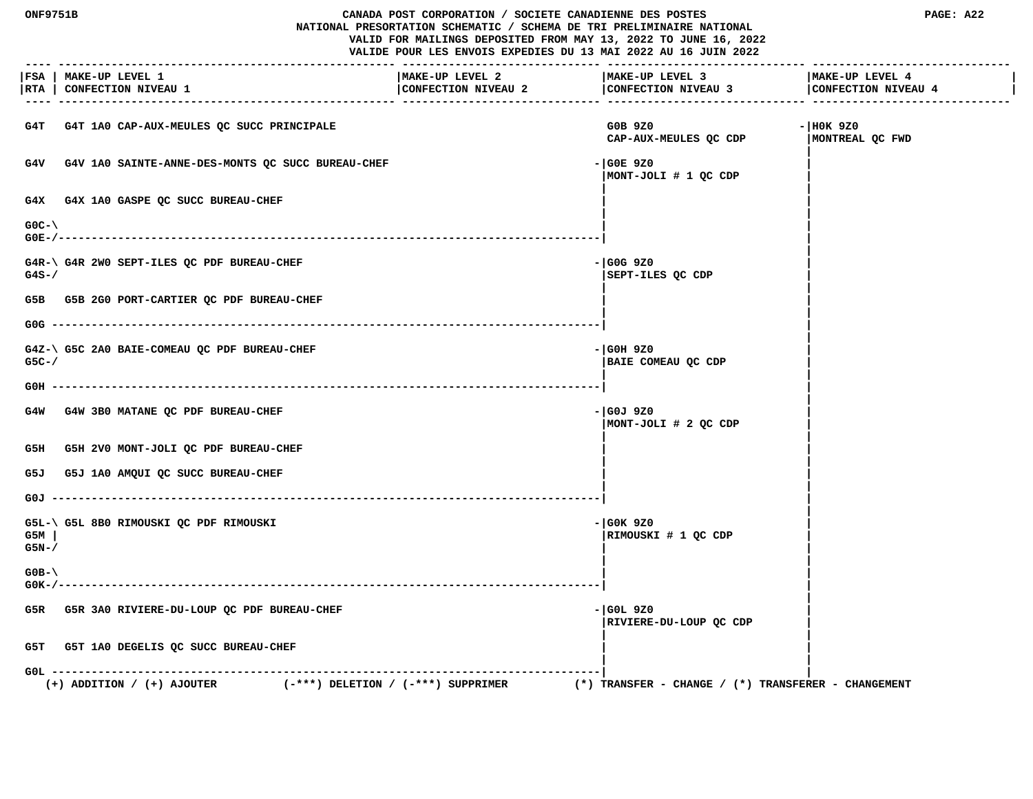# **ONF9751B CANADA POST CORPORATION / SOCIETE CANADIENNE DES POSTES PAGE: A22 NATIONAL PRESORTATION SCHEMATIC / SCHEMA DE TRI PRELIMINAIRE NATIONAL VALID FOR MAILINGS DEPOSITED FROM MAY 13, 2022 TO JUNE 16, 2022**

 **VALIDE POUR LES ENVOIS EXPEDIES DU 13 MAI 2022 AU 16 JUIN 2022**

|               | FSA   MAKE-UP LEVEL 1<br> RTA   CONFECTION NIVEAU 1                      | MAKE-UP LEVEL 2<br>CONFECTION NIVEAU 2 | MAKE-UP LEVEL 3<br>$\vert$ CONFECTION NIVEAU 3 $\vert$ CONFECTION NIVEAU 4 | MAKE-UP LEVEL 4                |
|---------------|--------------------------------------------------------------------------|----------------------------------------|----------------------------------------------------------------------------|--------------------------------|
|               | G4T G4T 1A0 CAP-AUX-MEULES QC SUCC PRINCIPALE                            |                                        | G0B 9Z0<br>CAP-AUX-MEULES QC CDP                                           | $-$ HOK 9Z0<br>MONTREAL QC FWD |
|               | G4V G4V 1A0 SAINTE-ANNE-DES-MONTS QC SUCC BUREAU-CHEF                    |                                        | - GOE 9Z0<br>MONT-JOLI # 1 QC CDP                                          |                                |
|               | G4X G4X 1A0 GASPE QC SUCC BUREAU-CHEF                                    |                                        |                                                                            |                                |
| $GOC-N$       |                                                                          |                                        |                                                                            |                                |
| $G4S - /$     | G4R-\ G4R 2W0 SEPT-ILES QC PDF BUREAU-CHEF                               |                                        | $-$ GOG 9Z0<br>SEPT-ILES QC CDP                                            |                                |
|               | G5B G5B 2G0 PORT-CARTIER QC PDF BUREAU-CHEF                              |                                        |                                                                            |                                |
|               |                                                                          |                                        |                                                                            |                                |
| $G5C-$        | G4Z-\ G5C 2A0 BAIE-COMEAU QC PDF BUREAU-CHEF                             |                                        | - GOH 9Z0<br>BAIE COMEAU QC CDP                                            |                                |
|               |                                                                          |                                        |                                                                            |                                |
|               | G4W G4W 3B0 MATANE QC PDF BUREAU-CHEF                                    |                                        | - GOJ 9Z0<br>MONT-JOLI # 2 QC CDP                                          |                                |
|               | G5H G5H 2V0 MONT-JOLI QC PDF BUREAU-CHEF                                 |                                        |                                                                            |                                |
|               | G5J G5J 1A0 AMQUI QC SUCC BUREAU-CHEF                                    |                                        |                                                                            |                                |
|               |                                                                          |                                        |                                                                            |                                |
| G5M<br>$G5N-$ | G5L-\ G5L 8B0 RIMOUSKI QC PDF RIMOUSKI                                   |                                        | $-$ GOK 9Z0<br>RIMOUSKI # 1 QC CDP                                         |                                |
| $GOB - \$     |                                                                          |                                        |                                                                            |                                |
|               | G5R G5R 3A0 RIVIERE-DU-LOUP QC PDF BUREAU-CHEF                           |                                        | - GOL 9Z0<br>RIVIERE-DU-LOUP QC CDP                                        |                                |
|               | G5T G5T 1A0 DEGELIS QC SUCC BUREAU-CHEF                                  |                                        |                                                                            |                                |
|               | $(-***)$ DELETION / $(-***)$ SUPPRIMER<br>$(+)$ ADDITION / $(+)$ AJOUTER |                                        | (*) TRANSFER - CHANGE / $(*)$ TRANSFERER - CHANGEMENT                      |                                |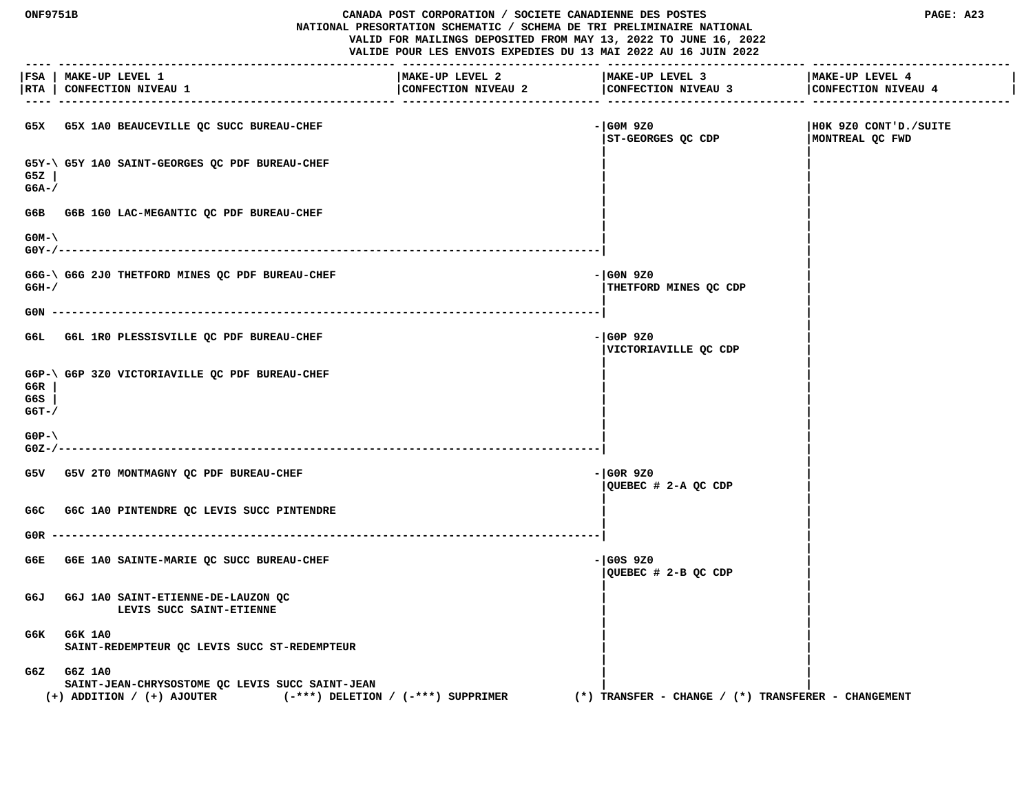#### **ONF9751B CANADA POST CORPORATION / SOCIETE CANADIENNE DES POSTES PAGE: A23 NATIONAL PRESORTATION SCHEMATIC / SCHEMA DE TRI PRELIMINAIRE NATIONAL VALID FOR MAILINGS DEPOSITED FROM MAY 13, 2022 TO JUNE 16, 2022 VALIDE POUR LES ENVOIS EXPEDIES DU 13 MAI 2022 AU 16 JUIN 2022**

 **---- --------------------------------------------------- ------------------------------ ------------------------------ ------------------------------ |FSA | MAKE-UP LEVEL 1 |MAKE-UP LEVEL 2 |MAKE-UP LEVEL 3 |MAKE-UP LEVEL 4 |** |RTA | CONFECTION NIVEAU 1 | CONFECTION NIVEAU 2 | CONFECTION NIVEAU 4 | CONFECTION NIVEAU 4 | CONFECTION NIVEAU 4 | CONFECTION NIVEAU 4 | CONFECTION NIVEAU 4  **---- --------------------------------------------------- ------------------------------ ------------------------------ ------------------------------ G5X G5X 1A0 BEAUCEVILLE QC SUCC BUREAU-CHEF -|G0M 9Z0 |H0K 9Z0 CONT'D./SUITE |ST-GEORGES QC CDP |MONTREAL QC FWD | | G5Y-\ G5Y 1A0 SAINT-GEORGES QC PDF BUREAU-CHEF | | G5Z | | | G6A-/ | | | |** G6B G6B 1G0 LAC-MEGANTIC OC PDF BUREAU-CHEF  **| | G0M-\ | | G0Y-/----------------------------------------------------------------------------------| | |** G6G-\ G6G 2J0 THETFORD MINES OC PDF BUREAU-CHEF **All CHEF AUTOR 1989** - (G0N 9Z0  **G6H-/ |THETFORD MINES QC CDP | | | G0N -----------------------------------------------------------------------------------| | | G6L G6L 1R0 PLESSISVILLE QC PDF BUREAU-CHEF -|G0P 9Z0 | |VICTORIAVILLE QC CDP | | | G6P-\ G6P 3Z0 VICTORIAVILLE QC PDF BUREAU-CHEF | | G6R | | | G6S | | | G6T-/ | | | | G0P-\ | | G0Z-/----------------------------------------------------------------------------------| | | G5V G5V 2T0 MONTMAGNY QC PDF BUREAU-CHEF -|G0R 9Z0 | |QUEBEC # 2-A QC CDP | | |** G6C G6C 1A0 PINTENDRE QC LEVIS SUCC PINTENDRE  **| | G0R -----------------------------------------------------------------------------------| | |** G6E G6E 1A0 SAINTE-MARIE QC SUCC BUREAU-CHEF **-** end and a state of the state of the state of the state of the state of the state of the state of the state of the state of the state of the state of the state of the state o  **|QUEBEC # 2-B QC CDP | | | G6J G6J 1A0 SAINT-ETIENNE-DE-LAUZON QC | |** LEVIS SUCC SAINT-ETIENNE  **| | G6K G6K 1A0 | |** SAINT-REDEMPTEUR OC LEVIS SUCC ST-REDEMPTEUR  **| | G6Z G6Z 1A0 | | SAINT-JEAN-CHRYSOSTOME QC LEVIS SUCC SAINT-JEAN | | (+) ADDITION / (+) AJOUTER (-\*\*\*) DELETION / (-\*\*\*) SUPPRIMER (\*) TRANSFER - CHANGE / (\*) TRANSFERER - CHANGEMENT**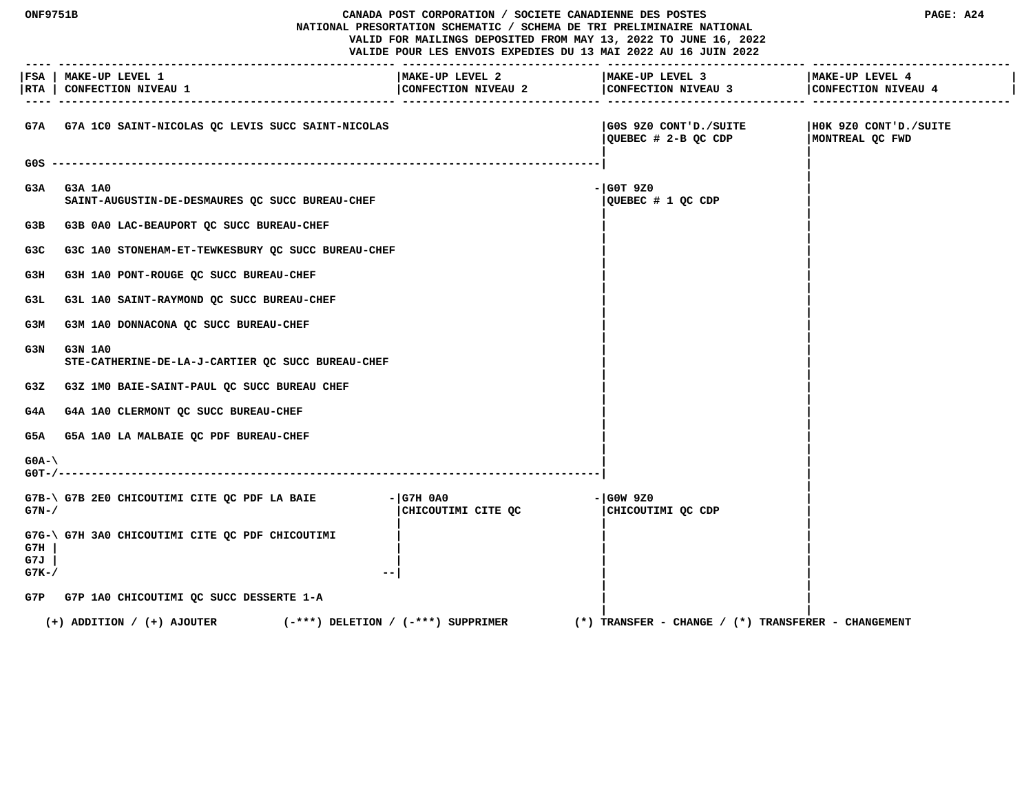**ONF9751B CANADA POST CORPORATION / SOCIETE CANADIENNE DES POSTES PAGE: A24 NATIONAL PRESORTATION SCHEMATIC / SCHEMA DE TRI PRELIMINAIRE NATIONAL VALID FOR MAILINGS DEPOSITED FROM MAY 13, 2022 TO JUNE 16, 2022 VALIDE POUR LES ENVOIS EXPEDIES DU 13 MAI 2022 AU 16 JUIN 2022 ---- --------------------------------------------------- ------------------------------ ------------------------------ ------------------------------ |FSA | MAKE-UP LEVEL 1 |MAKE-UP LEVEL 2 |MAKE-UP LEVEL 3 |MAKE-UP LEVEL 4 | |RTA | CONFECTION NIVEAU 1 |CONFECTION NIVEAU 2 |CONFECTION NIVEAU 3 |CONFECTION NIVEAU 4 | ---- --------------------------------------------------- ------------------------------ ------------------------------ ------------------------------ G7A G7A 1C0 SAINT-NICOLAS QC LEVIS SUCC SAINT-NICOLAS |G0S 9Z0 CONT'D./SUITE |H0K 9Z0 CONT'D./SUITE |QUEBEC # 2-B QC CDP |MONTREAL QC FWD | | G0S -----------------------------------------------------------------------------------| | | G3A G3A 1A0 -|G0T 9Z0 | SAINT-AUGUSTIN-DE-DESMAURES QC SUCC BUREAU-CHEF |QUEBEC # 1 QC CDP | | |** G3B G3B 0A0 LAC-BEAUPORT QC SUCC BUREAU-CHEF  **| |** G3C G3C 1A0 STONEHAM-ET-TEWKESBURY QC SUCC BUREAU-CHEF  **| |** G3H G3H 1A0 PONT-ROUGE QC SUCC BUREAU-CHEF  **| |** G3L G3L 1A0 SAINT-RAYMOND QC SUCC BUREAU-CHEF  **| |** G3M G3M 1A0 DONNACONA QC SUCC BUREAU-CHEF  **| | G3N G3N 1A0 |** |  **STE-CATHERINE-DE-LA-J-CARTIER QC SUCC BUREAU-CHEF | | | | G3Z G3Z 1M0 BAIE-SAINT-PAUL QC SUCC BUREAU CHEF | | | |** G4A G4A 1A0 CLERMONT OC SUCC BUREAU-CHEF  **| |** G5A G5A 1A0 LA MALBAIE QC PDF BUREAU-CHEF  **| | G0A-\ | | G0T-/----------------------------------------------------------------------------------| | |** G7B-\ G7B 2E0 CHICOUTIMI CITE QC PDF LA BAIE - |G7H 0A0 - |G0W 9Z0 G7N-/ **G7N-/ G7N-/ CHICOUTIMI CITE QC**  $\sim$  **| CHICOUTIMI** QC CDP  **| | | G7G-\ G7H 3A0 CHICOUTIMI CITE QC PDF CHICOUTIMI | | | G7H | | | | G7J | | | | G7K-/ --| | | | | G7P G7P 1A0 CHICOUTIMI QC SUCC DESSERTE 1-A | | | | (+) ADDITION / (+) AJOUTER (-\*\*\*) DELETION / (-\*\*\*) SUPPRIMER (\*) TRANSFER - CHANGE / (\*) TRANSFERER - CHANGEMENT**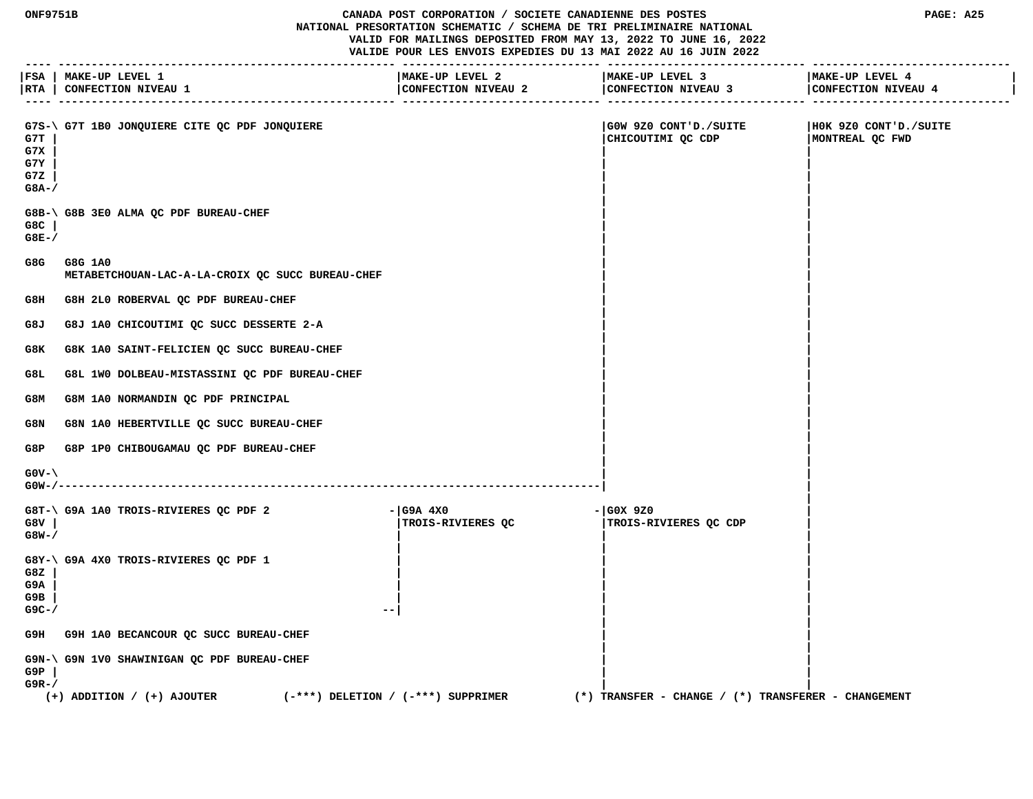**ONF9751B CANADA POST CORPORATION / SOCIETE CANADIENNE DES POSTES PAGE: A25 NATIONAL PRESORTATION SCHEMATIC / SCHEMA DE TRI PRELIMINAIRE NATIONAL VALID FOR MAILINGS DEPOSITED FROM MAY 13, 2022 TO JUNE 16, 2022 VALIDE POUR LES ENVOIS EXPEDIES DU 13 MAI 2022 AU 16 JUIN 2022**

 **---- --------------------------------------------------- ------------------------------ ------------------------------ ------------------------------ |FSA | MAKE-UP LEVEL 1 |MAKE-UP LEVEL 2 |MAKE-UP LEVEL 3 |MAKE-UP LEVEL 4 |** |RTA | CONFECTION NIVEAU 1 | CONFECTION NIVEAU 2 | CONFECTION NIVEAU 4 | CONFECTION NIVEAU 4 | CONFECTION NIVEAU 4 | CONFECTION NIVEAU 4 | CONFECTION NIVEAU 4  **---- --------------------------------------------------- ------------------------------ ------------------------------ ------------------------------** G7S-\ G7T 1B0 JONOUIERE CITE OC PDF JONOUIERE | G0W 9Z0 CONT'D./SUITE | H0K 9Z0 CONT'D./SUITE  **G7T | |CHICOUTIMI QC CDP |MONTREAL QC FWD G7X | | | G7Y | | | G7Z | | | G8A-/ | | | | G8B-\ G8B 3E0 ALMA QC PDF BUREAU-CHEF | | G8C | | | G8E-/ | | | | G8G G8G 1A0 | | METABETCHOUAN-LAC-A-LA-CROIX QC SUCC BUREAU-CHEF | | | |** G8H G8H 2L0 ROBERVAL QC PDF BUREAU-CHEF  **| | G8J G8J 1A0 CHICOUTIMI QC SUCC DESSERTE 2-A | | | |** G8K G8K 1A0 SAINT-FELICIEN QC SUCC BUREAU-CHEF  **| | G8L G8L 1W0 DOLBEAU-MISTASSINI QC PDF BUREAU-CHEF | | | | G8M G8M 1A0 NORMANDIN QC PDF PRINCIPAL | | | |** G8N G8N 1A0 HEBERTVILLE QC SUCC BUREAU-CHEF  **| |** G8P G8P 1P0 CHIBOUGAMAU QC PDF BUREAU-CHEF  **| | G0V-\ | | G0W-/----------------------------------------------------------------------------------| | |** G8T-\G9A 1A0 TROIS-RIVIERES QC PDF 2 - |G9A 4X0<br>G8V | | TROIS-RIVIERES QC | ITROIS-R  **G8V | |TROIS-RIVIERES QC |TROIS-RIVIERES QC CDP | G8W-/ | | | | | | G8Y-\ G9A 4X0 TROIS-RIVIERES QC PDF 1 | | | G8Z | | | | G9A | | | | G9B | | | | G9C-/ --| | | | |** G9H G9H 1A0 BECANCOUR QC SUCC BUREAU-CHEF  **| | G9N-\ G9N 1V0 SHAWINIGAN QC PDF BUREAU-CHEF | | G9P | | | G9R-/ | | (+) ADDITION / (+) AJOUTER (-\*\*\*) DELETION / (-\*\*\*) SUPPRIMER (\*) TRANSFER - CHANGE / (\*) TRANSFERER - CHANGEMENT**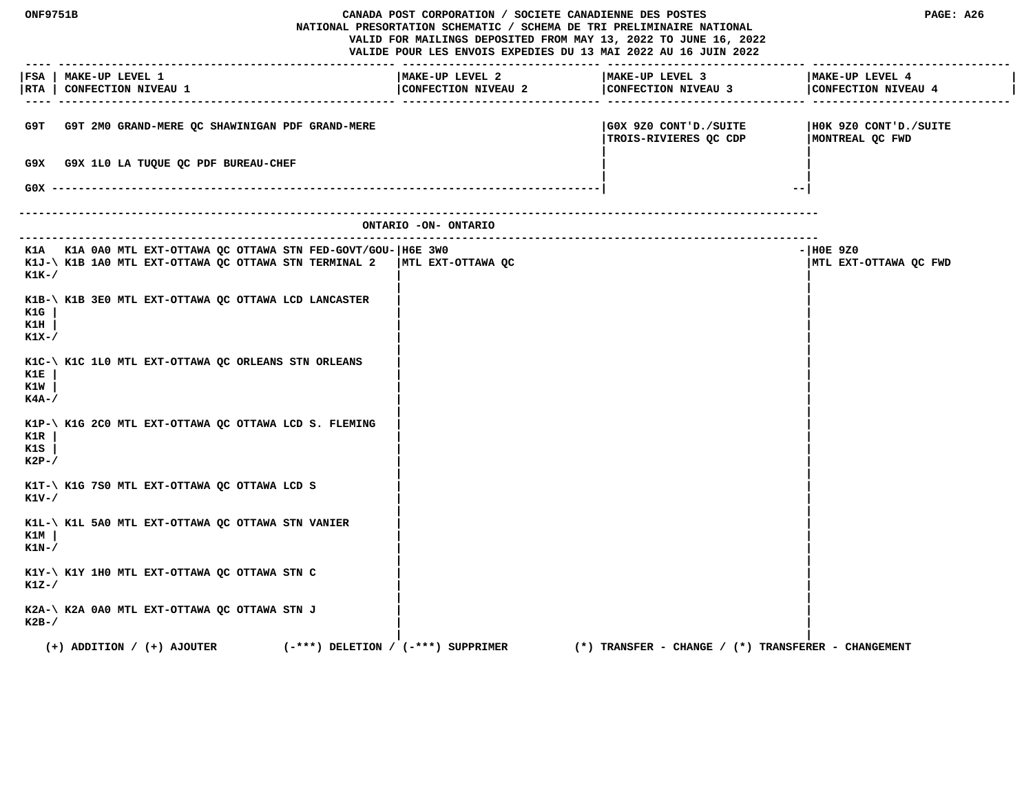|                        | ONF9751B<br>CANADA POST CORPORATION / SOCIETE CANADIENNE DES POSTES<br>NATIONAL PRESORTATION SCHEMATIC / SCHEMA DE TRI PRELIMINAIRE NATIONAL<br>VALID FOR MAILINGS DEPOSITED FROM MAY 13, 2022 TO JUNE 16, 2022<br>VALIDE POUR LES ENVOIS EXPEDIES DU 13 MAI 2022 AU 16 JUIN 2022 |                                        |                                        | PAGE: A26                                               |                                          |
|------------------------|-----------------------------------------------------------------------------------------------------------------------------------------------------------------------------------------------------------------------------------------------------------------------------------|----------------------------------------|----------------------------------------|---------------------------------------------------------|------------------------------------------|
|                        | FSA   MAKE-UP LEVEL 1<br> RTA   CONFECTION NIVEAU 1                                                                                                                                                                                                                               |                                        | MAKE-UP LEVEL 2<br>CONFECTION NIVEAU 2 | MAKE-UP LEVEL 3<br>CONFECTION NIVEAU 3                  | MAKE-UP LEVEL 4<br>CONFECTION NIVEAU 4   |
| G9T                    | G9T 2M0 GRAND-MERE QC SHAWINIGAN PDF GRAND-MERE                                                                                                                                                                                                                                   |                                        |                                        | GOX 9Z0 CONT'D./SUITE<br>TROIS-RIVIERES QC CDP          | HOK 9Z0 CONT'D./SUITE<br>MONTREAL QC FWD |
| G9X.                   | G9X 1L0 LA TUQUE QC PDF BUREAU-CHEF                                                                                                                                                                                                                                               |                                        |                                        |                                                         |                                          |
| $GOX$ ------           |                                                                                                                                                                                                                                                                                   |                                        |                                        | $- -$                                                   |                                          |
|                        |                                                                                                                                                                                                                                                                                   |                                        | ONTARIO -ON- ONTARIO                   |                                                         |                                          |
| $K1K-$                 | K1A K1A 0A0 MTL EXT-OTTAWA QC OTTAWA STN FED-GOVT/GOU- H6E 3W0<br>K1J-\ K1B 1A0 MTL EXT-OTTAWA QC OTTAWA STN TERMINAL 2                                                                                                                                                           |                                        | MTL EXT-OTTAWA QC                      |                                                         | $ H0E$ 9Z0<br>MTL EXT-OTTAWA QC FWD      |
| K1G<br>K1H<br>$K1X-$   | K1B-\ K1B 3E0 MTL EXT-OTTAWA QC OTTAWA LCD LANCASTER                                                                                                                                                                                                                              |                                        |                                        |                                                         |                                          |
| K1E<br>K1W<br>K4A-/    | K1C-\ K1C 1L0 MTL EXT-OTTAWA QC ORLEANS STN ORLEANS                                                                                                                                                                                                                               |                                        |                                        |                                                         |                                          |
| K1R<br>K1S<br>$K2P-$ / | K1P-\ K1G 2C0 MTL EXT-OTTAWA QC OTTAWA LCD S. FLEMING                                                                                                                                                                                                                             |                                        |                                        |                                                         |                                          |
| K1V-/                  | K1T-\ K1G 7S0 MTL EXT-OTTAWA QC OTTAWA LCD S                                                                                                                                                                                                                                      |                                        |                                        |                                                         |                                          |
| KlM<br>$K1N-$ /        | K1L-\ K1L 5A0 MTL EXT-OTTAWA QC OTTAWA STN VANIER                                                                                                                                                                                                                                 |                                        |                                        |                                                         |                                          |
| $K1Z-$ /               | K1Y-\ K1Y 1H0 MTL EXT-OTTAWA QC OTTAWA STN C                                                                                                                                                                                                                                      |                                        |                                        |                                                         |                                          |
| $K2B-$                 | K2A-\ K2A 0A0 MTL EXT-OTTAWA QC OTTAWA STN J                                                                                                                                                                                                                                      |                                        |                                        |                                                         |                                          |
|                        | $(+)$ ADDITION / $(+)$ AJOUTER                                                                                                                                                                                                                                                    | $(-***)$ DELETION / $(-***)$ SUPPRIMER |                                        | $(*)$ TRANSFER - CHANGE / $(*)$ TRANSFERER - CHANGEMENT |                                          |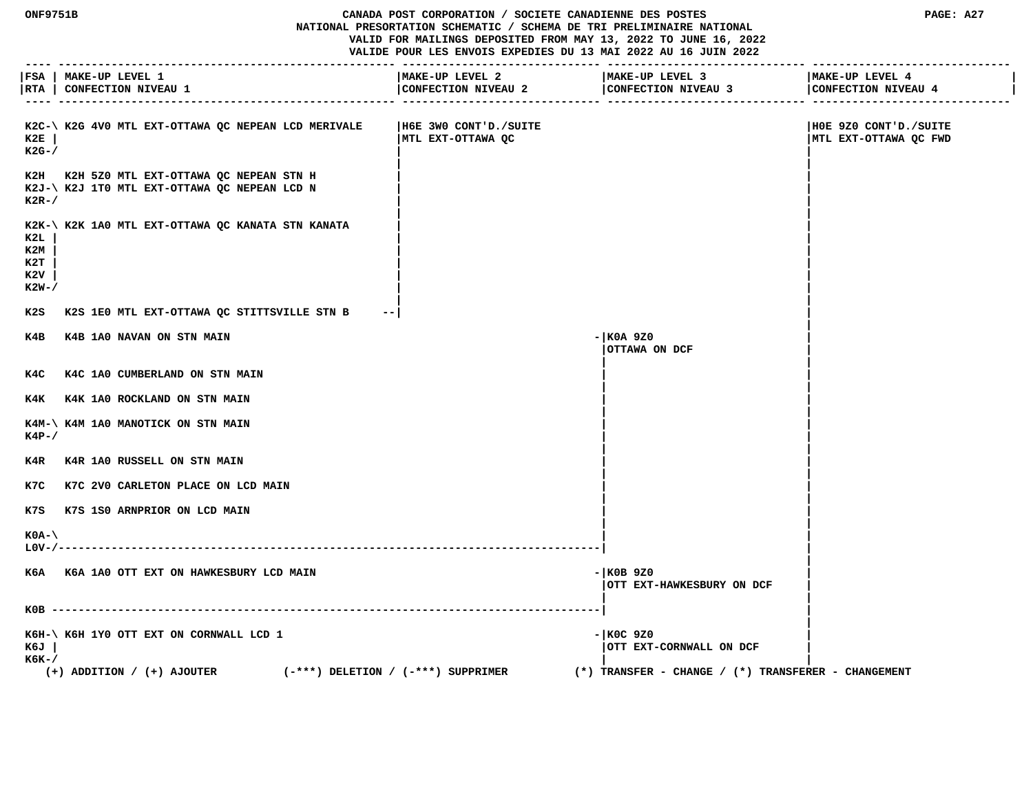#### **ONF9751B CANADA POST CORPORATION / SOCIETE CANADIENNE DES POSTES PAGE: A27 NATIONAL PRESORTATION SCHEMATIC / SCHEMA DE TRI PRELIMINAIRE NATIONAL VALID FOR MAILINGS DEPOSITED FROM MAY 13, 2022 TO JUNE 16, 2022 VALIDE POUR LES ENVOIS EXPEDIES DU 13 MAI 2022 AU 16 JUIN 2022**

 **---- --------------------------------------------------- ------------------------------ ------------------------------ ------------------------------** |FSA | MAKE-UP LEVEL 1 |MAKE-UP LEVEL 2 |MAKE-UP LEVEL 4 |MAKE-UP LEVEL 4 | MAKE-UP LEVEL 4 | CONFECTION NIV **|RTA | CONFECTION NIVEAU 1 |CONFECTION NIVEAU 2 |CONFECTION NIVEAU 3 |CONFECTION NIVEAU 4 | ---- --------------------------------------------------- ------------------------------ ------------------------------ ------------------------------ K2C-\ K2G 4V0 MTL EXT-OTTAWA QC NEPEAN LCD MERIVALE |H6E 3W0 CONT'D./SUITE |H0E 9Z0 CONT'D./SUITE EXT-OTTAWA QC MILL EXT-OTTAWA QC MILL EXT-OTTAWA QC MILL EXT-OTTAWA QC MILL K2G-/ | | | |** K2H K2H 5Z0 MTL EXT-OTTAWA QC NEPEAN STN H  **K2J-\ K2J 1T0 MTL EXT-OTTAWA QC NEPEAN LCD N | | K2R-/ | | | |** K2K-\ K2K 1A0 MTL EXT-OTTAWA QC KANATA STN KANATA  **K2L | | | K2M | | | K2T | | | K2V | | | K2W-/ | | | | K2S K2S 1E0 MTL EXT-OTTAWA QC STITTSVILLE STN B --| | | K4B K4B 1A0 NAVAN ON STN MAIN -|K0A 9Z0 | |OTTAWA ON DCF | | |** K4C K4C 1A0 CUMBERLAND ON STN MAIN  **| |** K4K K4K 1A0 ROCKLAND ON STN MAIN  **| | K4M-\ K4M 1A0 MANOTICK ON STN MAIN | | K4P-/ | | | |** K4R K4R 1A0 RUSSELL ON STN MAIN  **| |** K7C K7C 2V0 CARLETON PLACE ON LCD MAIN  **| | K7S K7S 1S0 ARNPRIOR ON LCD MAIN | | | | K0A-\ | | L0V-/----------------------------------------------------------------------------------| | | K6A K6A 1A0 OTT EXT ON HAWKESBURY LCD MAIN -|K0B 9Z0 | |OTT EXT-HAWKESBURY ON DCF | | | K0B -----------------------------------------------------------------------------------| | |** K6H-\ K6H 1Y0 OTT EXT ON CORNWALL LCD 1 **1** and the state of the state of the state of the state of the state of the state of the state of the state of the state of the state of the state of the state of the state of the s  **K6J | |OTT EXT-CORNWALL ON DCF | K6K-/ | | (+) ADDITION / (+) AJOUTER (-\*\*\*) DELETION / (-\*\*\*) SUPPRIMER (\*) TRANSFER - CHANGE / (\*) TRANSFERER - CHANGEMENT**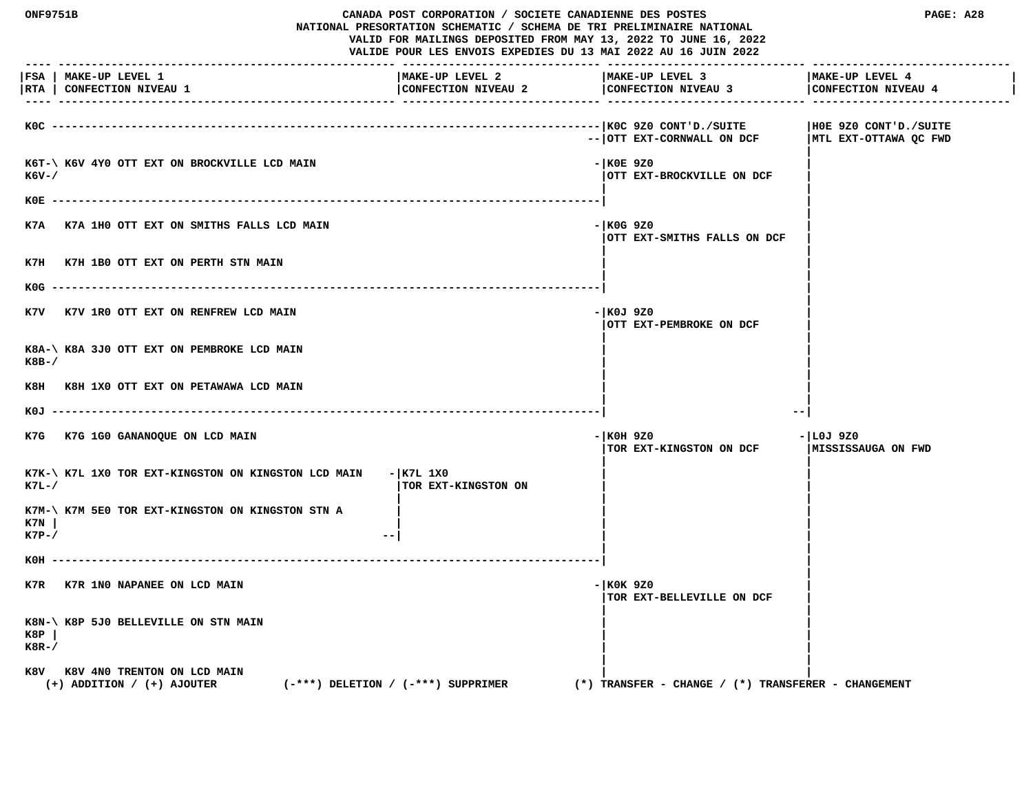**ONF9751B CANADA POST CORPORATION / SOCIETE CANADIENNE DES POSTES PAGE: A28 NATIONAL PRESORTATION SCHEMATIC / SCHEMA DE TRI PRELIMINAIRE NATIONAL VALID FOR MAILINGS DEPOSITED FROM MAY 13, 2022 TO JUNE 16, 2022 VALIDE POUR LES ENVOIS EXPEDIES DU 13 MAI 2022 AU 16 JUIN 2022 ---- --------------------------------------------------- ------------------------------ ------------------------------ ------------------------------ |FSA | MAKE-UP LEVEL 1 |MAKE-UP LEVEL 2 |MAKE-UP LEVEL 3 |MAKE-UP LEVEL 4 |** |RTA | CONFECTION NIVEAU 1 | CONFECTION NIVEAU 2 | CONFECTION NIVEAU 4 | CONFECTION NIVEAU 4 | CONFECTION NIVEAU 4 | CONFECTION NIVEAU 4 | CONFECTION NIVEAU 4  **---- --------------------------------------------------- ------------------------------ ------------------------------ ------------------------------ K0C -----------------------------------------------------------------------------------|K0C 9Z0 CONT'D./SUITE |H0E 9Z0 CONT'D./SUITE** -- | OTT EXT-CORNWALL ON DCF | MTL EXT-OTTAWA QC FWD  **|** K6T-\ K6V 4Y0 OTT EXT ON BROCKVILLE LCD MAIN **FIND ACCOMMENDATION** - |K0E 9Z0 **EXT-BROCKVILLE ON DCF**  $|\text{OTT}|\text{EXT}-\text{BROCKVILLE}$  ON DCF  **| | K0E -----------------------------------------------------------------------------------| | | K7A K7A 1H0 OTT EXT ON SMITHS FALLS LCD MAIN -|K0G 9Z0 | |OTT EXT-SMITHS FALLS ON DCF | | |** K7H K7H 1B0 OTT EXT ON PERTH STN MAIN  **| | K0G -----------------------------------------------------------------------------------| | |** K7V K7V 1R0 OTT EXT ON RENFREW LCD MAIN **FOUL EXECUTE 1899** CONTROL 1970  **|OTT EXT-PEMBROKE ON DCF | | |** K8A-\ K8A 3J0 OTT EXT ON PEMBROKE LCD MAIN  **K8B-/ | | | |** K8H K8H 1X0 OTT EXT ON PETAWAWA LCD MAIN  **| | K0J -----------------------------------------------------------------------------------| --| K7G K7G 1G0 GANANOQUE ON LCD MAIN -|K0H 9Z0 -|L0J 9Z0 TOR EXT-KINGSTON ON DCF | |** K7K-\ K7L 1X0 TOR EXT-KINGSTON ON KINGSTON LCD MAIN - | K7L 1X0 **EXT-FINGSTON ON EXT-KINGSTON ON EXT- | | | K7M-\ K7M 5E0 TOR EXT-KINGSTON ON KINGSTON STN A | | | K7N | | | | K7P-/ 1 | | K0H -----------------------------------------------------------------------------------| | | K7R K7R 1N0 NAPANEE ON LCD MAIN** - **K0K 9Z0 |TOR EXT-BELLEVILLE ON DCF | | | K8N-\ K8P 5J0 BELLEVILLE ON STN MAIN | | K8P | | | K8R-/ | | | |** K8V K8V 4N0 TRENTON ON LCD MAIN  **(+) ADDITION / (+) AJOUTER (-\*\*\*) DELETION / (-\*\*\*) SUPPRIMER (\*) TRANSFER - CHANGE / (\*) TRANSFERER - CHANGEMENT**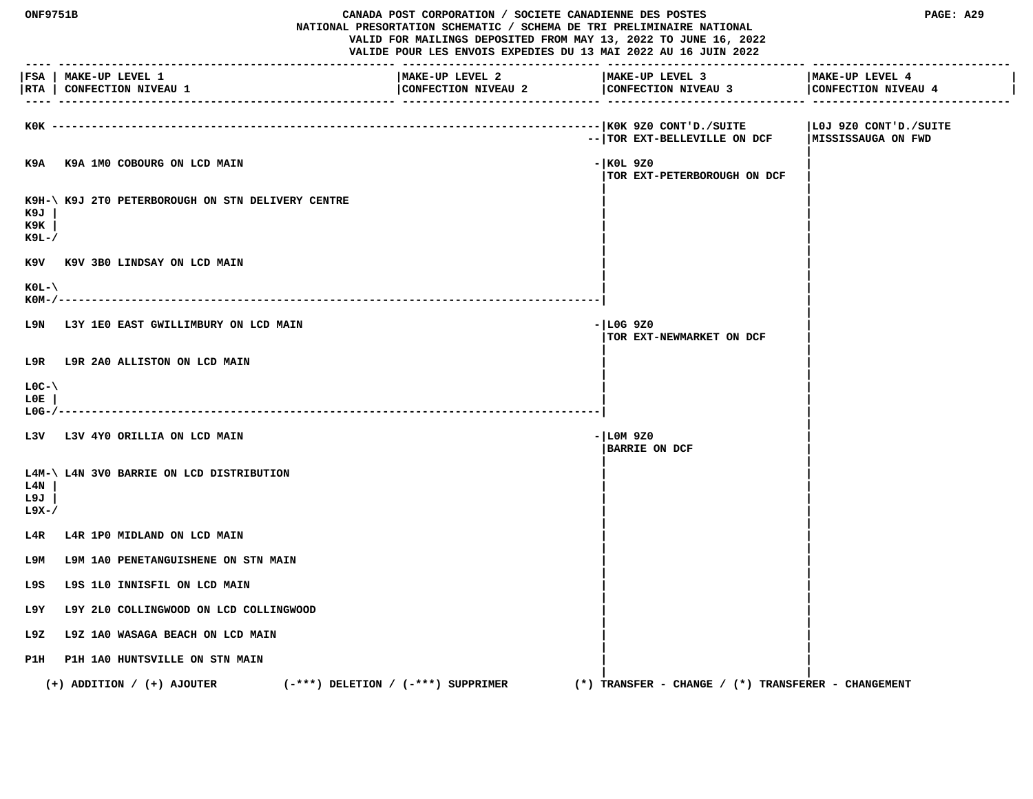| ---- ---                  | <b>ONF9751B</b><br>CANADA POST CORPORATION / SOCIETE CANADIENNE DES POSTES<br>NATIONAL PRESORTATION SCHEMATIC / SCHEMA DE TRI PRELIMINAIRE NATIONAL<br>VALID FOR MAILINGS DEPOSITED FROM MAY 13, 2022 TO JUNE 16, 2022<br>VALIDE POUR LES ENVOIS EXPEDIES DU 13 MAI 2022 AU 16 JUIN 2022 |                                        |  |                                                         | PAGE: A29                              |
|---------------------------|------------------------------------------------------------------------------------------------------------------------------------------------------------------------------------------------------------------------------------------------------------------------------------------|----------------------------------------|--|---------------------------------------------------------|----------------------------------------|
|                           | FSA   MAKE-UP LEVEL 1<br>RTA   CONFECTION NIVEAU 1                                                                                                                                                                                                                                       | MAKE-UP LEVEL 2<br>CONFECTION NIVEAU 2 |  | MAKE-UP LEVEL 3<br>CONFECTION NIVEAU 3                  | MAKE-UP LEVEL 4<br>CONFECTION NIVEAU 4 |
|                           | KOK ------------------                                                                                                                                                                                                                                                                   |                                        |  | --   TOR EXT-BELLEVILLE ON DCF   MISSISSAUGA ON FWD     | LOJ 9Z0 CONT'D./SUITE                  |
|                           | K9A K9A 1M0 COBOURG ON LCD MAIN                                                                                                                                                                                                                                                          |                                        |  | - KOL 9Z0<br>TOR EXT-PETERBOROUGH ON DCF                |                                        |
| к9л<br>к9к<br>к9ь-/       | K9H-\ K9J 2T0 PETERBOROUGH ON STN DELIVERY CENTRE                                                                                                                                                                                                                                        |                                        |  |                                                         |                                        |
|                           | K9V K9V 3B0 LINDSAY ON LCD MAIN                                                                                                                                                                                                                                                          |                                        |  |                                                         |                                        |
| $KOL - \$<br>$KOM-/-$     |                                                                                                                                                                                                                                                                                          |                                        |  |                                                         |                                        |
|                           | L9N L3Y 1E0 EAST GWILLIMBURY ON LCD MAIN                                                                                                                                                                                                                                                 |                                        |  | $-$ LOG 9Z0<br>TOR EXT-NEWMARKET ON DCF                 |                                        |
|                           | L9R L9R 2A0 ALLISTON ON LCD MAIN                                                                                                                                                                                                                                                         |                                        |  |                                                         |                                        |
| $LOC-V$<br>L0E.<br>L0G-/- | ------------------------------                                                                                                                                                                                                                                                           |                                        |  |                                                         |                                        |
|                           | L3V L3V 4Y0 ORILLIA ON LCD MAIN                                                                                                                                                                                                                                                          |                                        |  | $- LM9Z0$<br><b>BARRIE ON DCF</b>                       |                                        |
| L4N<br>L9J<br>L9X-/       | L4M-\ L4N 3V0 BARRIE ON LCD DISTRIBUTION                                                                                                                                                                                                                                                 |                                        |  |                                                         |                                        |
| L4R                       | L4R 1PO MIDLAND ON LCD MAIN                                                                                                                                                                                                                                                              |                                        |  |                                                         |                                        |
| т эм                      | L9M 1A0 PENETANGUISHENE ON STN MAIN                                                                                                                                                                                                                                                      |                                        |  |                                                         |                                        |
| L9S                       | L9S 1L0 INNISFIL ON LCD MAIN                                                                                                                                                                                                                                                             |                                        |  |                                                         |                                        |
| L9Y                       | L9Y 2L0 COLLINGWOOD ON LCD COLLINGWOOD                                                                                                                                                                                                                                                   |                                        |  |                                                         |                                        |
| L9Z.                      | L9Z 1A0 WASAGA BEACH ON LCD MAIN                                                                                                                                                                                                                                                         |                                        |  |                                                         |                                        |
|                           | P1H P1H 1A0 HUNTSVILLE ON STN MAIN                                                                                                                                                                                                                                                       |                                        |  |                                                         |                                        |
|                           | $(-***)$ DELETION / $(-***)$ SUPPRIMER<br>$(+)$ ADDITION / $(+)$ AJOUTER                                                                                                                                                                                                                 |                                        |  | $(*)$ TRANSFER - CHANGE / $(*)$ TRANSFERER - CHANGEMENT |                                        |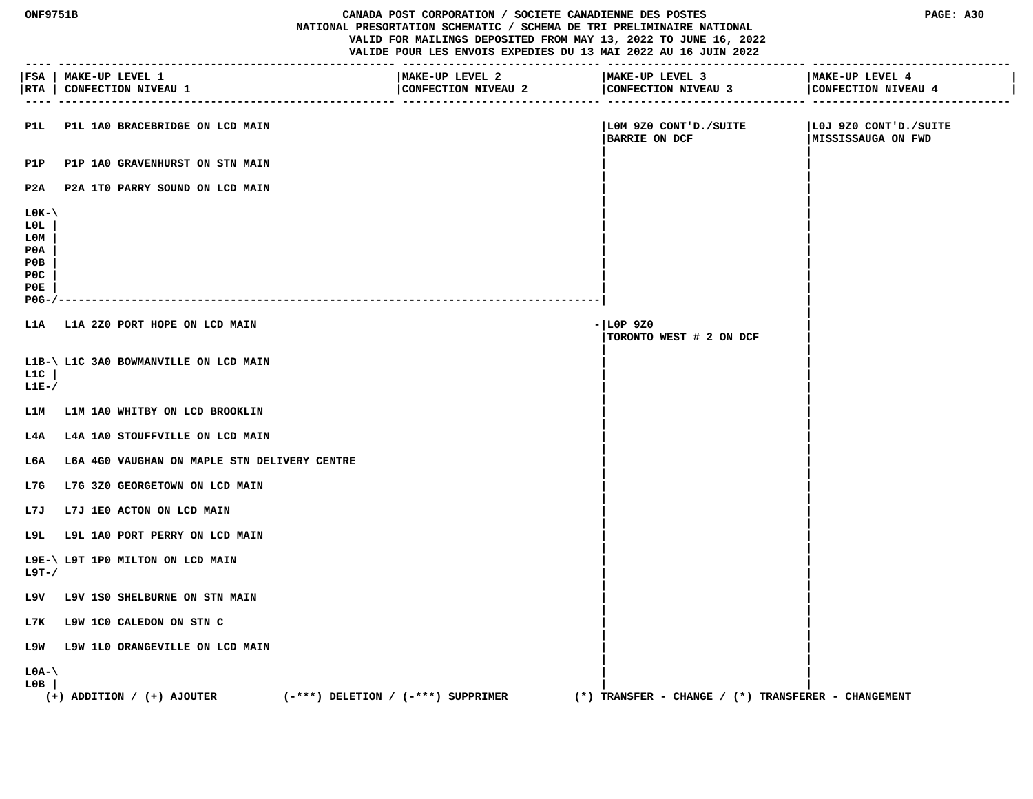#### **CANADA POST CORPORATION / SOCIETE CANADIENNE DES POSTES PAGE: A30 NATIONAL PRESORTATION SCHEMATIC / SCHEMA DE TRI PRELIMINAIRE NATIONAL VALID FOR MAILINGS DEPOSITED FROM MAY 13, 2022 TO JUNE 16, 2022 VALIDE POUR LES ENVOIS EXPEDIES DU 13 MAI 2022 AU 16 JUIN 2022**

 **---- --------------------------------------------------- ------------------------------ ------------------------------ ------------------------------**

**|FSA | MAKE-UP LEVEL 1 |MAKE-UP LEVEL 2 |MAKE-UP LEVEL 3 |MAKE-UP LEVEL 4 | |RTA | CONFECTION NIVEAU 1 |CONFECTION NIVEAU 2 |CONFECTION NIVEAU 3 |CONFECTION NIVEAU 4 | ---- --------------------------------------------------- ------------------------------ ------------------------------ ------------------------------ P1L P1L 1A0 BRACEBRIDGE ON LCD MAIN |L0M 9Z0 CONT'D./SUITE |L0J 9Z0 CONT'D./SUITE** |BARRIE ON DCF | MISSISSAUGA ON FWD  **| |** P1P P1P 1A0 GRAVENHURST ON STN MAIN  **| | P2A P2A 1T0 PARRY SOUND ON LCD MAIN | | | | L0K-\ | | L0L | | | L0M | | | P0A | | | P0B | | | P0C | | | P0E | | | P0G-/----------------------------------------------------------------------------------| | | L1A L1A 2Z0 PORT HOPE ON LCD MAIN -|L0P 9Z0 | |TORONTO WEST # 2 ON DCF | | | L1B-\ L1C 3A0 BOWMANVILLE ON LCD MAIN | | L1C | | | L1E-/ | | | | L1M L1M 1A0 WHITBY ON LCD BROOKLIN | | | |** L4A L4A 1A0 STOUFFVILLE ON LCD MAIN  **| |** L6A L6A 4G0 VAUGHAN ON MAPLE STN DELIVERY CENTRE  **| |** L7G L7G 3Z0 GEORGETOWN ON LCD MAIN  **| |** L7J L7J 1E0 ACTON ON LCD MAIN  **| |** L9L L9L 1A0 PORT PERRY ON LCD MAIN  **| | L9E-\ L9T 1P0 MILTON ON LCD MAIN | | L9T-/ | | | | L9V L9V 1S0 SHELBURNE ON STN MAIN | | | | L7K L9W 1C0 CALEDON ON STN C | | | | L9W L9W 1L0 ORANGEVILLE ON LCD MAIN | | | | L0A-\ | | L0B | | | (+) ADDITION / (+) AJOUTER (-\*\*\*) DELETION / (-\*\*\*) SUPPRIMER (\*) TRANSFER - CHANGE / (\*) TRANSFERER - CHANGEMENT**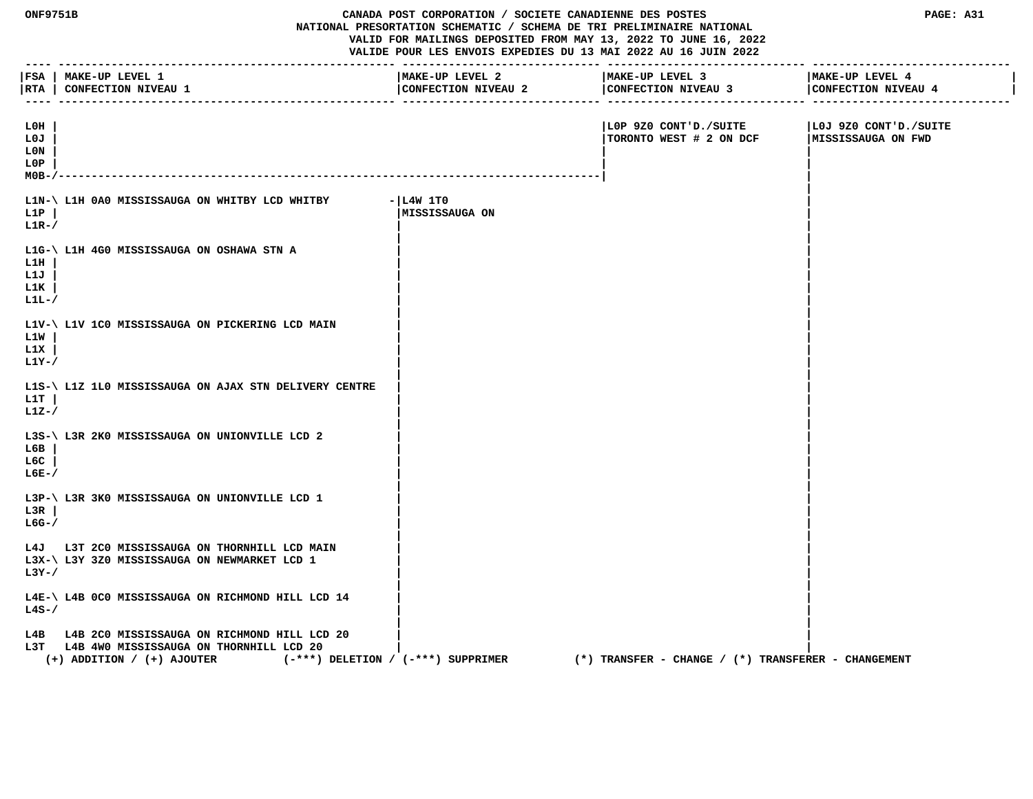| <b>ONF9751B</b><br>CANADA POST CORPORATION / SOCIETE CANADIENNE DES POSTES<br>NATIONAL PRESORTATION SCHEMATIC / SCHEMA DE TRI PRELIMINAIRE NATIONAL<br>VALID FOR MAILINGS DEPOSITED FROM MAY 13, 2022 TO JUNE 16, 2022<br>VALIDE POUR LES ENVOIS EXPEDIES DU 13 MAI 2022 AU 16 JUIN 2022 |                                                                                                                                                                | ___________________________            | PAGE: A31                                               |                                             |
|------------------------------------------------------------------------------------------------------------------------------------------------------------------------------------------------------------------------------------------------------------------------------------------|----------------------------------------------------------------------------------------------------------------------------------------------------------------|----------------------------------------|---------------------------------------------------------|---------------------------------------------|
| ----                                                                                                                                                                                                                                                                                     | FSA   MAKE-UP LEVEL 1<br> RTA   CONFECTION NIVEAU 1                                                                                                            | MAKE-UP LEVEL 2<br>CONFECTION NIVEAU 2 | MAKE-UP LEVEL 3<br>CONFECTION NIVEAU 3                  | MAKE-UP LEVEL 4<br>CONFECTION NIVEAU 4      |
| L0H<br>L0J<br>L0N<br>L0P<br>$MOB -$                                                                                                                                                                                                                                                      |                                                                                                                                                                |                                        | LOP 9Z0 CONT'D./SUITE<br>TORONTO WEST # 2 ON DCF        | LOJ 9Z0 CONT'D./SUITE<br>MISSISSAUGA ON FWD |
| L1P<br>$L1R-$                                                                                                                                                                                                                                                                            | L1N-\ L1H 0A0 MISSISSAUGA ON WHITBY LCD WHITBY                                                                                                                 | $- L4W 1T0$<br> MISSISSAUGA ON         |                                                         |                                             |
| L1H<br>L1J<br>L1K<br>$L1L-$                                                                                                                                                                                                                                                              | L1G-\ L1H 4G0 MISSISSAUGA ON OSHAWA STN A                                                                                                                      |                                        |                                                         |                                             |
| L1W<br>L1X<br>L1Y-/                                                                                                                                                                                                                                                                      | L1V-\ L1V 1C0 MISSISSAUGA ON PICKERING LCD MAIN                                                                                                                |                                        |                                                         |                                             |
| L1T<br>$L1Z-$                                                                                                                                                                                                                                                                            | L1S-\ L1Z 1L0 MISSISSAUGA ON AJAX STN DELIVERY CENTRE                                                                                                          |                                        |                                                         |                                             |
| L6B<br>L6C<br>$L6E-$                                                                                                                                                                                                                                                                     | L3S-\ L3R 2K0 MISSISSAUGA ON UNIONVILLE LCD 2                                                                                                                  |                                        |                                                         |                                             |
| L3R<br>$LG-$ /                                                                                                                                                                                                                                                                           | L3P-\ L3R 3K0 MISSISSAUGA ON UNIONVILLE LCD 1                                                                                                                  |                                        |                                                         |                                             |
| $L3Y-$ /                                                                                                                                                                                                                                                                                 | L4J L3T 2C0 MISSISSAUGA ON THORNHILL LCD MAIN<br>L3X-\ L3Y 3Z0 MISSISSAUGA ON NEWMARKET LCD 1                                                                  |                                        |                                                         |                                             |
| $L4S-$                                                                                                                                                                                                                                                                                   | L4E-\ L4B 0C0 MISSISSAUGA ON RICHMOND HILL LCD 14                                                                                                              |                                        |                                                         |                                             |
| L4B<br>L3T                                                                                                                                                                                                                                                                               | L4B 2C0 MISSISSAUGA ON RICHMOND HILL LCD 20<br>L4B 4W0 MISSISSAUGA ON THORNHILL LCD 20<br>(-***) DELETION / (-***) SUPPRIMER<br>$(+)$ ADDITION / $(+)$ AJOUTER |                                        | $(*)$ TRANSFER - CHANGE / $(*)$ TRANSFERER - CHANGEMENT |                                             |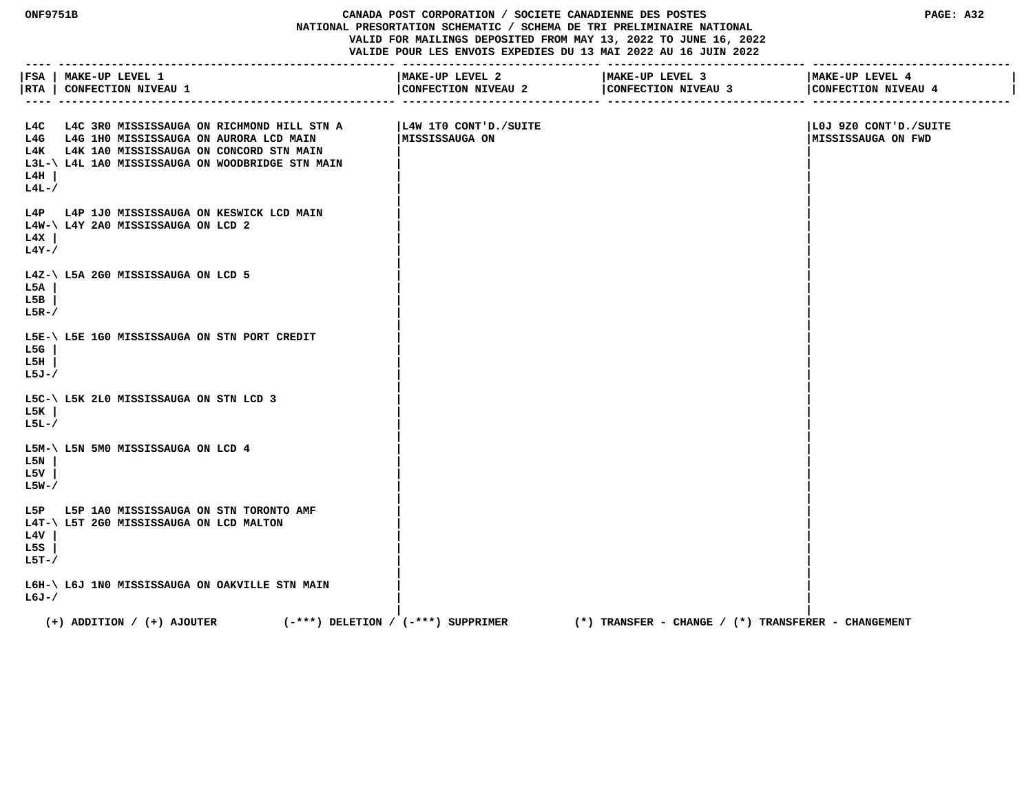## **ONF9751B CANADA POST CORPORATION / SOCIETE CANADIENNE DES POSTES PAGE: A32 NATIONAL PRESORTATION SCHEMATIC / SCHEMA DE TRI PRELIMINAIRE NATIONAL VALID FOR MAILINGS DEPOSITED FROM MAY 13, 2022 TO JUNE 16, 2022 VALIDE POUR LES ENVOIS EXPEDIES DU 13 MAI 2022 AU 16 JUIN 2022**

| $- - - - -$             | FSA   MAKE-UP LEVEL 1<br> RTA   CONFECTION NIVEAU 1                                                                                                                                             | MAKE-UP LEVEL 2<br>CONFECTION NIVEAU 2   | MAKE-UP LEVEL 3<br>CONFECTION NIVEAU 3              | MAKE-UP LEVEL 4<br>CONFECTION NIVEAU 4       |
|-------------------------|-------------------------------------------------------------------------------------------------------------------------------------------------------------------------------------------------|------------------------------------------|-----------------------------------------------------|----------------------------------------------|
| L4H<br>$L4L-$           | L4C L4C 3R0 MISSISSAUGA ON RICHMOND HILL STN A<br>L4G L4G 1H0 MISSISSAUGA ON AURORA LCD MAIN<br>L4K L4K 1A0 MISSISSAUGA ON CONCORD STN MAIN<br>L3L-\ L4L 1A0 MISSISSAUGA ON WOODBRIDGE STN MAIN | L4W 1TO CONT'D./SUITE<br> MISSISSAUGA ON |                                                     | LOJ 9Z0 CONT'D./SUITE<br> MISSISSAUGA ON FWD |
| L4X<br>$L4Y - /$        | L4P L4P 1J0 MISSISSAUGA ON KESWICK LCD MAIN<br>L4W-\ L4Y 2A0 MISSISSAUGA ON LCD 2                                                                                                               |                                          |                                                     |                                              |
| L5A<br>L5B<br>$L5R-$    | L4Z-\ L5A 2G0 MISSISSAUGA ON LCD 5                                                                                                                                                              |                                          |                                                     |                                              |
| L5G<br>L5H<br>L5J-/     | L5E-\ L5E 1G0 MISSISSAUGA ON STN PORT CREDIT                                                                                                                                                    |                                          |                                                     |                                              |
| L5K<br>L5L-/            | L5C-\ L5K 2L0 MISSISSAUGA ON STN LCD 3                                                                                                                                                          |                                          |                                                     |                                              |
| L5N<br>L5V<br>L5W-/     | L5M-\ L5N 5M0 MISSISSAUGA ON LCD 4                                                                                                                                                              |                                          |                                                     |                                              |
| L4V<br>L5S<br>$L5T - /$ | L5P L5P 1A0 MISSISSAUGA ON STN TORONTO AMF<br>L4T-\ L5T 2G0 MISSISSAUGA ON LCD MALTON                                                                                                           |                                          |                                                     |                                              |
| L6J-/                   | L6H-\ L6J 1N0 MISSISSAUGA ON OAKVILLE STN MAIN                                                                                                                                                  |                                          |                                                     |                                              |
|                         | $(+)$ ADDITION / $(+)$ AJOUTER<br>$(-***)$ DELETION / $(-***)$ SUPPRIMER                                                                                                                        |                                          | (*) TRANSFER - CHANGE / (*) TRANSFERER - CHANGEMENT |                                              |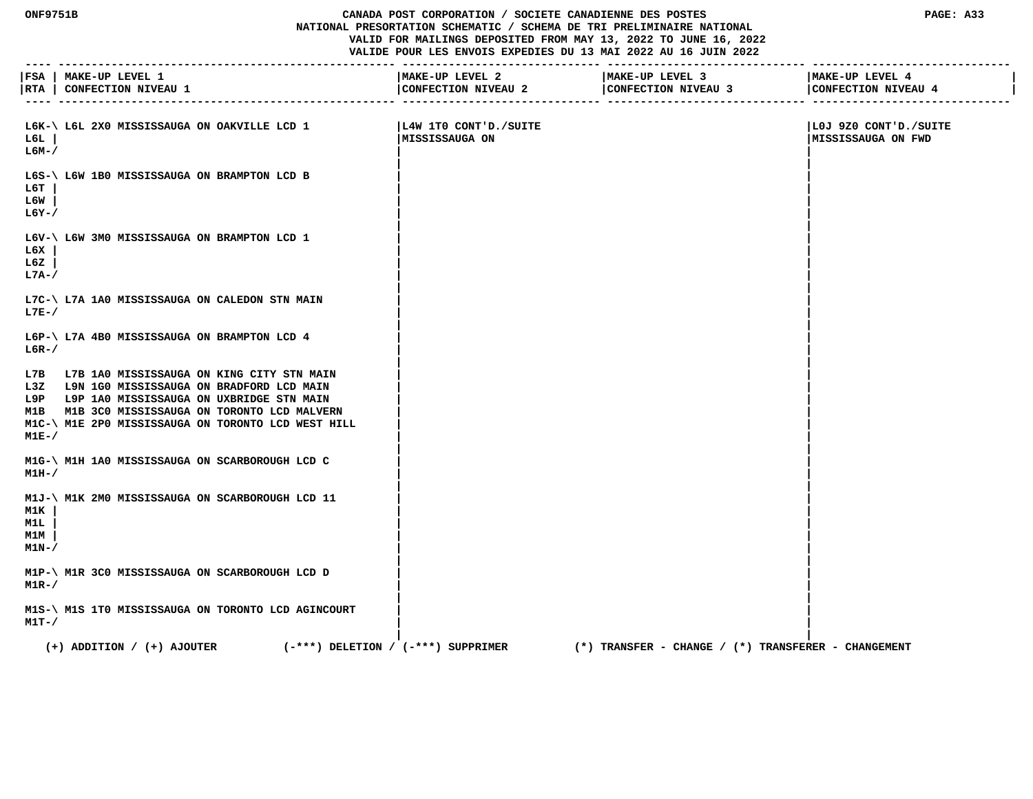## **ONF9751B CANADA POST CORPORATION / SOCIETE CANADIENNE DES POSTES PAGE: A33 NATIONAL PRESORTATION SCHEMATIC / SCHEMA DE TRI PRELIMINAIRE NATIONAL VALID FOR MAILINGS DEPOSITED FROM MAY 13, 2022 TO JUNE 16, 2022 VALIDE POUR LES ENVOIS EXPEDIES DU 13 MAI 2022 AU 16 JUIN 2022**

|                            | FSA   MAKE-UP LEVEL 1                                                                                                                                                                                                                                 | MAKE-UP LEVEL 2                         | MAKE-UP LEVEL 3                                     | MAKE-UP LEVEL 4                              |
|----------------------------|-------------------------------------------------------------------------------------------------------------------------------------------------------------------------------------------------------------------------------------------------------|-----------------------------------------|-----------------------------------------------------|----------------------------------------------|
|                            | RTA   CONFECTION NIVEAU 1                                                                                                                                                                                                                             | CONFECTION NIVEAU 2                     | CONFECTION NIVEAU 3                                 | CONFECTION NIVEAU 4                          |
|                            |                                                                                                                                                                                                                                                       |                                         |                                                     |                                              |
| rer l<br>L6M-/             | L6K-\ L6L 2X0 MISSISSAUGA ON OAKVILLE LCD 1                                                                                                                                                                                                           | L4W 1TO CONT'D./SUITE<br>MISSISSAUGA ON |                                                     | LOJ 9Z0 CONT'D./SUITE<br> MISSISSAUGA ON FWD |
| L6T<br>L6W<br>$L6Y - /$    | L6S-\ L6W 1B0 MISSISSAUGA ON BRAMPTON LCD B                                                                                                                                                                                                           |                                         |                                                     |                                              |
| L6X<br>L6Z<br>L7A-/        | L6V-\ L6W 3M0 MISSISSAUGA ON BRAMPTON LCD 1                                                                                                                                                                                                           |                                         |                                                     |                                              |
| $L7E-$                     | L7C-\ L7A 1A0 MISSISSAUGA ON CALEDON STN MAIN                                                                                                                                                                                                         |                                         |                                                     |                                              |
| $L6R-$                     | L6P-\ L7A 4B0 MISSISSAUGA ON BRAMPTON LCD 4                                                                                                                                                                                                           |                                         |                                                     |                                              |
| $M1E-$                     | L7B L7B 1A0 MISSISSAUGA ON KING CITY STN MAIN<br>L3Z L9N 1G0 MISSISSAUGA ON BRADFORD LCD MAIN<br>L9P L9P 1A0 MISSISSAUGA ON UXBRIDGE STN MAIN<br>M1B M1B 3C0 MISSISSAUGA ON TORONTO LCD MALVERN<br>M1C-\ M1E 2P0 MISSISSAUGA ON TORONTO LCD WEST HILL |                                         |                                                     |                                              |
| $M1H-$                     | M1G-\ M1H 1A0 MISSISSAUGA ON SCARBOROUGH LCD C                                                                                                                                                                                                        |                                         |                                                     |                                              |
| M1K<br>M1L<br>M1M<br>M1N-/ | M1J-\ M1K 2M0 MISSISSAUGA ON SCARBOROUGH LCD 11                                                                                                                                                                                                       |                                         |                                                     |                                              |
| $M1R-$ /                   | M1P-\ M1R 3C0 MISSISSAUGA ON SCARBOROUGH LCD D                                                                                                                                                                                                        |                                         |                                                     |                                              |
| $M1T-$ /                   | M1S-\ M1S 1T0 MISSISSAUGA ON TORONTO LCD AGINCOURT                                                                                                                                                                                                    |                                         |                                                     |                                              |
|                            | $(-***)$ DELETION / $(-***)$ SUPPRIMER<br>$(+)$ ADDITION / $(+)$ AJOUTER                                                                                                                                                                              |                                         | (*) TRANSFER – CHANGE / (*) TRANSFERER – CHANGEMENT |                                              |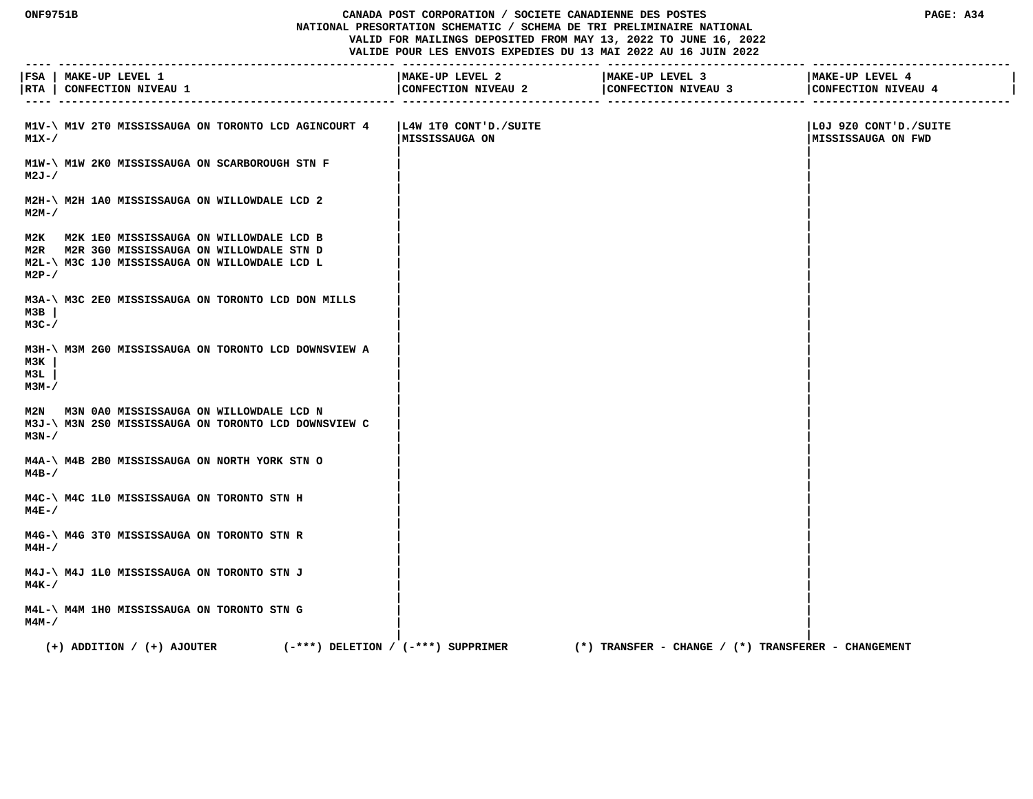## **ONF9751B CANADA POST CORPORATION / SOCIETE CANADIENNE DES POSTES PAGE: A34 NATIONAL PRESORTATION SCHEMATIC / SCHEMA DE TRI PRELIMINAIRE NATIONAL VALID FOR MAILINGS DEPOSITED FROM MAY 13, 2022 TO JUNE 16, 2022 VALIDE POUR LES ENVOIS EXPEDIES DU 13 MAI 2022 AU 16 JUIN 2022**

|                      | FSA   MAKE-UP LEVEL 1<br> RTA   CONFECTION NIVEAU 1                                                                                         | MAKE-UP LEVEL 2<br>CONFECTION NIVEAU 2   | MAKE-UP LEVEL 3<br>CONFECTION NIVEAU 3<br>.--------------- -------- | MAKE-UP LEVEL 4<br>CONFECTION NIVEAU 4       |
|----------------------|---------------------------------------------------------------------------------------------------------------------------------------------|------------------------------------------|---------------------------------------------------------------------|----------------------------------------------|
| $M1X-$               | M1V-\ M1V 2T0 MISSISSAUGA ON TORONTO LCD AGINCOURT 4                                                                                        | L4W 1TO CONT'D./SUITE<br> MISSISSAUGA ON |                                                                     | LOJ 9Z0 CONT'D./SUITE<br> MISSISSAUGA ON FWD |
| $M2J - /$            | M1W-\ M1W 2K0 MISSISSAUGA ON SCARBOROUGH STN F                                                                                              |                                          |                                                                     |                                              |
| $M2M-$ /             | M2H-\ M2H 1A0 MISSISSAUGA ON WILLOWDALE LCD 2                                                                                               |                                          |                                                                     |                                              |
| $M2P-$               | M2K M2K 1E0 MISSISSAUGA ON WILLOWDALE LCD B<br>M2R M2R 3G0 MISSISSAUGA ON WILLOWDALE STN D<br>M2L-\ M3C 1J0 MISSISSAUGA ON WILLOWDALE LCD L |                                          |                                                                     |                                              |
| M3B<br>$M3C-$ /      | M3A-\ M3C 2E0 MISSISSAUGA ON TORONTO LCD DON MILLS                                                                                          |                                          |                                                                     |                                              |
| M3K<br>мзт.<br>м3м-/ | M3H-\ M3M 2G0 MISSISSAUGA ON TORONTO LCD DOWNSVIEW A                                                                                        |                                          |                                                                     |                                              |
| $M3N-$               | M2N M3N 0A0 MISSISSAUGA ON WILLOWDALE LCD N<br>M3J-\ M3N 2S0 MISSISSAUGA ON TORONTO LCD DOWNSVIEW C                                         |                                          |                                                                     |                                              |
| $M4B-$ /             | M4A-\ M4B 2B0 MISSISSAUGA ON NORTH YORK STN O                                                                                               |                                          |                                                                     |                                              |
| $M4E-$               | M4C-\ M4C 1L0 MISSISSAUGA ON TORONTO STN H                                                                                                  |                                          |                                                                     |                                              |
| $M4H-$               | M4G-\ M4G 3T0 MISSISSAUGA ON TORONTO STN R                                                                                                  |                                          |                                                                     |                                              |
| $M4K-$ /             | M4J-\ M4J 1L0 MISSISSAUGA ON TORONTO STN J                                                                                                  |                                          |                                                                     |                                              |
| $M4M-$               | M4L-\ M4M 1H0 MISSISSAUGA ON TORONTO STN G                                                                                                  |                                          |                                                                     |                                              |
|                      | $(+)$ ADDITION / $(+)$ AJOUTER                                                                                                              | $(-***)$ DELETION / $(-***)$ SUPPRIMER   | $(*)$ TRANSFER - CHANGE / $(*)$ TRANSFERER - CHANGEMENT             |                                              |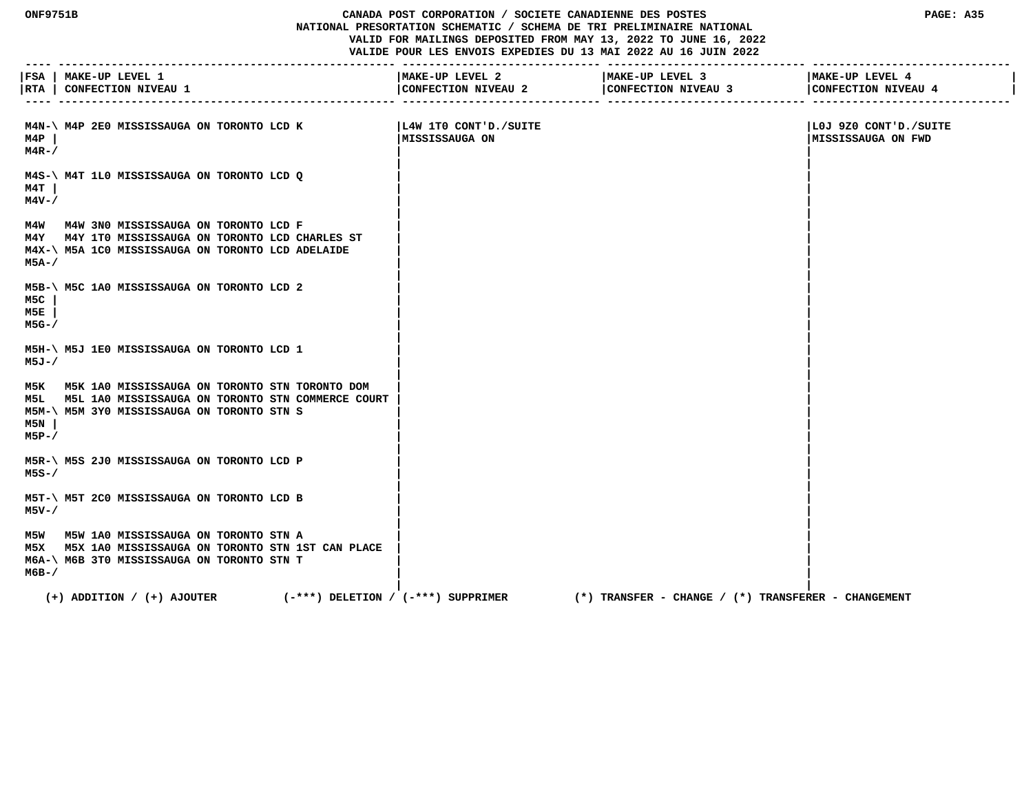## **ONF9751B CANADA POST CORPORATION / SOCIETE CANADIENNE DES POSTES PAGE: A35 NATIONAL PRESORTATION SCHEMATIC / SCHEMA DE TRI PRELIMINAIRE NATIONAL VALID FOR MAILINGS DEPOSITED FROM MAY 13, 2022 TO JUNE 16, 2022 VALIDE POUR LES ENVOIS EXPEDIES DU 13 MAI 2022 AU 16 JUIN 2022**

|                     | FSA   MAKE-UP LEVEL 1<br> RTA   CONFECTION NIVEAU 1                                                                                                       | MAKE-UP LEVEL 2<br>CONFECTION NIVEAU 2  | MAKE-UP LEVEL 3<br>CONFECTION NIVEAU 3              | MAKE-UP LEVEL 4<br>CONFECTION NIVEAU 4             |
|---------------------|-----------------------------------------------------------------------------------------------------------------------------------------------------------|-----------------------------------------|-----------------------------------------------------|----------------------------------------------------|
| M4P<br>$M4R-$ /     | M4N-\ M4P 2E0 MISSISSAUGA ON TORONTO LCD K                                                                                                                | L4W 1TO CONT'D./SUITE<br>MISSISSAUGA ON |                                                     | LOJ 9Z0 CONT'D./SUITE<br><b>MISSISSAUGA ON FWD</b> |
| M4T  <br>M4V-/      | M4S-\ M4T 1L0 MISSISSAUGA ON TORONTO LCD Q                                                                                                                |                                         |                                                     |                                                    |
| M5A-/               | M4W M4W 3N0 MISSISSAUGA ON TORONTO LCD F<br>M4Y M4Y 1T0 MISSISSAUGA ON TORONTO LCD CHARLES ST<br>M4X-\ M5A 1C0 MISSISSAUGA ON TORONTO LCD ADELAIDE        |                                         |                                                     |                                                    |
| M5C<br>M5E<br>M5G-/ | M5B-\ M5C 1A0 MISSISSAUGA ON TORONTO LCD 2                                                                                                                |                                         |                                                     |                                                    |
| M5J-/               | M5H-\ M5J 1E0 MISSISSAUGA ON TORONTO LCD 1                                                                                                                |                                         |                                                     |                                                    |
| M5N  <br>M5P-/      | M5K M5K 1A0 MISSISSAUGA ON TORONTO STN TORONTO DOM<br>M5L M5L 1A0 MISSISSAUGA ON TORONTO STN COMMERCE COURT<br>M5M-\ M5M 3Y0 MISSISSAUGA ON TORONTO STN S |                                         |                                                     |                                                    |
| M5S-/               | M5R-\ M5S 2J0 MISSISSAUGA ON TORONTO LCD P                                                                                                                |                                         |                                                     |                                                    |
| M5V-/               | M5T-\ M5T 2C0 MISSISSAUGA ON TORONTO LCD B                                                                                                                |                                         |                                                     |                                                    |
| м6в-/               | M5W M5W 1A0 MISSISSAUGA ON TORONTO STN A<br>M5X M5X 1A0 MISSISSAUGA ON TORONTO STN 1ST CAN PLACE<br>M6A-\ M6B 3T0 MISSISSAUGA ON TORONTO STN T            |                                         |                                                     |                                                    |
|                     | $(+)$ ADDITION / $(+)$ AJOUTER<br>$(-***)$ DELETION / $(-***)$ SUPPRIMER                                                                                  |                                         | (*) TRANSFER - CHANGE / (*) TRANSFERER - CHANGEMENT |                                                    |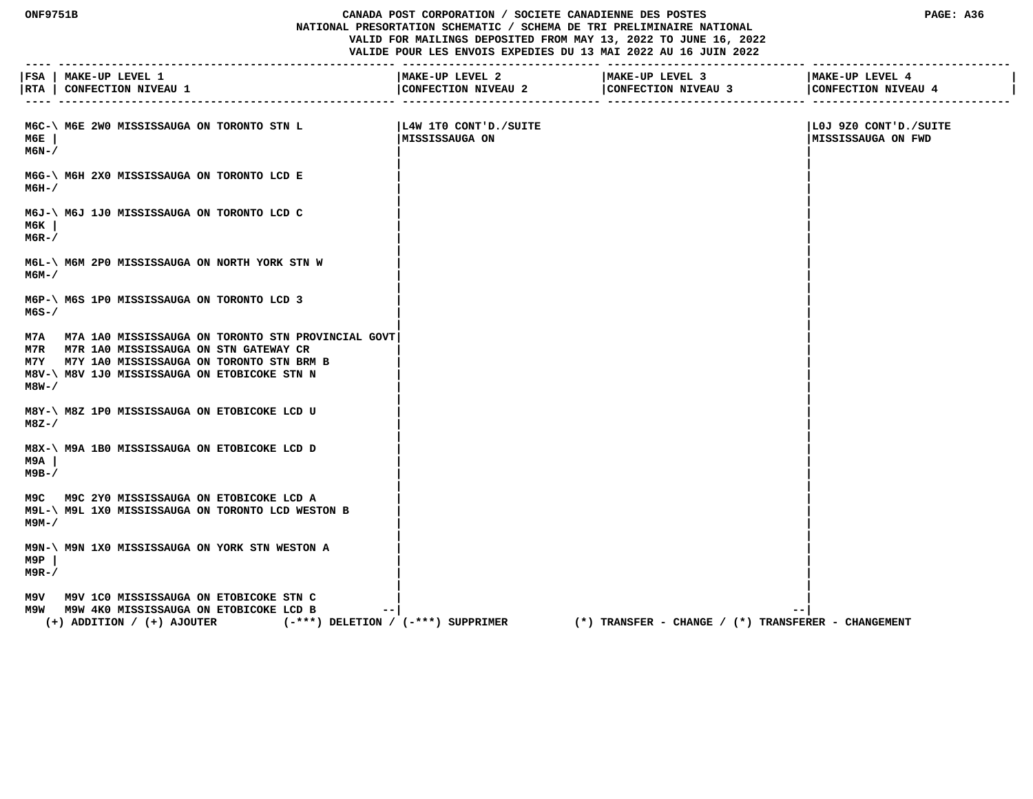## **ONF9751B CANADA POST CORPORATION / SOCIETE CANADIENNE DES POSTES PAGE: A36 NATIONAL PRESORTATION SCHEMATIC / SCHEMA DE TRI PRELIMINAIRE NATIONAL VALID FOR MAILINGS DEPOSITED FROM MAY 13, 2022 TO JUNE 16, 2022 VALIDE POUR LES ENVOIS EXPEDIES DU 13 MAI 2022 AU 16 JUIN 2022**

|                  | FSA   MAKE-UP LEVEL 1<br> RTA   CONFECTION NIVEAU 1                                                                                                                                                 | MAKE-UP LEVEL 2<br>CONFECTION NIVEAU 2   | -------------------------------<br>MAKE-UP LEVEL 3<br>CONFECTION NIVEAU 3 | MAKE-UP LEVEL 4<br>CONFECTION NIVEAU 4             |
|------------------|-----------------------------------------------------------------------------------------------------------------------------------------------------------------------------------------------------|------------------------------------------|---------------------------------------------------------------------------|----------------------------------------------------|
| мбЕ<br>M6N-/     | M6C-\ M6E 2W0 MISSISSAUGA ON TORONTO STN L                                                                                                                                                          | L4W 1TO CONT'D./SUITE<br> MISSISSAUGA ON |                                                                           | LOJ 9Z0 CONT'D./SUITE<br><b>MISSISSAUGA ON FWD</b> |
| м6н-/            | M6G-\ M6H 2X0 MISSISSAUGA ON TORONTO LCD E                                                                                                                                                          |                                          |                                                                           |                                                    |
| м6к<br>$M6R-$    | M6J-\ M6J 1J0 MISSISSAUGA ON TORONTO LCD C                                                                                                                                                          |                                          |                                                                           |                                                    |
| м6м–/            | M6L-\ M6M 2P0 MISSISSAUGA ON NORTH YORK STN W                                                                                                                                                       |                                          |                                                                           |                                                    |
| $M6S - /$        | M6P-\ M6S 1P0 MISSISSAUGA ON TORONTO LCD 3                                                                                                                                                          |                                          |                                                                           |                                                    |
| $M8W-$           | M7A M7A 1A0 MISSISSAUGA ON TORONTO STN PROVINCIAL GOVT<br>M7R M7R 1A0 MISSISSAUGA ON STN GATEWAY CR<br>M7Y M7Y 1A0 MISSISSAUGA ON TORONTO STN BRM B<br>M8V-\ M8V 1J0 MISSISSAUGA ON ETOBICOKE STN N |                                          |                                                                           |                                                    |
| M8Z-/            | M8Y-\ M8Z 1P0 MISSISSAUGA ON ETOBICOKE LCD U                                                                                                                                                        |                                          |                                                                           |                                                    |
| M9A<br>$M9B-$    | M8X-\ M9A 1B0 MISSISSAUGA ON ETOBICOKE LCD D                                                                                                                                                        |                                          |                                                                           |                                                    |
| м9м-7            | M9C M9C 2Y0 MISSISSAUGA ON ETOBICOKE LCD A<br>M9L-\ M9L 1X0 MISSISSAUGA ON TORONTO LCD WESTON B                                                                                                     |                                          |                                                                           |                                                    |
| M9P<br>$M9R - /$ | M9N-\ M9N 1X0 MISSISSAUGA ON YORK STN WESTON A                                                                                                                                                      |                                          |                                                                           |                                                    |
|                  | M9V M9V 1C0 MISSISSAUGA ON ETOBICOKE STN C<br>M9W M9W 4K0 MISSISSAUGA ON ETOBICOKE LCD B<br>(-***) DELETION / (-***) SUPPRIMER<br>$(+)$ ADDITION / $(+)$ AJOUTER                                    |                                          | $(*)$ TRANSFER - CHANGE / $(*)$ TRANSFERER - CHANGEMENT                   | --                                                 |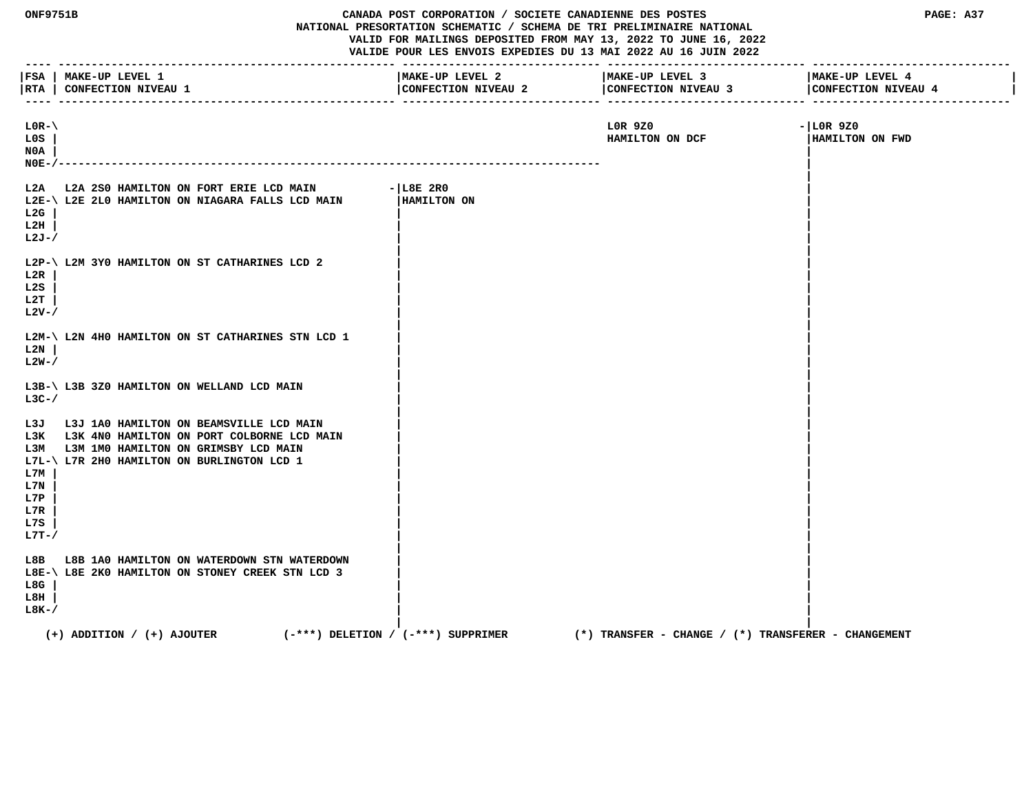| <b>ONF9751B</b>                                               |                                                                                                                                                                             | CANADA POST CORPORATION / SOCIETE CANADIENNE DES POSTES<br>NATIONAL PRESORTATION SCHEMATIC / SCHEMA DE TRI PRELIMINAIRE NATIONAL<br>VALID FOR MAILINGS DEPOSITED FROM MAY 13, 2022 TO JUNE 16, 2022<br>VALIDE POUR LES ENVOIS EXPEDIES DU 13 MAI 2022 AU 16 JUIN 2022 |                                                         | PAGE: A37                              |  |
|---------------------------------------------------------------|-----------------------------------------------------------------------------------------------------------------------------------------------------------------------------|-----------------------------------------------------------------------------------------------------------------------------------------------------------------------------------------------------------------------------------------------------------------------|---------------------------------------------------------|----------------------------------------|--|
|                                                               | FSA   MAKE-UP LEVEL 1<br> RTA   CONFECTION NIVEAU 1                                                                                                                         | MAKE-UP LEVEL 2<br>CONFECTION NIVEAU 2                                                                                                                                                                                                                                | MAKE-UP LEVEL 3<br>CONFECTION NIVEAU 3                  | MAKE-UP LEVEL 4<br>CONFECTION NIVEAU 4 |  |
| $LOR-\Lambda$<br>L0S<br>N0A<br>$NOE-$                         |                                                                                                                                                                             |                                                                                                                                                                                                                                                                       | LOR 9Z0<br>HAMILTON ON DCF                              | $- LOR9Z0$<br>HAMILTON ON FWD          |  |
| L2A<br>L2G<br>L2H<br>$L2J-$                                   | L2A 2S0 HAMILTON ON FORT ERIE LCD MAIN<br>L2E-\ L2E 2L0 HAMILTON ON NIAGARA FALLS LCD MAIN                                                                                  | $-$ L $8E$ 2R0<br>HAMILTON ON                                                                                                                                                                                                                                         |                                                         |                                        |  |
| L2R<br>L2S<br>L2T<br>$L2V-$                                   | L2P-\ L2M 3YO HAMILTON ON ST CATHARINES LCD 2                                                                                                                               |                                                                                                                                                                                                                                                                       |                                                         |                                        |  |
| L2N<br>$L2W-$                                                 | L2M-\ L2N 4H0 HAMILTON ON ST CATHARINES STN LCD 1                                                                                                                           |                                                                                                                                                                                                                                                                       |                                                         |                                        |  |
| $L3C-$ /                                                      | L3B-\ L3B 3Z0 HAMILTON ON WELLAND LCD MAIN                                                                                                                                  |                                                                                                                                                                                                                                                                       |                                                         |                                        |  |
| L3J<br>L3K<br>L3M<br>L7M<br>L7N<br>L7P<br>L7R<br>L7S<br>L7T-/ | L3J 1A0 HAMILTON ON BEAMSVILLE LCD MAIN<br>L3K 4N0 HAMILTON ON PORT COLBORNE LCD MAIN<br>L3M 1MO HAMILTON ON GRIMSBY LCD MAIN<br>L7L-\ L7R 2H0 HAMILTON ON BURLINGTON LCD 1 |                                                                                                                                                                                                                                                                       |                                                         |                                        |  |
| L8B<br>L8G<br>L8H<br>$L8K-$                                   | L8B 1A0 HAMILTON ON WATERDOWN STN WATERDOWN<br>L8E-\ L8E 2K0 HAMILTON ON STONEY CREEK STN LCD 3                                                                             |                                                                                                                                                                                                                                                                       |                                                         |                                        |  |
|                                                               | $(+)$ ADDITION / $(+)$ AJOUTER                                                                                                                                              | $(-***)$ DELETION / $(-***)$ SUPPRIMER                                                                                                                                                                                                                                | $(*)$ TRANSFER - CHANGE / $(*)$ TRANSFERER - CHANGEMENT |                                        |  |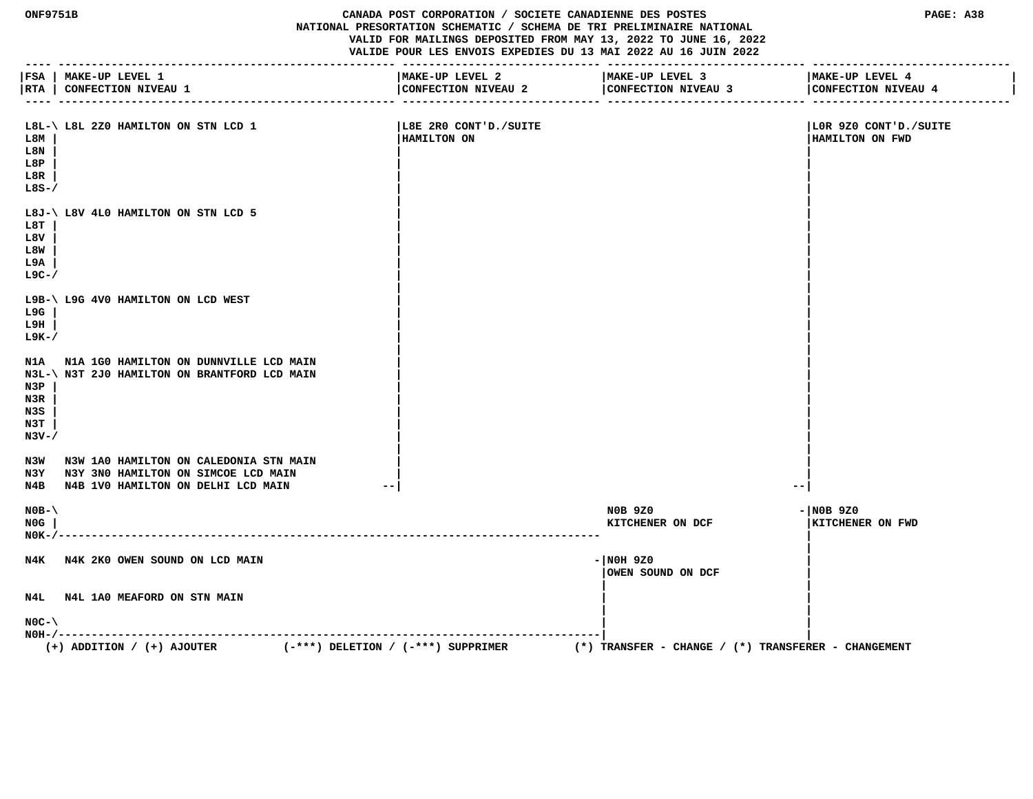## **ONF9751B CANADA POST CORPORATION / SOCIETE CANADIENNE DES POSTES PAGE: A38 NATIONAL PRESORTATION SCHEMATIC / SCHEMA DE TRI PRELIMINAIRE NATIONAL VALID FOR MAILINGS DEPOSITED FROM MAY 13, 2022 TO JUNE 16, 2022 VALIDE POUR LES ENVOIS EXPEDIES DU 13 MAI 2022 AU 16 JUIN 2022**

|                                       | FSA   MAKE-UP LEVEL 1<br> RTA   CONFECTION NIVEAU 1                                                                             | MAKE-UP LEVEL 2<br>CONFECTION NIVEAU 2 | MAKE-UP LEVEL 3<br>CONFECTION NIVEAU 3                  | MAKE-UP LEVEL 4<br>CONFECTION NIVEAU 4   |
|---------------------------------------|---------------------------------------------------------------------------------------------------------------------------------|----------------------------------------|---------------------------------------------------------|------------------------------------------|
| L8M<br>L8N<br>L8P<br>L8R<br>$L8S-$ /  | L8L-\ L8L 2Z0 HAMILTON ON STN LCD 1                                                                                             | L8E 2R0 CONT'D./SUITE<br>HAMILTON ON   |                                                         | LOR 9Z0 CONT'D./SUITE<br>HAMILTON ON FWD |
| L8T<br>L8V<br>L8W<br>L9A<br>$L9C-$ /  | L8J-\ L8V 4L0 HAMILTON ON STN LCD 5                                                                                             |                                        |                                                         |                                          |
| L9G<br>L9H<br>$L9K-$ /                | L9B-\ L9G 4V0 HAMILTON ON LCD WEST                                                                                              |                                        |                                                         |                                          |
| N3P<br>N3R<br>N3S<br>N3T<br>$N3V - /$ | N1A N1A 1G0 HAMILTON ON DUNNVILLE LCD MAIN<br>N3L-\ N3T 2J0 HAMILTON ON BRANTFORD LCD MAIN                                      |                                        |                                                         |                                          |
|                                       | N3W N3W 1A0 HAMILTON ON CALEDONIA STN MAIN<br>N3Y N3Y 3NO HAMILTON ON SIMCOE LCD MAIN<br>N4B N4B 1V0 HAMILTON ON DELHI LCD MAIN |                                        | $- -$                                                   |                                          |
| $NOB - \setminus$<br>NOG<br>$N0K-/--$ | $ -$                                                                                                                            |                                        | <b>NOB 9Z0</b><br>KITCHENER ON DCF                      | $ NOB$ 920<br>KITCHENER ON FWD           |
|                                       | N4K N4K 2K0 OWEN SOUND ON LCD MAIN                                                                                              |                                        | $- NOH 9Z0$<br>OWEN SOUND ON DCF                        |                                          |
|                                       | N4L N4L 1A0 MEAFORD ON STN MAIN                                                                                                 |                                        |                                                         |                                          |
| $NOC - \$                             | $(-***)$ DELETION / $(-***)$ SUPPRIMER<br>$(+)$ ADDITION / $(+)$ AJOUTER                                                        |                                        | $(*)$ TRANSFER - CHANGE / $(*)$ TRANSFERER - CHANGEMENT |                                          |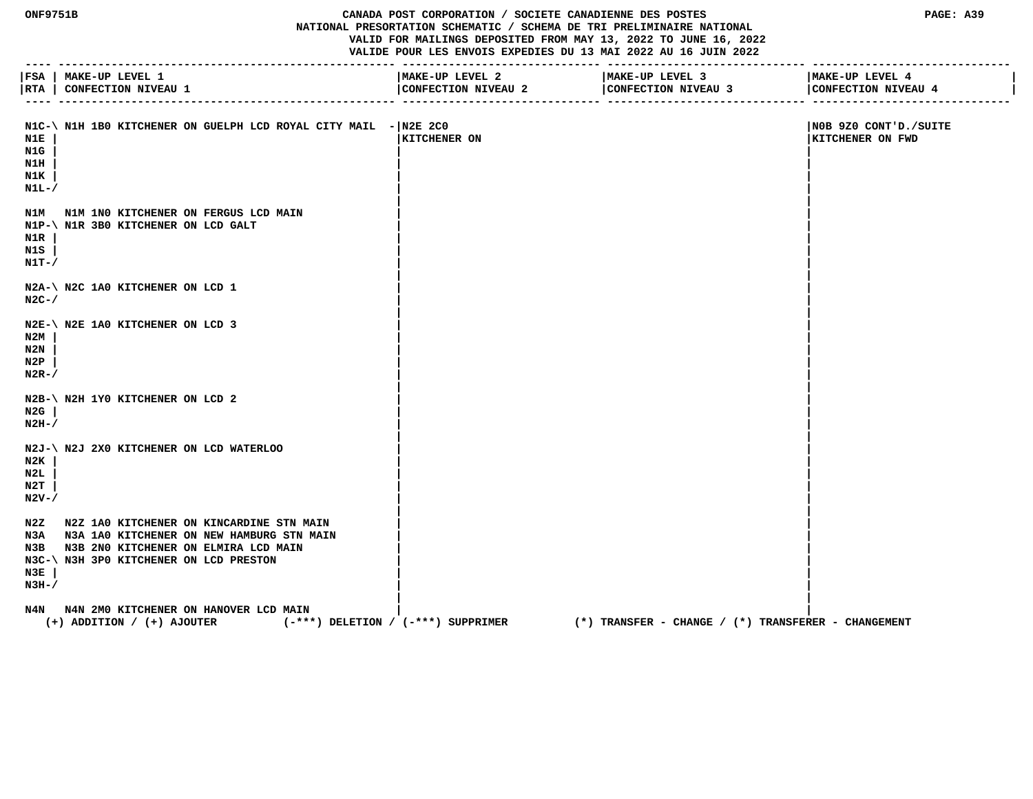#### **ONF9751B CANADA POST CORPORATION / SOCIETE CANADIENNE DES POSTES PAGE: A39 NATIONAL PRESORTATION SCHEMATIC / SCHEMA DE TRI PRELIMINAIRE NATIONAL VALID FOR MAILINGS DEPOSITED FROM MAY 13, 2022 TO JUNE 16, 2022 VALIDE POUR LES ENVOIS EXPEDIES DU 13 MAI 2022 AU 16 JUIN 2022**

 **---- --------------------------------------------------- ------------------------------ ------------------------------ ------------------------------ |FSA | MAKE-UP LEVEL 1 |MAKE-UP LEVEL 2 |MAKE-UP LEVEL 3 |MAKE-UP LEVEL 4 |** |RTA | CONFECTION NIVEAU 1 | CONFECTION NIVEAU 2 | CONFECTION NIVEAU 3 | CONFECTION NIVEAU 4  **---- --------------------------------------------------- ------------------------------ ------------------------------ ------------------------------** N1C-\ N1H 1B0 KITCHENER ON GUELPH LCD ROYAL CITY MAIL -|N2E 2C0 | NOB 9Z0 CONT'D./SUITE  **N1E | |KITCHENER ON |KITCHENER ON FWD N1G | | | N1H | | | N1K | | | N1L-/**  $\sqrt{2}$  **| |** N1M N1M 1N0 KITCHENER ON FERGUS LCD MAIN  **N1P-\ N1R 3B0 KITCHENER ON LCD GALT | | N1R | | | N1S | | | N1T-/**  $\sqrt{2}$  **| | N2A-\ N2C 1A0 KITCHENER ON LCD 1**<br>N2C-/ **N2C-/**  $\sqrt{2\pi r}$  **| | N2E-\ N2E 1A0 KITCHENER ON LCD 3 | | N2M | | | N2N | | | N2P | | | N2R-/**  $\sqrt{ }$  **| | N2B-\ N2H 1Y0 KITCHENER ON LCD 2** N2G |  **N2G | | | N2H-/**  $\qquad$  |  **| | N2J-\ N2J 2X0 KITCHENER ON LCD WATERLOO | | N2K | | | N2L | | | N2T | | | N2V-/**  $\qquad \qquad$  **| |** N2Z N2Z 1A0 KITCHENER ON KINCARDINE STN MAIN N3A N3A 1A0 KITCHENER ON NEW HAMBURG STN MAIN  **N3B N3B 2N0 KITCHENER ON ELMIRA LCD MAIN | | N3C-\ N3H 3P0 KITCHENER ON LCD PRESTON | | N3E | | | N3H-/**  $\qquad$  |  **| |**

N4N N4N 2M0 KITCHENER ON HANOVER LCD MAIN  **(+) ADDITION / (+) AJOUTER (-\*\*\*) DELETION / (-\*\*\*) SUPPRIMER (\*) TRANSFER - CHANGE / (\*) TRANSFERER - CHANGEMENT**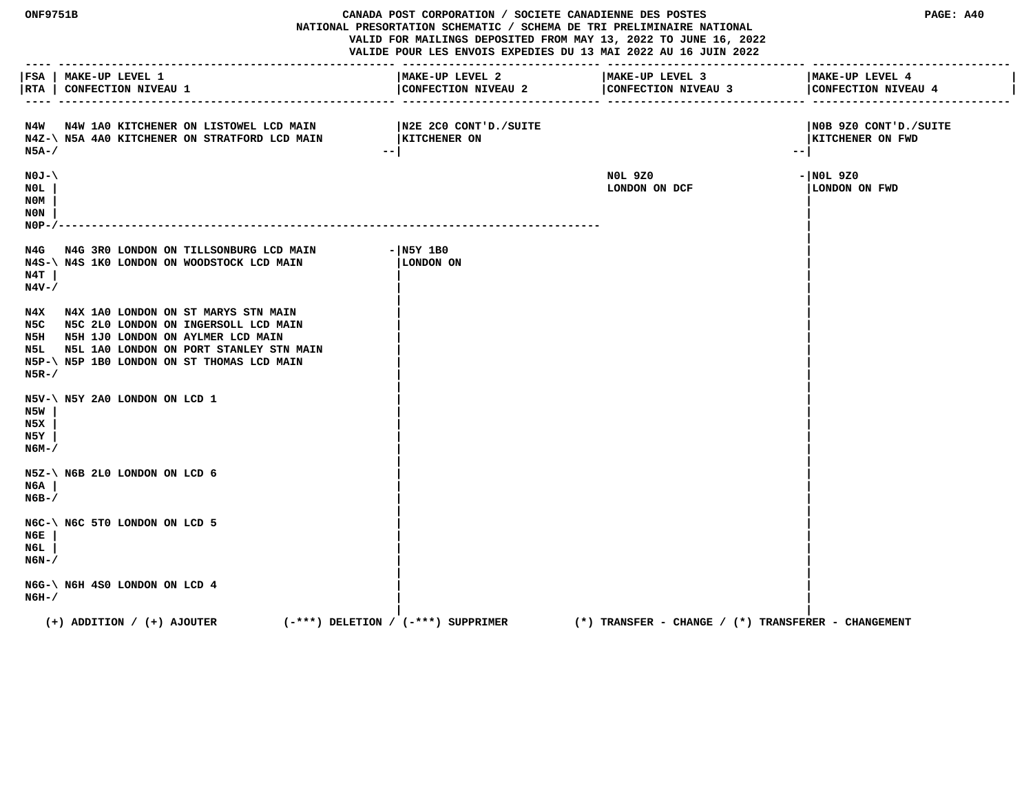**ONF9751B CANADA POST CORPORATION / SOCIETE CANADIENNE DES POSTES PAGE: A40 NATIONAL PRESORTATION SCHEMATIC / SCHEMA DE TRI PRELIMINAIRE NATIONAL VALID FOR MAILINGS DEPOSITED FROM MAY 13, 2022 TO JUNE 16, 2022 VALIDE POUR LES ENVOIS EXPEDIES DU 13 MAI 2022 AU 16 JUIN 2022 ---- --------------------------------------------------- ------------------------------ ------------------------------ ------------------------------ |FSA | MAKE-UP LEVEL 1 |MAKE-UP LEVEL 2 |MAKE-UP LEVEL 3 |MAKE-UP LEVEL 4 |** |RTA | CONFECTION NIVEAU 1 | CONFECTION NIVEAU 2 | CONFECTION NIVEAU 4 | CONFECTION NIVEAU 4 | CONFECTION NIVEAU 4 | CONFECTION NIVEAU 4 | CONFECTION NIVEAU 4  **---- --------------------------------------------------- ------------------------------ ------------------------------ ------------------------------ N4W N4W 1A0 KITCHENER ON LISTOWEL LCD MAIN |N2E 2C0 CONT'D./SUITE |N0B 9Z0 CONT'D./SUITE** N4Z-\ N5A 4A0 KITCHENER ON STRATFORD LCD MAIN |KITCHENER ON **|KITCHENER ON** |KITCHENER ON FWD  **N5A-/ --| --| N0J-\ N0L 9Z0 -|N0L 9Z0 N0L | LONDON ON DCF |LONDON ON FWD N0M | | N0N | | N0P-/---------------------------------------------------------------------------------- | |** N4G N4G 3R0 LONDON ON TILLSONBURG LCD MAIN - N5Y 1B0<br>N4S-\N4S 1K0 LONDON ON WOODSTOCK LCD MAIN | LONDON ON  **N4S-\ N4S 1K0 LONDON ON WOODSTOCK LCD MAIN |LONDON ON | N4T | | | N4V-/ | | | |** N4X N4X 1A0 LONDON ON ST MARYS STN MAIN  **N5C N5C 2L0 LONDON ON INGERSOLL LCD MAIN | | N5H N5H 1J0 LONDON ON AYLMER LCD MAIN | |** N5L N5L 1A0 LONDON ON PORT STANLEY STN MAIN  **N5P-\ N5P 1B0 LONDON ON ST THOMAS LCD MAIN | | N5R-/ | | | | N5V-\ N5Y 2A0 LONDON ON LCD 1 | | N5W | | | N5X | | | N5Y | | | N6M-/ | | | | N5Z-\ N6B 2L0 LONDON ON LCD 6 | | N6A | | | N6B-/ | | | | N6C-\ N6C 5T0 LONDON ON LCD 5 | | N6E | | | N6L | | | N6N-/ | | | | N6G-\ N6H 4S0 LONDON ON LCD 4**<br>N6H-/  **N6H-/ | | | | (+) ADDITION / (+) AJOUTER (-\*\*\*) DELETION / (-\*\*\*) SUPPRIMER (\*) TRANSFER - CHANGE / (\*) TRANSFERER - CHANGEMENT**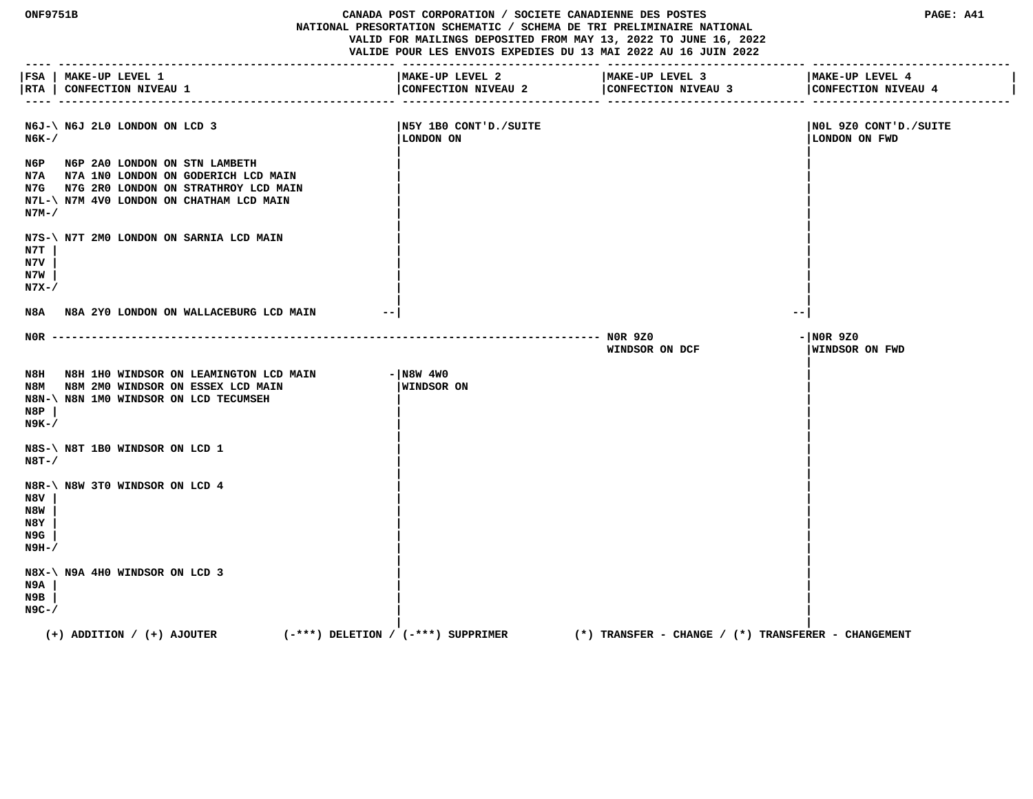**ONF9751B CANADA POST CORPORATION / SOCIETE CANADIENNE DES POSTES PAGE: A41 NATIONAL PRESORTATION SCHEMATIC / SCHEMA DE TRI PRELIMINAIRE NATIONAL VALID FOR MAILINGS DEPOSITED FROM MAY 13, 2022 TO JUNE 16, 2022 VALIDE POUR LES ENVOIS EXPEDIES DU 13 MAI 2022 AU 16 JUIN 2022 ---- --------------------------------------------------- ------------------------------ ------------------------------ ------------------------------ |FSA | MAKE-UP LEVEL 1 |MAKE-UP LEVEL 2 |MAKE-UP LEVEL 3 |MAKE-UP LEVEL 4 |** |RTA | CONFECTION NIVEAU 1 | CONFECTION NIVEAU 2 | CONFECTION NIVEAU 4 | CONFECTION NIVEAU 4 | CONFECTION NIVEAU 4 | CONFECTION NIVEAU 4 | CONFECTION NIVEAU 4  **---- --------------------------------------------------- ------------------------------ ------------------------------ ------------------------------ N6J-\ N6J 2L0 LONDON ON LCD 3 |N5Y 1B0 CONT'D./SUITE |N0L 9Z0 CONT'D./SUITE N6K-/ |LONDON ON |LONDON ON FWD | | N6P N6P 2A0 LONDON ON STN LAMBETH | | N7A N7A 1N0 LONDON ON GODERICH LCD MAIN | | N7G N7G 2R0 LONDON ON STRATHROY LCD MAIN | | N7L-\ N7M 4V0 LONDON ON CHATHAM LCD MAIN | | N7M-/ | | | | N7S-\ N7T 2M0 LONDON ON SARNIA LCD MAIN | | N7T | | | N7V | | | N7W | | | N7X-/ | | | | N8A N8A 2Y0 LONDON ON WALLACEBURG LCD MAIN --| --| N0R ----------------------------------------------------------------------------------- N0R 9Z0 -|N0R 9Z0 WINDSOR ON DCF |WINDSOR ON FWD | N8H N8H 1H0 WINDSOR ON LEAMINGTON LCD MAIN - N8W 4W0 N8M N8M 2M0 WINDSOR ON ESSEX LCD MAIN |WINDSOR ON | N8N-\ N8N 1M0 WINDSOR ON LCD TECUMSEH | | N8P | | | N9K-/ | | | | N8S-\ N8T 1B0 WINDSOR ON LCD 1 | | N8T-/ | | | | N8R-\ N8W 3T0 WINDSOR ON LCD 4 | | N8V | | | N8W | | | N8Y | | | N9G | | | N9H-/ | | | | N8X-\ N9A 4H0 WINDSOR ON LCD 3 | | N9A | | | N9B | | | N9C-/ | | | | (+) ADDITION / (+) AJOUTER (-\*\*\*) DELETION / (-\*\*\*) SUPPRIMER (\*) TRANSFER - CHANGE / (\*) TRANSFERER - CHANGEMENT**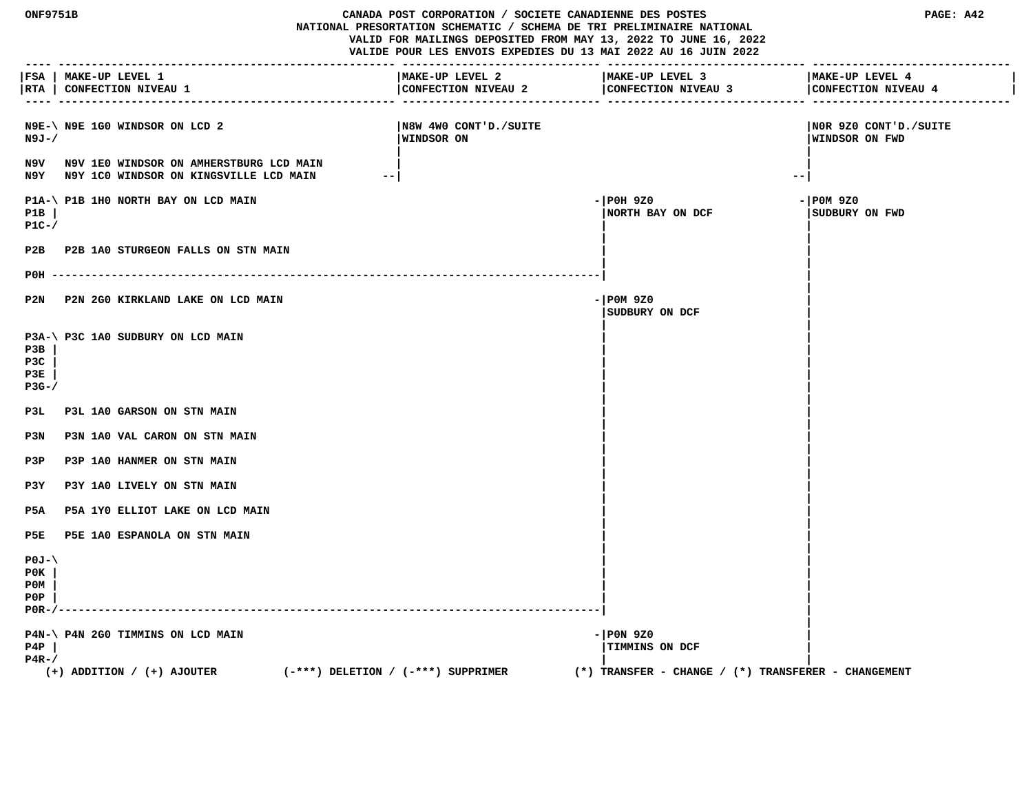**ONF9751B CANADA POST CORPORATION / SOCIETE CANADIENNE DES POSTES PAGE: A42 NATIONAL PRESORTATION SCHEMATIC / SCHEMA DE TRI PRELIMINAIRE NATIONAL VALID FOR MAILINGS DEPOSITED FROM MAY 13, 2022 TO JUNE 16, 2022 VALIDE POUR LES ENVOIS EXPEDIES DU 13 MAI 2022 AU 16 JUIN 2022 ---- --------------------------------------------------- ------------------------------ ------------------------------ ------------------------------ |FSA | MAKE-UP LEVEL 1 |MAKE-UP LEVEL 2 |MAKE-UP LEVEL 3 |MAKE-UP LEVEL 4 | |RTA | CONFECTION NIVEAU 1 |CONFECTION NIVEAU 2 |CONFECTION NIVEAU 3 |CONFECTION NIVEAU 4 | ---- --------------------------------------------------- ------------------------------ ------------------------------ ------------------------------ N9E-\ N9E 1G0 WINDSOR ON LCD 2 |N8W 4W0 CONT'D./SUITE |N0R 9Z0 CONT'D./SUITE N9J-/ |WINDSOR ON |WINDSOR ON FWD | | N9V N9V 1E0 WINDSOR ON AMHERSTBURG LCD MAIN | | N9Y N9Y 1C0 WINDSOR ON KINGSVILLE LCD MAIN --| --| P1A-\ P1B 1H0 NORTH BAY ON LCD MAIN**  $-$  | P0H 9Z0  $-$  | P0H 9Z0  $-$  | P0M 9Z0  **P1B | |NORTH BAY ON DCF |SUDBURY ON FWD P1C-/ | | | |** P2B P2B 1A0 STURGEON FALLS ON STN MAIN  **| | P0H -----------------------------------------------------------------------------------| | |** P2N P2N 2G0 KIRKLAND LAKE ON LCD MAIN **Fig. 100 CD 200 P20**  $-$  P0M 9Z0  **|SUDBURY ON DCF | | | P3A-\ P3C 1A0 SUDBURY ON LCD MAIN | | P3B | | | P3C | | | P3E | | | P3G-/ | | | | P3L P3L 1A0 GARSON ON STN MAIN | |** P3N P3N 1A0 VAL CARON ON STN MAIN  **| | P3P P3P 1A0 HANMER ON STN MAIN | | P3Y P3Y 1A0 LIVELY ON STN MAIN | | P5A P5A 1Y0 ELLIOT LAKE ON LCD MAIN | | | |** P5E P5E 1A0 ESPANOLA ON STN MAIN  **| | P0J-\ | | P0K | | | P0M | | | P0P | | | P0R-/----------------------------------------------------------------------------------| | | P4N-\ P4N 2G0 TIMMINS ON LCD MAIN**  $-$  |P0N 9Z0  **P4P | |TIMMINS ON DCF | P4R-/ | | (+) ADDITION / (+) AJOUTER (-\*\*\*) DELETION / (-\*\*\*) SUPPRIMER (\*) TRANSFER - CHANGE / (\*) TRANSFERER - CHANGEMENT**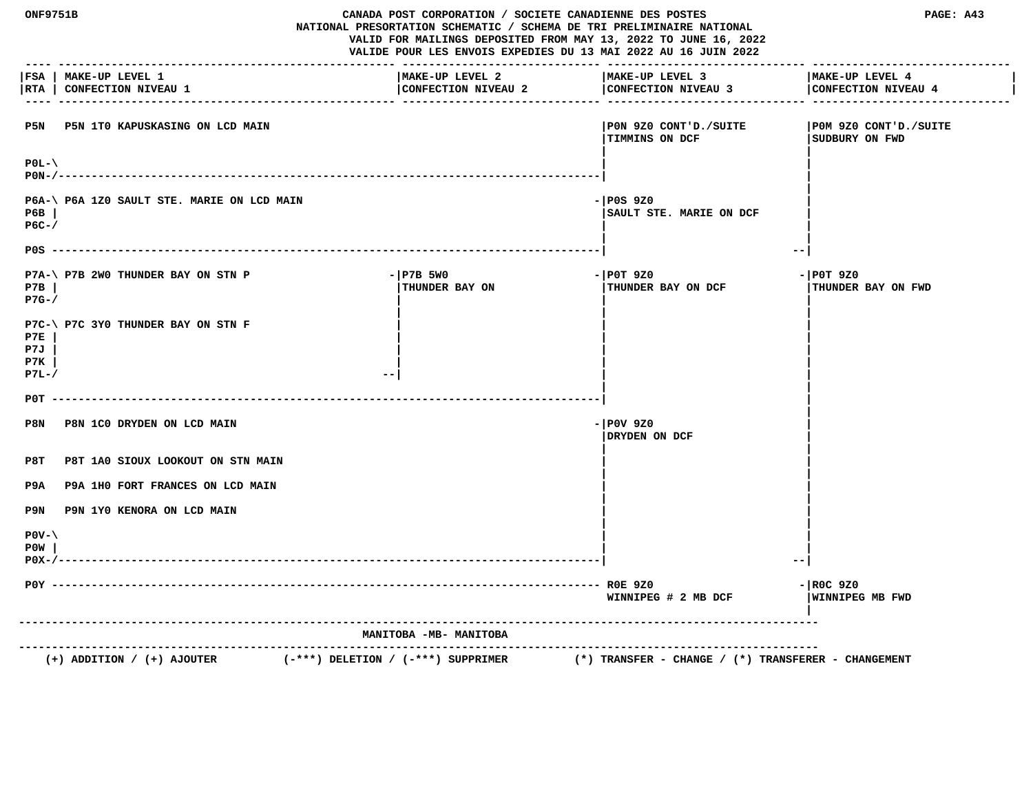| ONF9751B<br>CANADA POST CORPORATION / SOCIETE CANADIENNE DES POSTES<br>NATIONAL PRESORTATION SCHEMATIC / SCHEMA DE TRI PRELIMINAIRE NATIONAL<br>VALID FOR MAILINGS DEPOSITED FROM MAY 13, 2022 TO JUNE 16, 2022<br>VALIDE POUR LES ENVOIS EXPEDIES DU 13 MAI 2022 AU 16 JUIN 2022 |                                                                          |                                        | PAGE: A43                                               |                                          |
|-----------------------------------------------------------------------------------------------------------------------------------------------------------------------------------------------------------------------------------------------------------------------------------|--------------------------------------------------------------------------|----------------------------------------|---------------------------------------------------------|------------------------------------------|
| RTA                                                                                                                                                                                                                                                                               | FSA   MAKE-UP LEVEL 1<br>CONFECTION NIVEAU 1                             | MAKE-UP LEVEL 2<br>CONFECTION NIVEAU 2 | MAKE-UP LEVEL 3<br>CONFECTION NIVEAU 3                  | MAKE-UP LEVEL 4<br>CONFECTION NIVEAU 4   |
|                                                                                                                                                                                                                                                                                   | P5N P5N 1T0 KAPUSKASING ON LCD MAIN                                      |                                        | PON 9Z0 CONT'D./SUITE <br><b>TIMMINS ON DCF</b>         | POM 9Z0 CONT'D./SUITE<br>SUDBURY ON FWD  |
| $P0L-\$                                                                                                                                                                                                                                                                           |                                                                          |                                        |                                                         |                                          |
| P6B<br>$PGC-$                                                                                                                                                                                                                                                                     | P6A-\ P6A 1Z0 SAULT STE. MARIE ON LCD MAIN                               |                                        | $-1P0S$ 9Z0<br>SAULT STE. MARIE ON DCF                  |                                          |
|                                                                                                                                                                                                                                                                                   |                                                                          |                                        | $- -$                                                   |                                          |
| P7B<br>$P7G-$                                                                                                                                                                                                                                                                     | P7A-\ P7B 2W0 THUNDER BAY ON STN P                                       | $-$ P7B 5W0<br>THUNDER BAY ON          | $-$ POT 9Z0<br>THUNDER BAY ON DCF                       | $-$ POT 9Z0<br><b>THUNDER BAY ON FWD</b> |
| P7E<br>P7J<br>P7K<br>$P7L-J$                                                                                                                                                                                                                                                      | P7C-\ P7C 3Y0 THUNDER BAY ON STN F                                       | $ -$                                   |                                                         |                                          |
| P0T                                                                                                                                                                                                                                                                               |                                                                          |                                        |                                                         |                                          |
| P8N                                                                                                                                                                                                                                                                               | P8N 1C0 DRYDEN ON LCD MAIN                                               |                                        | $-$ POV 9Z0<br>DRYDEN ON DCF                            |                                          |
| P8T                                                                                                                                                                                                                                                                               | P8T 1A0 SIOUX LOOKOUT ON STN MAIN                                        |                                        |                                                         |                                          |
| P9A                                                                                                                                                                                                                                                                               | P9A 1H0 FORT FRANCES ON LCD MAIN                                         |                                        |                                                         |                                          |
| P9N                                                                                                                                                                                                                                                                               | P9N 1Y0 KENORA ON LCD MAIN                                               |                                        |                                                         |                                          |
| $POV - \$<br>P0W<br>$P0X-/-$                                                                                                                                                                                                                                                      |                                                                          |                                        |                                                         |                                          |
|                                                                                                                                                                                                                                                                                   |                                                                          |                                        | WINNIPEG # 2 MB DCF                                     | $-$ ROC 9Z0<br>WINNIPEG MB FWD           |
|                                                                                                                                                                                                                                                                                   |                                                                          | MANITOBA -MB- MANITOBA                 |                                                         |                                          |
|                                                                                                                                                                                                                                                                                   | $(+)$ ADDITION / $(+)$ AJOUTER<br>$(-***)$ DELETION / $(-***)$ SUPPRIMER |                                        | $(*)$ TRANSFER - CHANGE / $(*)$ TRANSFERER - CHANGEMENT |                                          |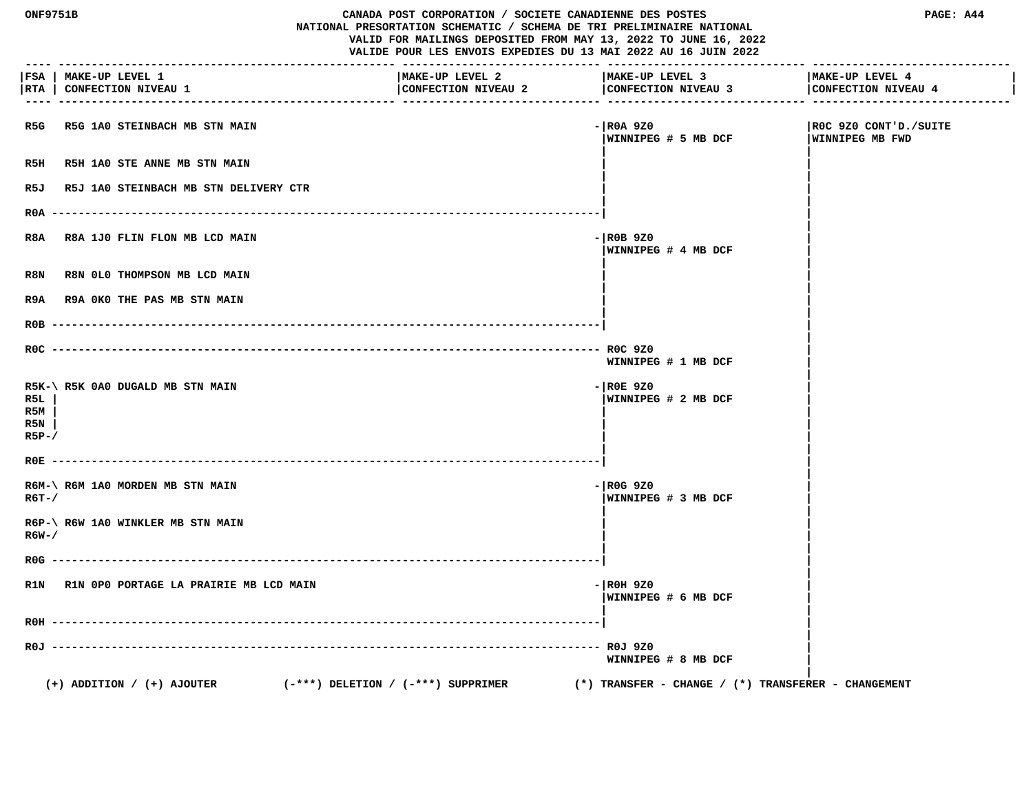|                             | ONF9751B<br>CANADA POST CORPORATION / SOCIETE CANADIENNE DES POSTES<br>NATIONAL PRESORTATION SCHEMATIC / SCHEMA DE TRI PRELIMINAIRE NATIONAL<br>VALID FOR MAILINGS DEPOSITED FROM MAY 13, 2022 TO JUNE 16, 2022<br>VALIDE POUR LES ENVOIS EXPEDIES DU 13 MAI 2022 AU 16 JUIN 2022 |                                        |                                                         | PAGE: A44                                       |
|-----------------------------|-----------------------------------------------------------------------------------------------------------------------------------------------------------------------------------------------------------------------------------------------------------------------------------|----------------------------------------|---------------------------------------------------------|-------------------------------------------------|
|                             | FSA   MAKE-UP LEVEL 1<br> RTA   CONFECTION NIVEAU 1                                                                                                                                                                                                                               | MAKE-UP LEVEL 2<br>CONFECTION NIVEAU 2 | MAKE-UP LEVEL 3<br>CONFECTION NIVEAU 3                  | MAKE-UP LEVEL 4<br>CONFECTION NIVEAU 4          |
| R5G                         | R5G 1A0 STEINBACH MB STN MAIN                                                                                                                                                                                                                                                     |                                        | - ROA 9Z0<br>WINNIPEG # 5 MB DCF                        | ROC 9Z0 CONT'D./SUITE<br><b>WINNIPEG MB FWD</b> |
| R5H                         | R5H 1A0 STE ANNE MB STN MAIN                                                                                                                                                                                                                                                      |                                        |                                                         |                                                 |
| R5J                         | R5J 1A0 STEINBACH MB STN DELIVERY CTR                                                                                                                                                                                                                                             |                                        |                                                         |                                                 |
|                             | R0A ---------                                                                                                                                                                                                                                                                     |                                        |                                                         |                                                 |
| R8A                         | R8A 1J0 FLIN FLON MB LCD MAIN                                                                                                                                                                                                                                                     |                                        | $ R0B$ 920<br>WINNIPEG # 4 MB DCF                       |                                                 |
| R8N                         | R8N 0L0 THOMPSON MB LCD MAIN                                                                                                                                                                                                                                                      |                                        |                                                         |                                                 |
| R9A                         | R9A OKO THE PAS MB STN MAIN                                                                                                                                                                                                                                                       |                                        |                                                         |                                                 |
| $ROB$ ------                |                                                                                                                                                                                                                                                                                   |                                        |                                                         |                                                 |
|                             |                                                                                                                                                                                                                                                                                   |                                        | WINNIPEG # 1 MB DCF                                     |                                                 |
| R5L<br>R5M<br>R5N<br>$R5P-$ | R5K-\ R5K 0A0 DUGALD MB STN MAIN                                                                                                                                                                                                                                                  |                                        | $ R0E$ 920<br>WINNIPEG # 2 MB DCF                       |                                                 |
| ROE                         |                                                                                                                                                                                                                                                                                   |                                        |                                                         |                                                 |
| $R6T - /$                   | R6M-\ R6M 1A0 MORDEN MB STN MAIN                                                                                                                                                                                                                                                  |                                        | $-$ ROG 9Z0<br>WINNIPEG # 3 MB DCF                      |                                                 |
| R6W-/                       | R6P-\ R6W 1A0 WINKLER MB STN MAIN                                                                                                                                                                                                                                                 |                                        |                                                         |                                                 |
| $ROG$ ---                   |                                                                                                                                                                                                                                                                                   |                                        |                                                         |                                                 |
|                             | R1N R1N OPO PORTAGE LA PRAIRIE MB LCD MAIN                                                                                                                                                                                                                                        |                                        | $-$ ROH 9Z0<br> WINNIPEG # 6 MB DCF                     |                                                 |
| R0H -                       |                                                                                                                                                                                                                                                                                   |                                        |                                                         |                                                 |
| ROJ --                      |                                                                                                                                                                                                                                                                                   |                                        | ROJ 9Z0<br>WINNIPEG # 8 MB DCF                          |                                                 |
|                             | $(+)$ ADDITION / $(+)$ AJOUTER<br>$(-***)$ DELETION / $(-***)$ SUPPRIMER                                                                                                                                                                                                          |                                        | $(*)$ TRANSFER - CHANGE / $(*)$ TRANSFERER - CHANGEMENT |                                                 |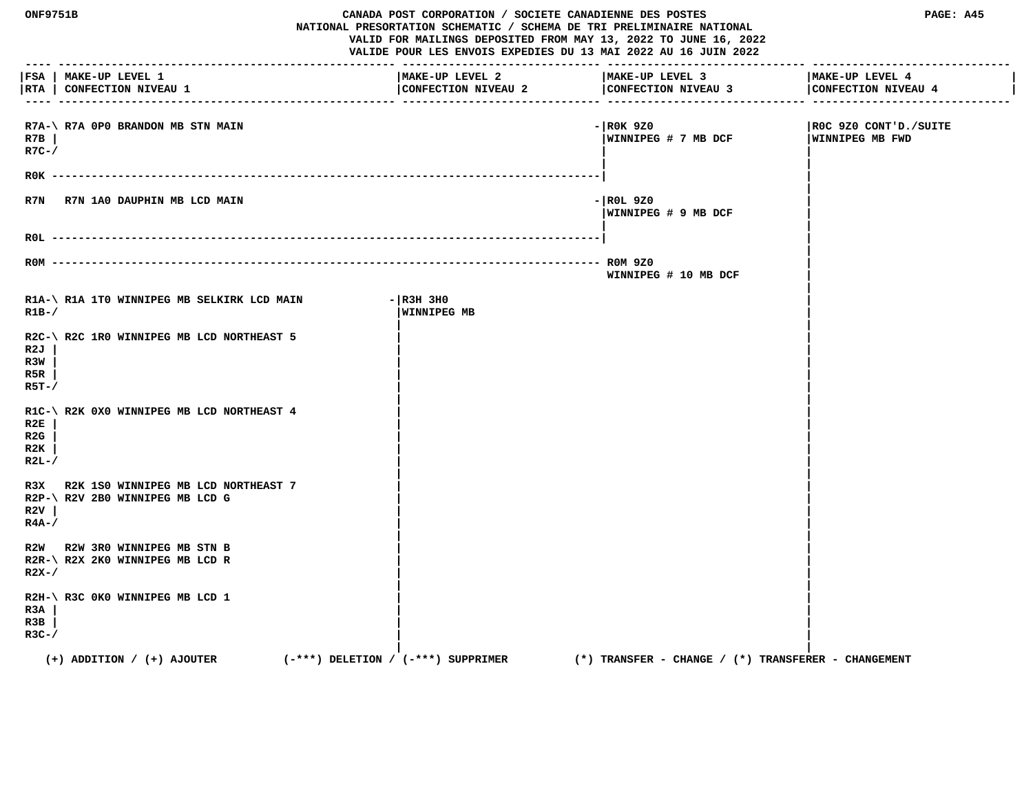| ONF9751B<br>CANADA POST CORPORATION / SOCIETE CANADIENNE DES POSTES<br>NATIONAL PRESORTATION SCHEMATIC / SCHEMA DE TRI PRELIMINAIRE NATIONAL<br>VALID FOR MAILINGS DEPOSITED FROM MAY 13, 2022 TO JUNE 16, 2022<br>VALIDE POUR LES ENVOIS EXPEDIES DU 13 MAI 2022 AU 16 JUIN 2022 |                                                                          |                                        |                                                         | PAGE: A45                                |
|-----------------------------------------------------------------------------------------------------------------------------------------------------------------------------------------------------------------------------------------------------------------------------------|--------------------------------------------------------------------------|----------------------------------------|---------------------------------------------------------|------------------------------------------|
|                                                                                                                                                                                                                                                                                   | FSA   MAKE-UP LEVEL 1<br> RTA   CONFECTION NIVEAU 1                      | MAKE-UP LEVEL 2<br>CONFECTION NIVEAU 2 | MAKE-UP LEVEL 3<br>CONFECTION NIVEAU 3                  | MAKE-UP LEVEL 4<br>CONFECTION NIVEAU 4   |
| R7B<br>$R7C-$ /                                                                                                                                                                                                                                                                   | R7A-\ R7A 0P0 BRANDON MB STN MAIN                                        |                                        | $-$ ROK 9Z0<br>WINNIPEG # 7 MB DCF                      | ROC 9Z0 CONT'D./SUITE<br>WINNIPEG MB FWD |
|                                                                                                                                                                                                                                                                                   | $ROK$ --------                                                           |                                        |                                                         |                                          |
| R7N                                                                                                                                                                                                                                                                               | R7N 1A0 DAUPHIN MB LCD MAIN                                              |                                        | - ROL 9Z0<br>WINNIPEG # 9 MB DCF                        |                                          |
|                                                                                                                                                                                                                                                                                   |                                                                          |                                        |                                                         |                                          |
|                                                                                                                                                                                                                                                                                   | $ROM$ ---------                                                          |                                        | WINNIPEG # 10 MB DCF                                    |                                          |
| $R1B-$                                                                                                                                                                                                                                                                            | R1A-\ R1A 1T0 WINNIPEG MB SELKIRK LCD MAIN                               | $ R3H$ 3HO<br><b>WINNIPEG MB</b>       |                                                         |                                          |
| R2J<br>R3W<br>R5R<br>$R5T - /$                                                                                                                                                                                                                                                    | R2C-\ R2C 1R0 WINNIPEG MB LCD NORTHEAST 5                                |                                        |                                                         |                                          |
| R2E<br>R2G<br>R2K<br>$R2L-$                                                                                                                                                                                                                                                       | R1C-\ R2K 0X0 WINNIPEG MB LCD NORTHEAST 4                                |                                        |                                                         |                                          |
| R3X<br>R2V<br>$R4A-$                                                                                                                                                                                                                                                              | R2K 1S0 WINNIPEG MB LCD NORTHEAST 7<br>R2P-\ R2V 2B0 WINNIPEG MB LCD G   |                                        |                                                         |                                          |
| $R2X-$                                                                                                                                                                                                                                                                            | R2W R2W 3R0 WINNIPEG MB STN B<br>R2R-\ R2X 2K0 WINNIPEG MB LCD R         |                                        |                                                         |                                          |
| R3A<br>R3B<br>$R3C-$ /                                                                                                                                                                                                                                                            | R2H-\ R3C 0K0 WINNIPEG MB LCD 1                                          |                                        |                                                         |                                          |
|                                                                                                                                                                                                                                                                                   | $(+)$ ADDITION / $(+)$ AJOUTER<br>$(-***)$ DELETION / $(-***)$ SUPPRIMER |                                        | $(*)$ TRANSFER - CHANGE / $(*)$ TRANSFERER - CHANGEMENT |                                          |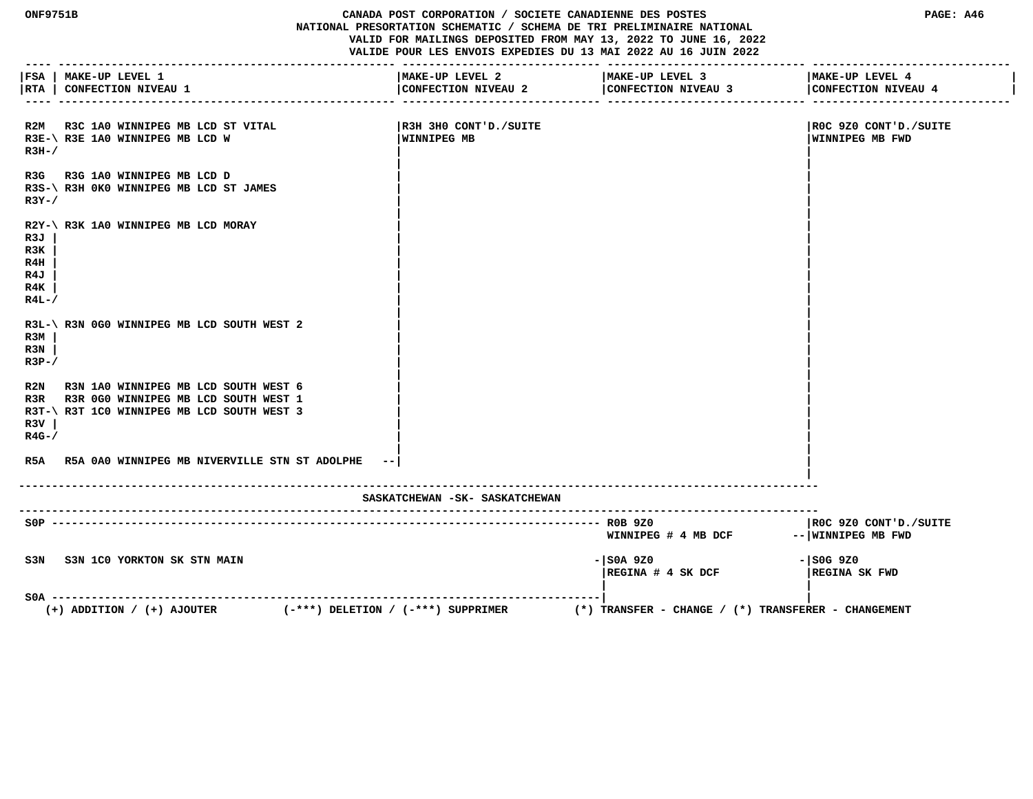**ONF9751B CANADA POST CORPORATION / SOCIETE CANADIENNE DES POSTES PAGE: A46 NATIONAL PRESORTATION SCHEMATIC / SCHEMA DE TRI PRELIMINAIRE NATIONAL VALID FOR MAILINGS DEPOSITED FROM MAY 13, 2022 TO JUNE 16, 2022 VALIDE POUR LES ENVOIS EXPEDIES DU 13 MAI 2022 AU 16 JUIN 2022 ---- --------------------------------------------------- ------------------------------ ------------------------------ ------------------------------ |FSA | MAKE-UP LEVEL 1 |MAKE-UP LEVEL 2 |MAKE-UP LEVEL 3 |MAKE-UP LEVEL 4 | |RTA | CONFECTION NIVEAU 1 |CONFECTION NIVEAU 2 |CONFECTION NIVEAU 3 |CONFECTION NIVEAU 4 | ---- --------------------------------------------------- ------------------------------ ------------------------------ ------------------------------ R2M R3C 1A0 WINNIPEG MB LCD ST VITAL |R3H 3H0 CONT'D./SUITE |R0C 9Z0 CONT'D./SUITE** R3E-\ R3E 1A0 WINNIPEG MB LCD W **WINNIPEG MB WINNIPEG MB WINNIPEG MB WINNIPEG MB WINNIPEG MB FWD**  $R3H-$ /  **| |** R3G R3G 1A0 WINNIPEG MB LCD D  **R3S-\ R3H 0K0 WINNIPEG MB LCD ST JAMES | | R3Y-/**  $\qquad$  |  **| | R2Y-\ R3K 1A0 WINNIPEG MB LCD MORAY | | R3J | | | R3K | | | R4H | | | R4J | | | R4K | | | R4L-/**  $\sqrt{2}$  **| |** R3L-\ R3N 0G0 WINNIPEG MB LCD SOUTH WEST 2 **R3M** | *CONTROLLER*  **R3N | | | R3P-/**  $\qquad \qquad$  **| |** R2N R3N 1A0 WINNIPEG MB LCD SOUTH WEST 6 R3R R3R 0G0 WINNIPEG MB LCD SOUTH WEST 1 R3T-\ R3T 1C0 WINNIPEG MB LCD SOUTH WEST 3  **R3V | | | R4G-/ | | | | R5A R5A 0A0 WINNIPEG MB NIVERVILLE STN ST ADOLPHE --| | | ------------------------------------------------------------------------------------------------------------------------- SASKATCHEWAN -SK- SASKATCHEWAN ------------------------------------------------------------------------------------------------------------------------- S0P ----------------------------------------------------------------------------------- R0B 9Z0 |R0C 9Z0 CONT'D./SUITE** WINNIPEG # 4 MB DCF -- WINNIPEG MB FWD  **S3N S3N 1C0 YORKTON SK STN MAIN -|S0A 9Z0 -|S0G 9Z0 |REGINA # 4 SK DCF |REGINA SK FWD | | S0A -----------------------------------------------------------------------------------| | (+) ADDITION / (+) AJOUTER (-\*\*\*) DELETION / (-\*\*\*) SUPPRIMER (\*) TRANSFER - CHANGE / (\*) TRANSFERER - CHANGEMENT**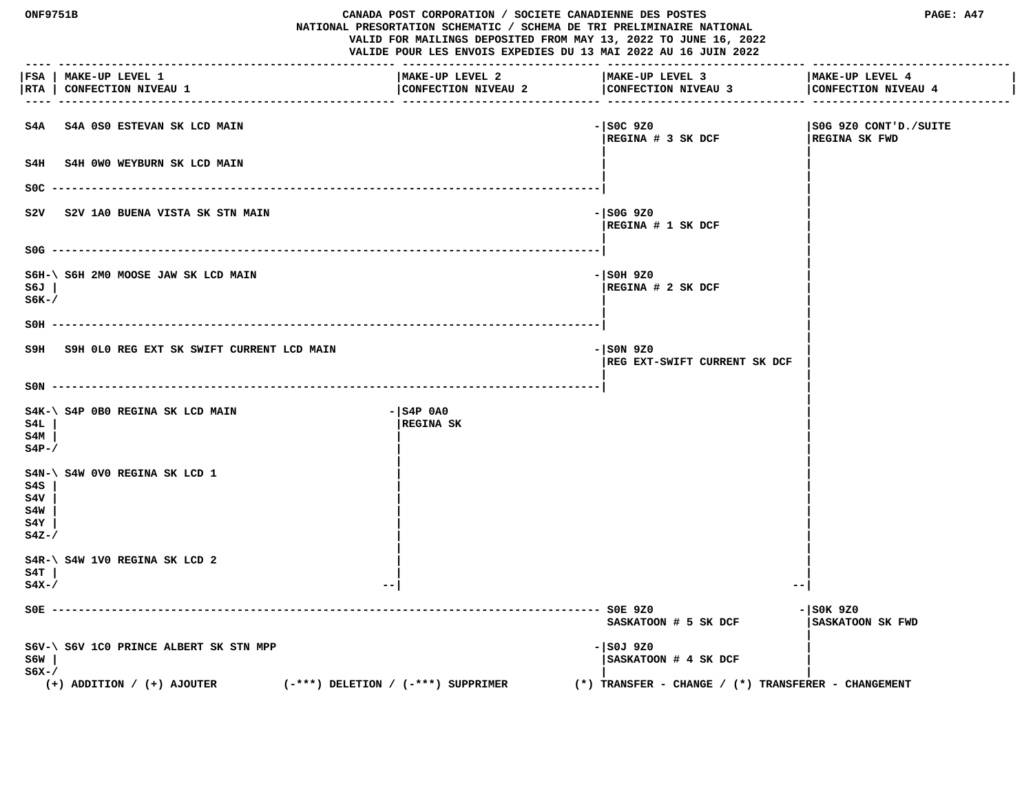**ONF9751B CANADA POST CORPORATION / SOCIETE CANADIENNE DES POSTES PAGE: A47 NATIONAL PRESORTATION SCHEMATIC / SCHEMA DE TRI PRELIMINAIRE NATIONAL VALID FOR MAILINGS DEPOSITED FROM MAY 13, 2022 TO JUNE 16, 2022 VALIDE POUR LES ENVOIS EXPEDIES DU 13 MAI 2022 AU 16 JUIN 2022 ---- --------------------------------------------------- ------------------------------ ------------------------------ ------------------------------ |FSA | MAKE-UP LEVEL 1 |MAKE-UP LEVEL 2 |MAKE-UP LEVEL 3 |MAKE-UP LEVEL 4 |** |RTA | CONFECTION NIVEAU 1 | CONFECTION NIVEAU 2 | CONFECTION NIVEAU 4 | CONFECTION NIVEAU 4 | CONFECTION NIVEAU 4 | CONFECTION NIVEAU 4 | CONFECTION NIVEAU 4  **---- --------------------------------------------------- ------------------------------ ------------------------------ ------------------------------ S4A S4A 0S0 ESTEVAN SK LCD MAIN -|S0C 9Z0 |S0G 9Z0 CONT'D./SUITE |REGINA # 3 SK DCF |REGINA SK FWD | |** S4H S4H 0W0 WEYBURN SK LCD MAIN  **| | S0C -----------------------------------------------------------------------------------| | | S2V** S2V 1A0 BUENA VISTA SK STN MAIN  **|REGINA # 1 SK DCF | | | S0G -----------------------------------------------------------------------------------| | | S6H-\ S6H 2M0 MOOSE JAW SK LCD MAIN -|S0H 9Z0 | S6J | |REGINA # 2 SK DCF |**  ${\bf S}$ 6K-/  $\overline{\phantom{a}}$  **| | S0H -----------------------------------------------------------------------------------| | | S9H S9H 0L0 REG EXT SK SWIFT CURRENT LCD MAIN -|S0N 9Z0 | |REG EXT-SWIFT CURRENT SK DCF | | | S0N -----------------------------------------------------------------------------------| | |** S4K-\ S4P 0B0 REGINA SK LCD MAIN **FOUR SAMPLE 1989** - 1S4P 0A0  **S4L | |REGINA SK | S4M | | |**  $\mathbf{S4P-}$ /  **| | S4N-\ S4W 0V0 REGINA SK LCD 1 | | S4S | | | S4V | | | S4W | | | S4Y | | | S4Z-/ | | | | S4R-\ S4W 1V0 REGINA SK LCD 2 | | S4T | | | S4X-/ --| --| S0E ----------------------------------------------------------------------------------- S0E 9Z0 -|S0K 9Z0 SASKATOON # 5 SK DCF |SASKATOON SK FWD | S6V-\ S6V 1C0 PRINCE ALBERT SK STN MPP -|S0J 9Z0 | S6W | |SASKATOON # 4 SK DCF |**  ${\bf S}$ 6X-/  $\overline{\phantom{a}}$  **(+) ADDITION / (+) AJOUTER (-\*\*\*) DELETION / (-\*\*\*) SUPPRIMER (\*) TRANSFER - CHANGE / (\*) TRANSFERER - CHANGEMENT**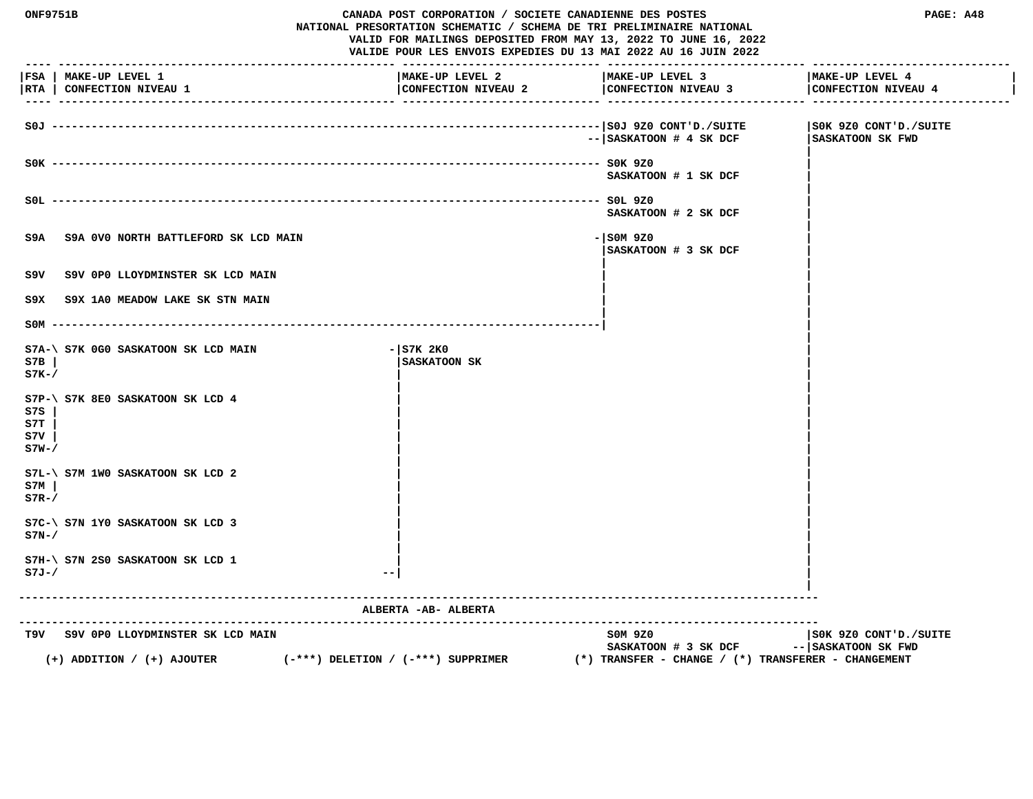| <b>ONF9751B</b>             |                                                     | CANADA POST CORPORATION / SOCIETE CANADIENNE DES POSTES<br>NATIONAL PRESORTATION SCHEMATIC / SCHEMA DE TRI PRELIMINAIRE NATIONAL<br>VALID FOR MAILINGS DEPOSITED FROM MAY 13, 2022 TO JUNE 16, 2022<br>VALIDE POUR LES ENVOIS EXPEDIES DU 13 MAI 2022 AU 16 JUIN 2022 |                                                         |                                              |
|-----------------------------|-----------------------------------------------------|-----------------------------------------------------------------------------------------------------------------------------------------------------------------------------------------------------------------------------------------------------------------------|---------------------------------------------------------|----------------------------------------------|
|                             | FSA   MAKE-UP LEVEL 1<br> RTA   CONFECTION NIVEAU 1 | MAKE-UP LEVEL 2<br>CONFECTION NIVEAU 2                                                                                                                                                                                                                                | MAKE-UP LEVEL 3<br>CONFECTION NIVEAU 3                  | MAKE-UP LEVEL 4<br>CONFECTION NIVEAU 4       |
|                             |                                                     |                                                                                                                                                                                                                                                                       | $-- $ SASKATOON # 4 SK DCF                              | SOK 9Z0 CONT'D./SUITE<br>SASKATOON SK FWD    |
|                             |                                                     |                                                                                                                                                                                                                                                                       | SASKATOON # 1 SK DCF                                    |                                              |
|                             |                                                     |                                                                                                                                                                                                                                                                       | SASKATOON # 2 SK DCF                                    |                                              |
| S9A                         | S9A 0V0 NORTH BATTLEFORD SK LCD MAIN                |                                                                                                                                                                                                                                                                       | $-$ SOM 9Z0<br>SASKATOON # 3 SK DCF                     |                                              |
| S9V                         | S9V OPO LLOYDMINSTER SK LCD MAIN                    |                                                                                                                                                                                                                                                                       |                                                         |                                              |
| S9X.                        | S9X 1A0 MEADOW LAKE SK STN MAIN                     |                                                                                                                                                                                                                                                                       |                                                         |                                              |
|                             | $SOM$ ---------                                     |                                                                                                                                                                                                                                                                       |                                                         |                                              |
| S7B<br>$S7K-$               | S7A-\ S7K 0G0 SASKATOON SK LCD MAIN                 | $-$ S7K 2K0<br>SASKATOON SK                                                                                                                                                                                                                                           |                                                         |                                              |
| S7S<br>S7T<br>s7v<br>$S7W-$ | S7P-\ S7K 8E0 SASKATOON SK LCD 4                    |                                                                                                                                                                                                                                                                       |                                                         |                                              |
| S7M<br>$S7R-$               | $S7L-\$ $S7M$ 1WO SASKATOON SK LCD 2                |                                                                                                                                                                                                                                                                       |                                                         |                                              |
| $S7N-$                      | S7C-\ S7N 1Y0 SASKATOON SK LCD 3                    |                                                                                                                                                                                                                                                                       |                                                         |                                              |
| $S7J-/$                     | S7H-\ S7N 2S0 SASKATOON SK LCD 1                    |                                                                                                                                                                                                                                                                       |                                                         |                                              |
|                             |                                                     | ALBERTA - AB- ALBERTA                                                                                                                                                                                                                                                 | ---------------------------------                       |                                              |
|                             | T9V S9V OPO LLOYDMINSTER SK LCD MAIN                | $(-***)$ DELETION / $(-***)$ SUPPRIMER                                                                                                                                                                                                                                | SOM 9Z0<br>SASKATOON # 3 SK DCF                         | SOK 9Z0 CONT'D./SUITE<br>-- SASKATOON SK FWD |
|                             | $(+)$ ADDITION / $(+)$ AJOUTER                      |                                                                                                                                                                                                                                                                       | $(*)$ TRANSFER - CHANGE / $(*)$ TRANSFERER - CHANGEMENT |                                              |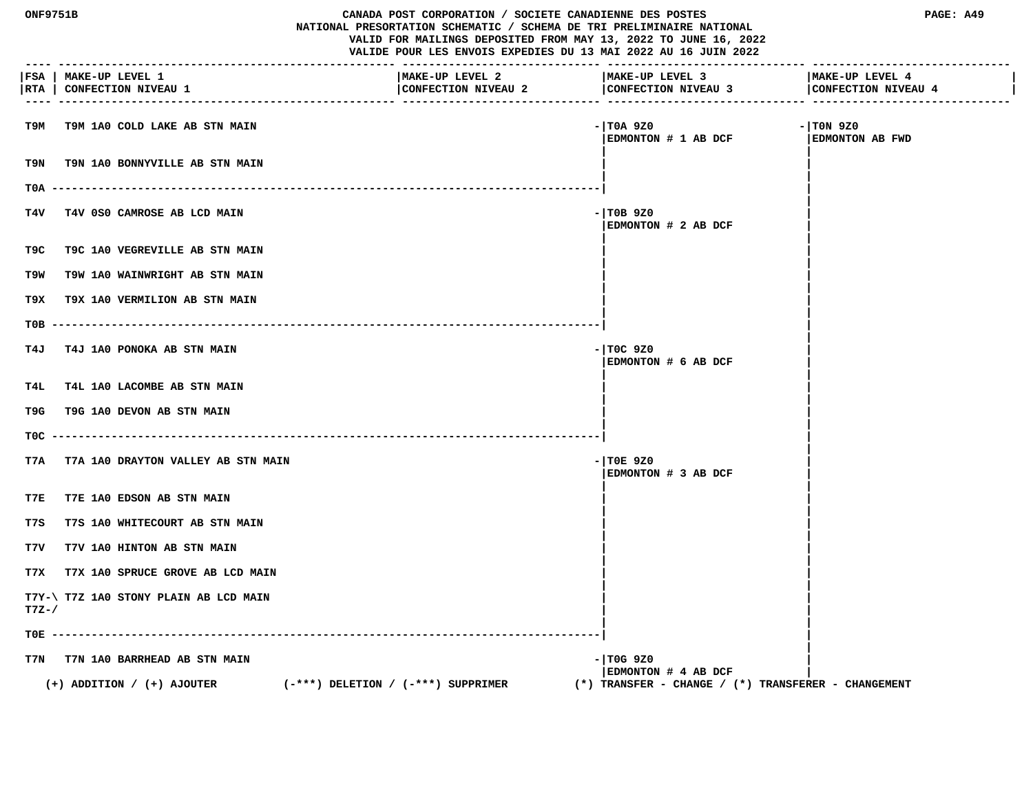| <b>ONF9751B</b> |                                                     | CANADA POST CORPORATION / SOCIETE CANADIENNE DES POSTES<br>NATIONAL PRESORTATION SCHEMATIC / SCHEMA DE TRI PRELIMINAIRE NATIONAL<br>VALID FOR MAILINGS DEPOSITED FROM MAY 13, 2022 TO JUNE 16, 2022<br>VALIDE POUR LES ENVOIS EXPEDIES DU 13 MAI 2022 AU 16 JUIN 2022 |                                                         | PAGE: A49                              |
|-----------------|-----------------------------------------------------|-----------------------------------------------------------------------------------------------------------------------------------------------------------------------------------------------------------------------------------------------------------------------|---------------------------------------------------------|----------------------------------------|
|                 | FSA   MAKE-UP LEVEL 1<br> RTA   CONFECTION NIVEAU 1 | MAKE-UP LEVEL 2<br>CONFECTION NIVEAU 2                                                                                                                                                                                                                                | MAKE-UP LEVEL 3<br>CONFECTION NIVEAU 3                  | MAKE-UP LEVEL 4<br>CONFECTION NIVEAU 4 |
| т9м             | T9M 1A0 COLD LAKE AB STN MAIN                       |                                                                                                                                                                                                                                                                       | - TOA 9Z0<br>EDMONTON # 1 AB DCF                        | $-1$ TON 9Z0<br><b>EDMONTON AB FWD</b> |
| T9N             | T9N 1A0 BONNYVILLE AB STN MAIN                      |                                                                                                                                                                                                                                                                       |                                                         |                                        |
| T0A             |                                                     |                                                                                                                                                                                                                                                                       |                                                         |                                        |
| T4V             | T4V 0S0 CAMROSE AB LCD MAIN                         |                                                                                                                                                                                                                                                                       | $-$ TOB 9Z0<br>EDMONTON # 2 AB DCF                      |                                        |
| T9C             | T9C 1A0 VEGREVILLE AB STN MAIN                      |                                                                                                                                                                                                                                                                       |                                                         |                                        |
| T9W             | T9W 1A0 WAINWRIGHT AB STN MAIN                      |                                                                                                                                                                                                                                                                       |                                                         |                                        |
| T9X.            | T9X 1A0 VERMILION AB STN MAIN                       |                                                                                                                                                                                                                                                                       |                                                         |                                        |
| T0B             |                                                     |                                                                                                                                                                                                                                                                       |                                                         |                                        |
| T4J             | T4J 1A0 PONOKA AB STN MAIN                          |                                                                                                                                                                                                                                                                       | $-$ TOC 9Z0<br>EDMONTON # 6 AB DCF                      |                                        |
| T4L             | T4L 1A0 LACOMBE AB STN MAIN                         |                                                                                                                                                                                                                                                                       |                                                         |                                        |
| T9G             | T9G 1A0 DEVON AB STN MAIN                           |                                                                                                                                                                                                                                                                       |                                                         |                                        |
| TOC.            |                                                     |                                                                                                                                                                                                                                                                       |                                                         |                                        |
| T7A             | T7A 1A0 DRAYTON VALLEY AB STN MAIN                  |                                                                                                                                                                                                                                                                       | $-$ TOE 9Z0<br>EDMONTON # 3 AB DCF                      |                                        |
| T7E             | T7E 1A0 EDSON AB STN MAIN                           |                                                                                                                                                                                                                                                                       |                                                         |                                        |
| T7S             | T7S 1A0 WHITECOURT AB STN MAIN                      |                                                                                                                                                                                                                                                                       |                                                         |                                        |
| T7V             | T7V 1A0 HINTON AB STN MAIN                          |                                                                                                                                                                                                                                                                       |                                                         |                                        |
| T7X             | T7X 1A0 SPRUCE GROVE AB LCD MAIN                    |                                                                                                                                                                                                                                                                       |                                                         |                                        |
| $T7Z-$ /        | T7Y-\ T7Z 1A0 STONY PLAIN AB LCD MAIN               |                                                                                                                                                                                                                                                                       |                                                         |                                        |
| TOE -           |                                                     |                                                                                                                                                                                                                                                                       |                                                         |                                        |
| T7N             | T7N 1A0 BARRHEAD AB STN MAIN                        |                                                                                                                                                                                                                                                                       | - TOG 9Z0<br>EDMONTON # 4 AB DCF                        |                                        |
|                 | $(+)$ ADDITION / $(+)$ AJOUTER                      | $(-***)$ DELETION / $(-***)$ SUPPRIMER                                                                                                                                                                                                                                | $(*)$ TRANSFER - CHANGE / $(*)$ TRANSFERER - CHANGEMENT |                                        |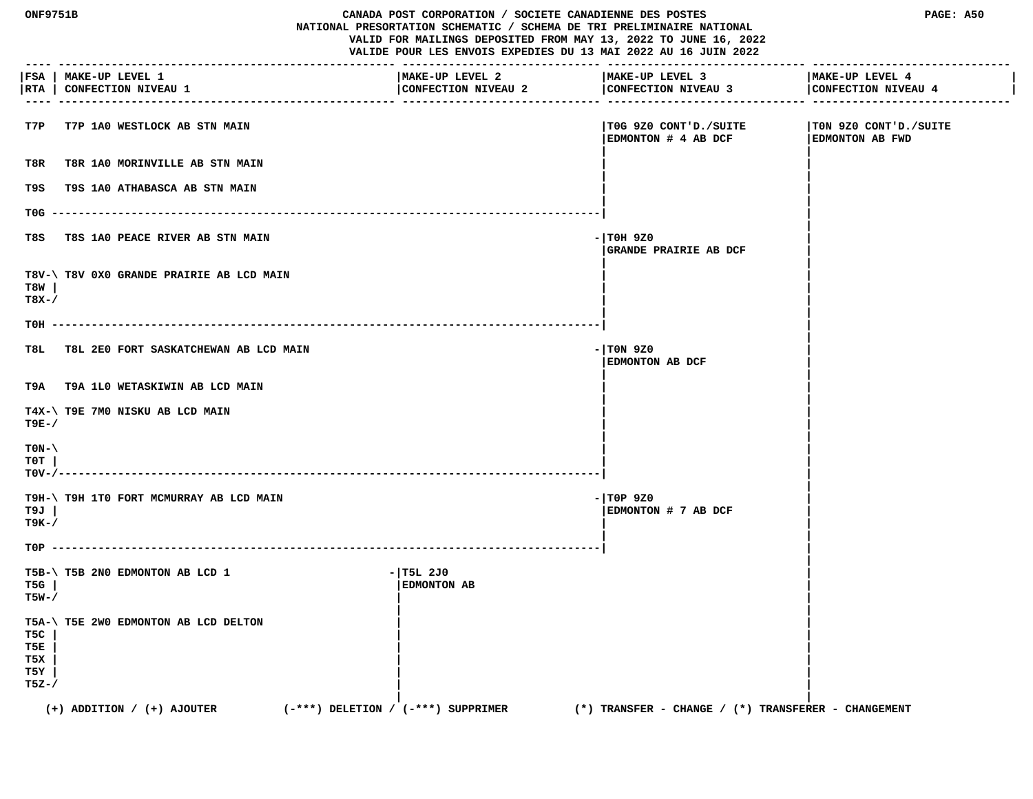| <b>ONF9751B</b><br>CANADA POST CORPORATION / SOCIETE CANADIENNE DES POSTES<br>NATIONAL PRESORTATION SCHEMATIC / SCHEMA DE TRI PRELIMINAIRE NATIONAL<br>VALID FOR MAILINGS DEPOSITED FROM MAY 13, 2022 TO JUNE 16, 2022<br>VALIDE POUR LES ENVOIS EXPEDIES DU 13 MAI 2022 AU 16 JUIN 2022<br>------------------- |                                                     | PAGE: A50<br>------------------- --------- |                                                         |                                          |
|-----------------------------------------------------------------------------------------------------------------------------------------------------------------------------------------------------------------------------------------------------------------------------------------------------------------|-----------------------------------------------------|--------------------------------------------|---------------------------------------------------------|------------------------------------------|
| RTA                                                                                                                                                                                                                                                                                                             | FSA   MAKE-UP LEVEL 1<br><b>CONFECTION NIVEAU 1</b> | MAKE-UP LEVEL 2<br>CONFECTION NIVEAU 2     | MAKE-UP LEVEL 3<br>CONFECTION NIVEAU 3                  | MAKE-UP LEVEL 4<br>CONFECTION NIVEAU 4   |
| T7P                                                                                                                                                                                                                                                                                                             | <b>T7P 1A0 WESTLOCK AB STN MAIN</b>                 |                                            | TOG 9Z0 CONT'D./SUITE<br>EDMONTON # 4 AB DCF            | TON 9Z0 CONT'D./SUITE<br>EDMONTON AB FWD |
| T8R                                                                                                                                                                                                                                                                                                             | T8R 1A0 MORINVILLE AB STN MAIN                      |                                            |                                                         |                                          |
| T9S                                                                                                                                                                                                                                                                                                             | T9S 1A0 ATHABASCA AB STN MAIN                       |                                            |                                                         |                                          |
| T0G                                                                                                                                                                                                                                                                                                             |                                                     |                                            |                                                         |                                          |
| T8S                                                                                                                                                                                                                                                                                                             | T8S 1A0 PEACE RIVER AB STN MAIN                     |                                            | - TOH 9Z0<br><b>GRANDE PRAIRIE AB DCF</b>               |                                          |
| T8W<br>$T8X-$                                                                                                                                                                                                                                                                                                   | T8V-\ T8V 0X0 GRANDE PRAIRIE AB LCD MAIN            |                                            |                                                         |                                          |
| тон –                                                                                                                                                                                                                                                                                                           |                                                     |                                            |                                                         |                                          |
| T8L.                                                                                                                                                                                                                                                                                                            | T8L 2E0 FORT SASKATCHEWAN AB LCD MAIN               |                                            | - TON 9Z0<br>EDMONTON AB DCF                            |                                          |
|                                                                                                                                                                                                                                                                                                                 | T9A T9A 1L0 WETASKIWIN AB LCD MAIN                  |                                            |                                                         |                                          |
| T9E-/                                                                                                                                                                                                                                                                                                           | T4X-\ T9E 7M0 NISKU AB LCD MAIN                     |                                            |                                                         |                                          |
| $TON-\setminus$<br>тот<br>$TOV - / -$                                                                                                                                                                                                                                                                           |                                                     |                                            |                                                         |                                          |
| T9J<br>т9к-/                                                                                                                                                                                                                                                                                                    | T9H-\ T9H 1T0 FORT MCMURRAY AB LCD MAIN             |                                            | $-$ TOP 9Z0<br>EDMONTON # 7 AB DCF                      |                                          |
|                                                                                                                                                                                                                                                                                                                 |                                                     |                                            |                                                         |                                          |
| T5G<br>$T5W-$ /                                                                                                                                                                                                                                                                                                 | T5B-\ T5B 2N0 EDMONTON AB LCD 1                     | $-$  T5L 2J0<br>EDMONTON AB                |                                                         |                                          |
| T5C<br>T5E<br>T5X<br>T5Y<br>$T5Z-$                                                                                                                                                                                                                                                                              | T5A-\ T5E 2W0 EDMONTON AB LCD DELTON                |                                            |                                                         |                                          |
|                                                                                                                                                                                                                                                                                                                 | $(+)$ ADDITION / $(+)$ AJOUTER                      | $(-***)$ DELETION / $(-***)$ SUPPRIMER     | $(*)$ TRANSFER - CHANGE / $(*)$ TRANSFERER - CHANGEMENT |                                          |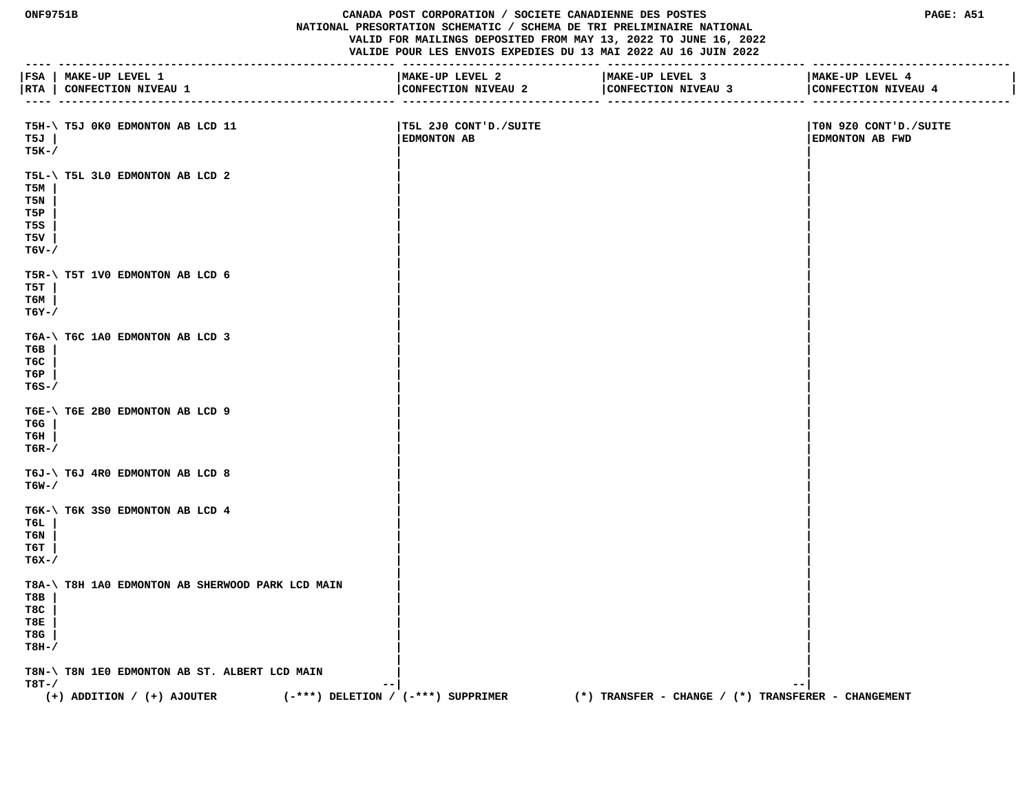**ONF9751B CANADA POST CORPORATION / SOCIETE CANADIENNE DES POSTES PAGE: A51 NATIONAL PRESORTATION SCHEMATIC / SCHEMA DE TRI PRELIMINAIRE NATIONAL VALID FOR MAILINGS DEPOSITED FROM MAY 13, 2022 TO JUNE 16, 2022 VALIDE POUR LES ENVOIS EXPEDIES DU 13 MAI 2022 AU 16 JUIN 2022 ---- --------------------------------------------------- ------------------------------ ------------------------------ ------------------------------ |FSA | MAKE-UP LEVEL 1 |MAKE-UP LEVEL 2 |MAKE-UP LEVEL 3 |MAKE-UP LEVEL 4 | |RTA | CONFECTION NIVEAU 1 |CONFECTION NIVEAU 2 |CONFECTION NIVEAU 3 |CONFECTION NIVEAU 4 | ---- --------------------------------------------------- ------------------------------ ------------------------------ ------------------------------ T5H-\ T5J 0K0 EDMONTON AB LCD 11 |T5L 2J0 CONT'D./SUITE |T0N 9Z0 CONT'D./SUITE T5J | |EDMONTON AB |EDMONTON AB FWD T5K-/ | | | | T5L-\ T5L 3L0 EDMONTON AB LCD 2 | | T5M | | | T5N | | | T5P | | | T5S | | | T5V | | | T6V-/ | | | | T5R-\ T5T 1V0 EDMONTON AB LCD 6 | | T5T | | | T6M | | | T6Y-/ | | | | T6A-\ T6C 1A0 EDMONTON AB LCD 3 | | T6B | | | T6C | | | T6P | | | T6S-/ | | | | T6E-\ T6E 2B0 EDMONTON AB LCD 9 | | T6G | | | T6H | | | T6R-/ | | | | T6J-\ T6J 4R0 EDMONTON AB LCD 8**<br>**T6W-/ T6W-/ | | | | T6K-\ T6K 3S0 EDMONTON AB LCD 4 | | T6L | | | T6N | | | T6T | | | T6X-/ | | | |** T8A-\ T8H 1A0 EDMONTON AB SHERWOOD PARK LCD MAIN T8B |  **T8B | | | T8C | | | T8E | | | T8G | | | T8H-/ | | | | T8N-\ T8N 1E0 EDMONTON AB ST. ALBERT LCD MAIN | |**

 **T8T-/ --| --|**

 **(+) ADDITION / (+) AJOUTER (-\*\*\*) DELETION / (-\*\*\*) SUPPRIMER (\*) TRANSFER - CHANGE / (\*) TRANSFERER - CHANGEMENT**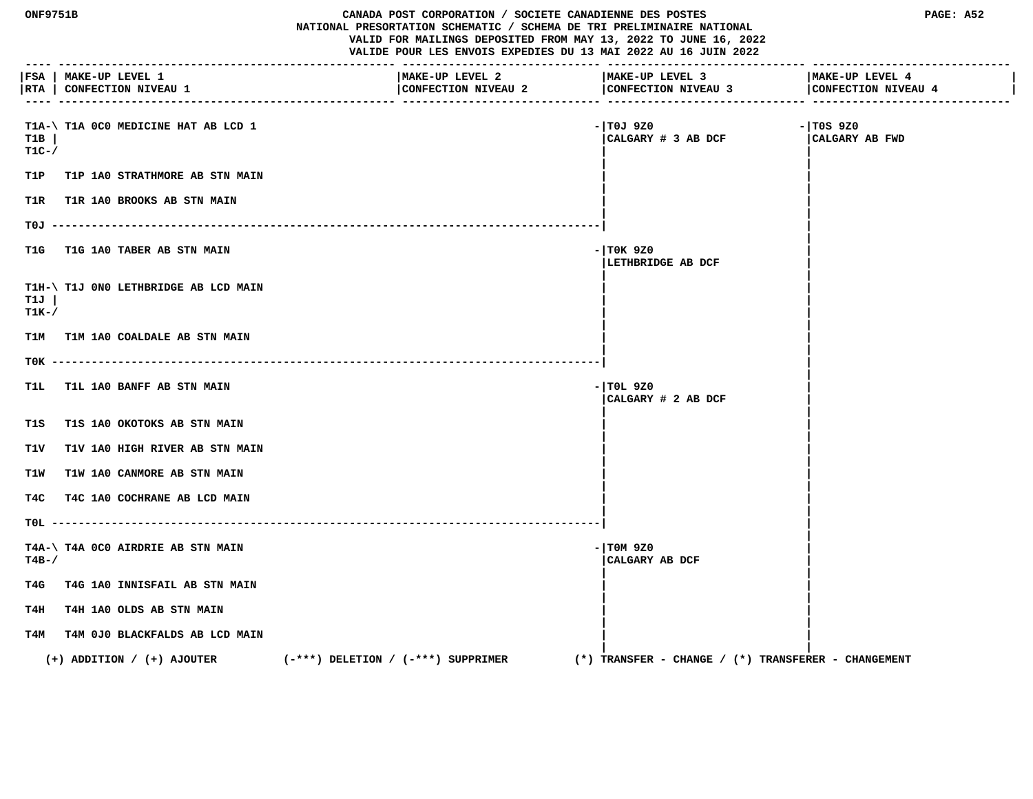| <b>ONF9751B</b> |                                                                             | CANADA POST CORPORATION / SOCIETE CANADIENNE DES POSTES<br>NATIONAL PRESORTATION SCHEMATIC / SCHEMA DE TRI PRELIMINAIRE NATIONAL<br>VALID FOR MAILINGS DEPOSITED FROM MAY 13, 2022 TO JUNE 16, 2022<br>VALIDE POUR LES ENVOIS EXPEDIES DU 13 MAI 2022 AU 16 JUIN 2022 |                                                         | PAGE: A52                              |
|-----------------|-----------------------------------------------------------------------------|-----------------------------------------------------------------------------------------------------------------------------------------------------------------------------------------------------------------------------------------------------------------------|---------------------------------------------------------|----------------------------------------|
|                 | FSA   MAKE-UP LEVEL 1<br> RTA   CONFECTION NIVEAU 1<br>-------------------- | MAKE-UP LEVEL 2<br>CONFECTION NIVEAU 2                                                                                                                                                                                                                                | MAKE-UP LEVEL 3<br>CONFECTION NIVEAU 3                  | MAKE-UP LEVEL 4<br>CONFECTION NIVEAU 4 |
| T1B<br>$T1C-$   | T1A-\ T1A 0C0 MEDICINE HAT AB LCD 1                                         |                                                                                                                                                                                                                                                                       | - TOJ 9Z0<br>CALGARY # 3 AB DCF                         | $-1$ TOS 9Z0<br>CALGARY AB FWD         |
| T1P             | <b>T1P 1A0 STRATHMORE AB STN MAIN</b>                                       |                                                                                                                                                                                                                                                                       |                                                         |                                        |
| T1R             | T1R 1A0 BROOKS AB STN MAIN                                                  |                                                                                                                                                                                                                                                                       |                                                         |                                        |
|                 |                                                                             |                                                                                                                                                                                                                                                                       |                                                         |                                        |
| T1G             | T1G 1A0 TABER AB STN MAIN                                                   |                                                                                                                                                                                                                                                                       | $-1$ TOK 9Z0<br>LETHBRIDGE AB DCF                       |                                        |
| T1J<br>$T1K-$ / | T1H-\ T1J 0N0 LETHBRIDGE AB LCD MAIN                                        |                                                                                                                                                                                                                                                                       |                                                         |                                        |
|                 | T1M T1M 1A0 COALDALE AB STN MAIN                                            |                                                                                                                                                                                                                                                                       |                                                         |                                        |
|                 |                                                                             |                                                                                                                                                                                                                                                                       |                                                         |                                        |
| T1L             | T1L 1A0 BANFF AB STN MAIN                                                   |                                                                                                                                                                                                                                                                       | $-1$ TOL 9Z0<br>CALGARY # 2 AB DCF                      |                                        |
| T1S             | T1S 1A0 OKOTOKS AB STN MAIN                                                 |                                                                                                                                                                                                                                                                       |                                                         |                                        |
| T1V             | T1V 1A0 HIGH RIVER AB STN MAIN                                              |                                                                                                                                                                                                                                                                       |                                                         |                                        |
| T1W             | T1W 1A0 CANMORE AB STN MAIN                                                 |                                                                                                                                                                                                                                                                       |                                                         |                                        |
| T4C             | T4C 1A0 COCHRANE AB LCD MAIN                                                |                                                                                                                                                                                                                                                                       |                                                         |                                        |
|                 |                                                                             |                                                                                                                                                                                                                                                                       |                                                         |                                        |
| $T4B-$          | T4A-\ T4A 0C0 AIRDRIE AB STN MAIN                                           |                                                                                                                                                                                                                                                                       | $-1$ TOM 9Z0<br>CALGARY AB DCF                          |                                        |
| T4G             | T4G 1A0 INNISFAIL AB STN MAIN                                               |                                                                                                                                                                                                                                                                       |                                                         |                                        |
| T4H             | T4H 1A0 OLDS AB STN MAIN                                                    |                                                                                                                                                                                                                                                                       |                                                         |                                        |
|                 | T4M T4M 0J0 BLACKFALDS AB LCD MAIN                                          |                                                                                                                                                                                                                                                                       |                                                         |                                        |
|                 | $(+)$ ADDITION / $(+)$ AJOUTER                                              | $(-***)$ DELETION / $(-***)$ SUPPRIMER                                                                                                                                                                                                                                | $(*)$ TRANSFER - CHANGE / $(*)$ TRANSFERER - CHANGEMENT |                                        |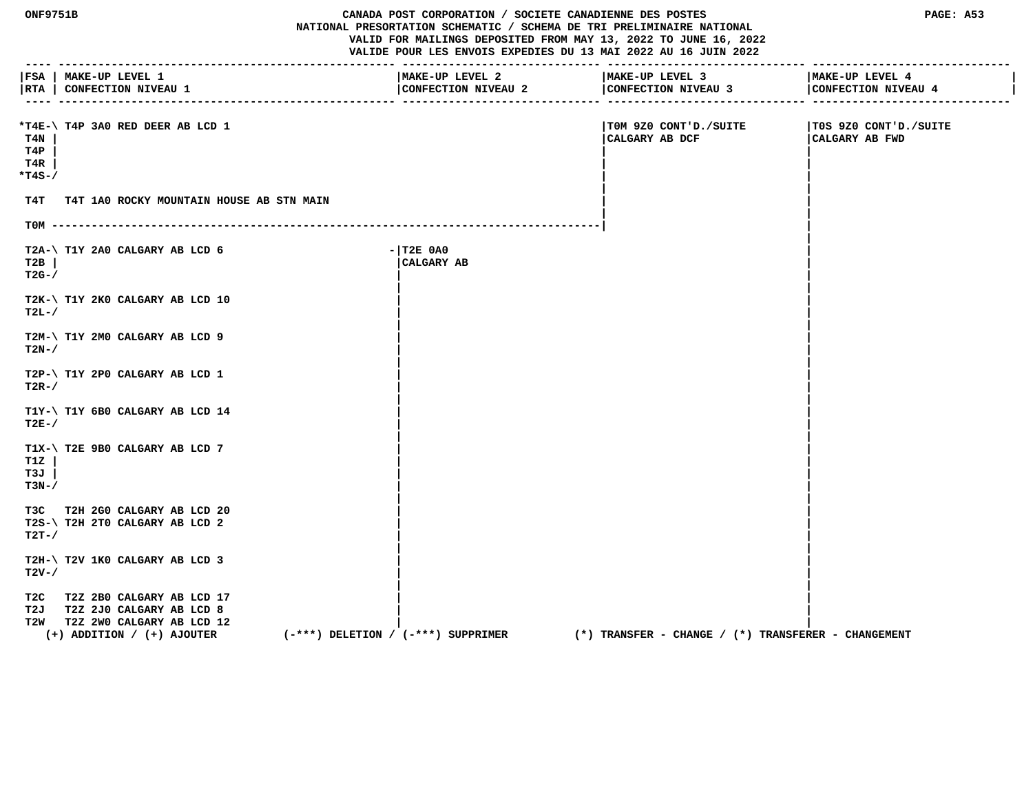| <b>ONF9751B</b>             |                                                                                                                                  |                                        | CANADA POST CORPORATION / SOCIETE CANADIENNE DES POSTES<br>PAGE: A53<br>NATIONAL PRESORTATION SCHEMATIC / SCHEMA DE TRI PRELIMINAIRE NATIONAL<br>VALID FOR MAILINGS DEPOSITED FROM MAY 13, 2022 TO JUNE 16, 2022<br>VALIDE POUR LES ENVOIS EXPEDIES DU 13 MAI 2022 AU 16 JUIN 2022 |                                                         |                                         |
|-----------------------------|----------------------------------------------------------------------------------------------------------------------------------|----------------------------------------|------------------------------------------------------------------------------------------------------------------------------------------------------------------------------------------------------------------------------------------------------------------------------------|---------------------------------------------------------|-----------------------------------------|
|                             | FSA   MAKE-UP LEVEL 1<br> RTA   CONFECTION NIVEAU 1                                                                              |                                        | MAKE-UP LEVEL 2<br>CONFECTION NIVEAU 2                                                                                                                                                                                                                                             | MAKE-UP LEVEL 3<br>CONFECTION NIVEAU 3                  | MAKE-UP LEVEL 4<br>CONFECTION NIVEAU 4  |
| T4N<br>T4P<br>T4R<br>*T4S-/ | *T4E-\T4P 3A0 RED DEER AB LCD 1                                                                                                  |                                        |                                                                                                                                                                                                                                                                                    | TOM 9Z0 CONT'D./SUITE<br>CALGARY AB DCF                 | T0S 9Z0 CONT'D./SUITE<br>CALGARY AB FWD |
| т4т                         | T4T 1A0 ROCKY MOUNTAIN HOUSE AB STN MAIN                                                                                         |                                        |                                                                                                                                                                                                                                                                                    |                                                         |                                         |
|                             |                                                                                                                                  |                                        |                                                                                                                                                                                                                                                                                    |                                                         |                                         |
| T2B<br>$T2G-$               | T2A-\ T1Y 2A0 CALGARY AB LCD 6                                                                                                   | $ T2E$ $0A0$                           | CALGARY AB                                                                                                                                                                                                                                                                         |                                                         |                                         |
| $T2L-$                      | T2K-\ T1Y 2K0 CALGARY AB LCD 10                                                                                                  |                                        |                                                                                                                                                                                                                                                                                    |                                                         |                                         |
| $T2N-$                      | T2M-\ T1Y 2M0 CALGARY AB LCD 9                                                                                                   |                                        |                                                                                                                                                                                                                                                                                    |                                                         |                                         |
| $T2R-$                      | T2P-\ T1Y 2P0 CALGARY AB LCD 1                                                                                                   |                                        |                                                                                                                                                                                                                                                                                    |                                                         |                                         |
| $T2E-$                      | T1Y-\ T1Y 6B0 CALGARY AB LCD 14                                                                                                  |                                        |                                                                                                                                                                                                                                                                                    |                                                         |                                         |
| T1Z<br>T3J<br>$T3N-$        | T1X-\ T2E 9B0 CALGARY AB LCD 7                                                                                                   |                                        |                                                                                                                                                                                                                                                                                    |                                                         |                                         |
| $T2T-$ /                    | T3C T2H 2G0 CALGARY AB LCD 20<br>T2S-\ T2H 2T0 CALGARY AB LCD 2                                                                  |                                        |                                                                                                                                                                                                                                                                                    |                                                         |                                         |
| $T2V-$                      | T2H-\ T2V 1K0 CALGARY AB LCD 3                                                                                                   |                                        |                                                                                                                                                                                                                                                                                    |                                                         |                                         |
|                             | T2C T2Z 2B0 CALGARY AB LCD 17<br>T2J T2Z 2J0 CALGARY AB LCD 8<br>T2W T2Z 2WO CALGARY AB LCD 12<br>$(+)$ ADDITION / $(+)$ AJOUTER | $(-***)$ DELETION / $(-***)$ SUPPRIMER |                                                                                                                                                                                                                                                                                    | $(*)$ TRANSFER - CHANGE / $(*)$ TRANSFERER - CHANGEMENT |                                         |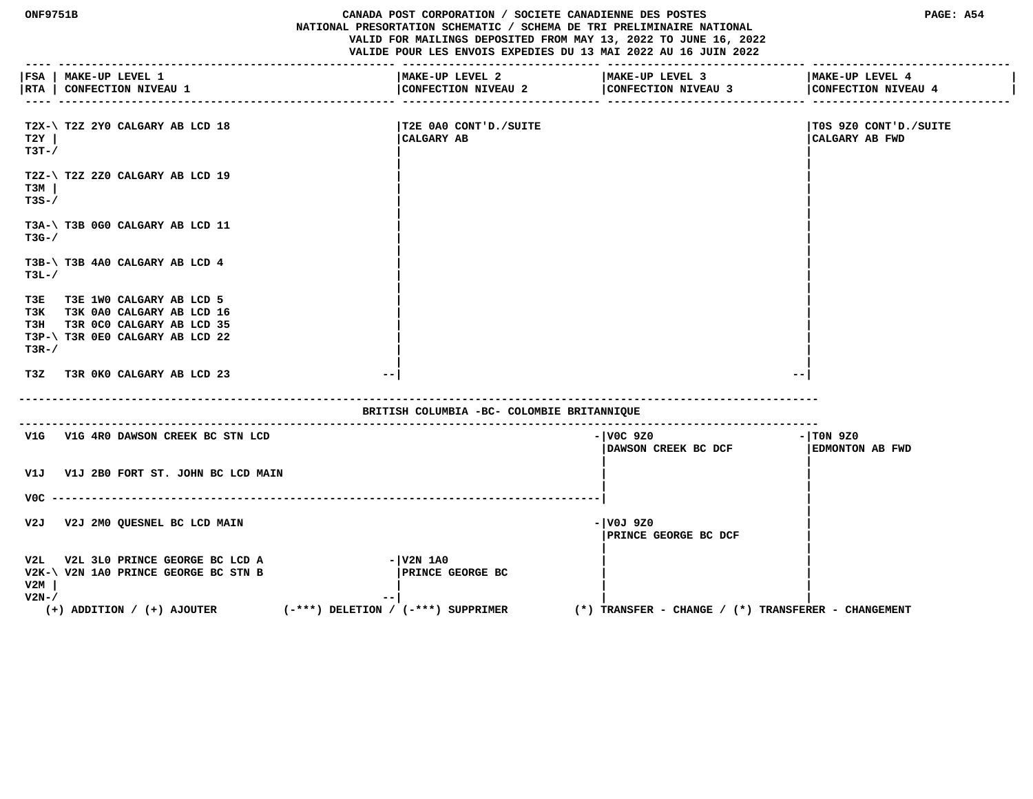**ONF9751B CANADA POST CORPORATION / SOCIETE CANADIENNE DES POSTES PAGE: A54 NATIONAL PRESORTATION SCHEMATIC / SCHEMA DE TRI PRELIMINAIRE NATIONAL VALID FOR MAILINGS DEPOSITED FROM MAY 13, 2022 TO JUNE 16, 2022 VALIDE POUR LES ENVOIS EXPEDIES DU 13 MAI 2022 AU 16 JUIN 2022 ---- --------------------------------------------------- ------------------------------ ------------------------------ ------------------------------ |FSA | MAKE-UP LEVEL 1 |MAKE-UP LEVEL 2 |MAKE-UP LEVEL 3 |MAKE-UP LEVEL 4 |** | RTA | CONFECTION NIVEAU 1 **| 1990 | CONFECTION NIVEAU 2** | CONFECTION NIVEAU 3 | CONFECTION NIVEAU 4  **---- --------------------------------------------------- ------------------------------ ------------------------------ ------------------------------ T2X-\ T2Z 2Y0 CALGARY AB LCD 18 |T2E 0A0 CONT'D./SUITE |T0S 9Z0 CONT'D./SUITE T2Y | |CALGARY AB |CALGARY AB FWD T3T-/ | | | | T2Z-\ T2Z 2Z0 CALGARY AB LCD 19 | | T3M | | | T3S-/ | | | | T3A-\ T3B 0G0 CALGARY AB LCD 11 | | T3G-/ | | | | T3B-\ T3B 4A0 CALGARY AB LCD 4 | | T3L-/ | | | | T3E T3E 1W0 CALGARY AB LCD 5 | | T3K T3K 0A0 CALGARY AB LCD 16 | | T3H T3R 0C0 CALGARY AB LCD 35 | | T3P-\ T3R 0E0 CALGARY AB LCD 22 | |**  $\blacksquare$  T3R-/  $\blacksquare$  **| | T3Z T3R 0K0 CALGARY AB LCD 23 --| --| ------------------------------------------------------------------------------------------------------------------------- BRITISH COLUMBIA -BC- COLOMBIE BRITANNIQUE -------------------------------------------------------------------------------------------------------------------------** V1G V1G 4R0 DAWSON CREEK BC STN LCD **CONSUMING A SUBSET ASSESSED ASSESSED AT A SUBSET OF A SUBSET OF STATE OF ST |DAWSON CREEK BC DCF |EDMONTON AB FWD | | V1J V1J 2B0 FORT ST. JOHN BC LCD MAIN | | | | V0C -----------------------------------------------------------------------------------| | | V2J V2J 2M0 QUESNEL BC LCD MAIN -|V0J 9Z0 | |PRINCE GEORGE BC DCF | | |** V2L V2L 3L0 PRINCE GEORGE BC LCD A  $-|V2N|$  1A0  **V2K-\ V2N 1A0 PRINCE GEORGE BC STN B |PRINCE GEORGE BC | | V2M | | | | V2N-/ --| | | (+) ADDITION / (+) AJOUTER (-\*\*\*) DELETION / (-\*\*\*) SUPPRIMER (\*) TRANSFER - CHANGE / (\*) TRANSFERER - CHANGEMENT**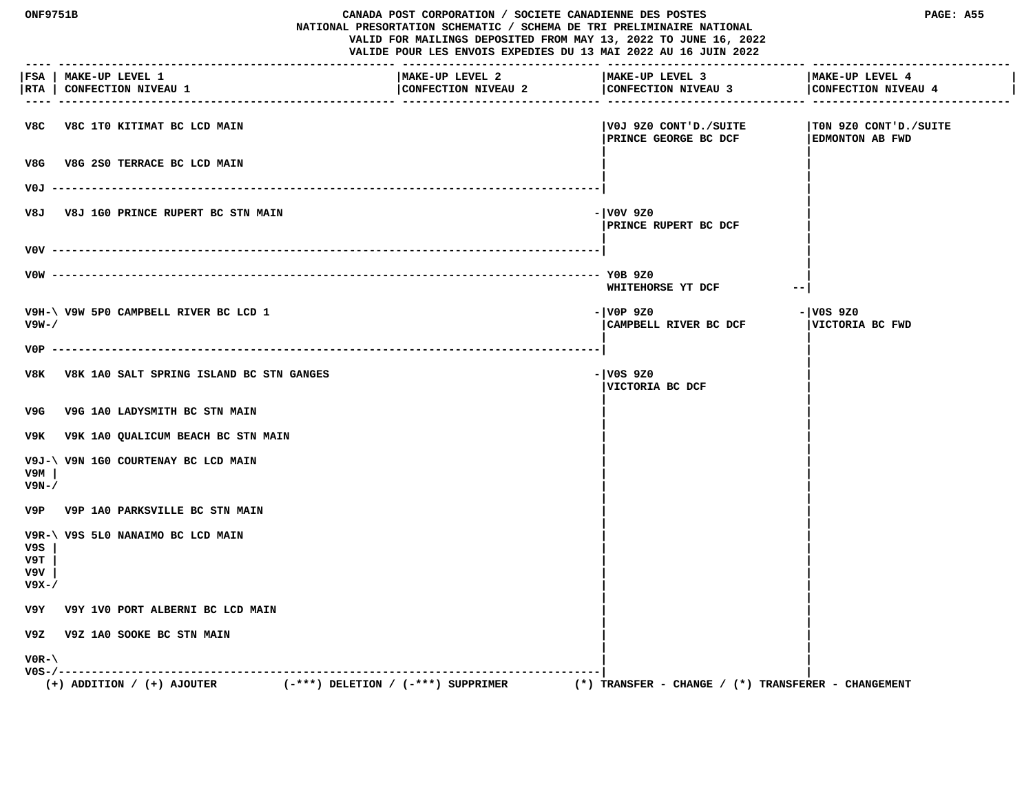| <b>ONF9751B</b>             |                                                     | CANADA POST CORPORATION / SOCIETE CANADIENNE DES POSTES<br>NATIONAL PRESORTATION SCHEMATIC / SCHEMA DE TRI PRELIMINAIRE NATIONAL  |                                                         | PAGE: A55                                       |
|-----------------------------|-----------------------------------------------------|-----------------------------------------------------------------------------------------------------------------------------------|---------------------------------------------------------|-------------------------------------------------|
|                             |                                                     | VALID FOR MAILINGS DEPOSITED FROM MAY 13, 2022 TO JUNE 16, 2022<br>VALIDE POUR LES ENVOIS EXPEDIES DU 13 MAI 2022 AU 16 JUIN 2022 |                                                         |                                                 |
| $- - -$                     | FSA   MAKE-UP LEVEL 1<br> RTA   CONFECTION NIVEAU 1 | MAKE-UP LEVEL 2<br>CONFECTION NIVEAU 2                                                                                            | MAKE-UP LEVEL 3<br>CONFECTION NIVEAU 3                  | MAKE-UP LEVEL 4<br>CONFECTION NIVEAU 4          |
|                             | V8C V8C 1T0 KITIMAT BC LCD MAIN                     |                                                                                                                                   | V0J 9Z0 CONT'D./SUITE<br>PRINCE GEORGE BC DCF           | TON 9Z0 CONT'D./SUITE<br><b>EDMONTON AB FWD</b> |
| V8G                         | V8G 2S0 TERRACE BC LCD MAIN                         |                                                                                                                                   |                                                         |                                                 |
|                             |                                                     |                                                                                                                                   |                                                         |                                                 |
| V8J                         | <b>V8J 1G0 PRINCE RUPERT BC STN MAIN</b>            |                                                                                                                                   | - V0V 9Z0<br><b>  PRINCE RUPERT BC DCF</b>              |                                                 |
|                             |                                                     |                                                                                                                                   |                                                         |                                                 |
|                             |                                                     |                                                                                                                                   | WHITEHORSE YT DCF                                       | --                                              |
| $V9W - /$                   | V9H-\ V9W 5P0 CAMPBELL RIVER BC LCD 1               |                                                                                                                                   | - VOP 9Z0<br>CAMPBELL RIVER BC DCF                      | - V0S 9Z0<br>VICTORIA BC FWD                    |
|                             |                                                     |                                                                                                                                   |                                                         |                                                 |
|                             | V8K V8K 1A0 SALT SPRING ISLAND BC STN GANGES        |                                                                                                                                   | - V0S 9Z0<br>VICTORIA BC DCF                            |                                                 |
| V9G                         | V9G 1A0 LADYSMITH BC STN MAIN                       |                                                                                                                                   |                                                         |                                                 |
|                             | V9K V9K 1A0 QUALICUM BEACH BC STN MAIN              |                                                                                                                                   |                                                         |                                                 |
| v9м<br>V9N-/                | V9J-\ V9N 1G0 COURTENAY BC LCD MAIN                 |                                                                                                                                   |                                                         |                                                 |
|                             | V9P V9P 1A0 PARKSVILLE BC STN MAIN                  |                                                                                                                                   |                                                         |                                                 |
| V9S<br>V9T.<br>V9V<br>V9X-/ | V9R-\ V9S 5L0 NANAIMO BC LCD MAIN                   |                                                                                                                                   |                                                         |                                                 |
|                             | V9Y V9Y 1V0 PORT ALBERNI BC LCD MAIN                |                                                                                                                                   |                                                         |                                                 |
| v9z                         | V9Z 1A0 SOOKE BC STN MAIN                           |                                                                                                                                   |                                                         |                                                 |
| $VOR - \setminus$           |                                                     |                                                                                                                                   |                                                         |                                                 |
|                             | $(+)$ ADDITION / $(+)$ AJOUTER                      | $(-***)$ DELETION / $(-***)$ SUPPRIMER                                                                                            | $(*)$ TRANSFER - CHANGE / $(*)$ TRANSFERER - CHANGEMENT |                                                 |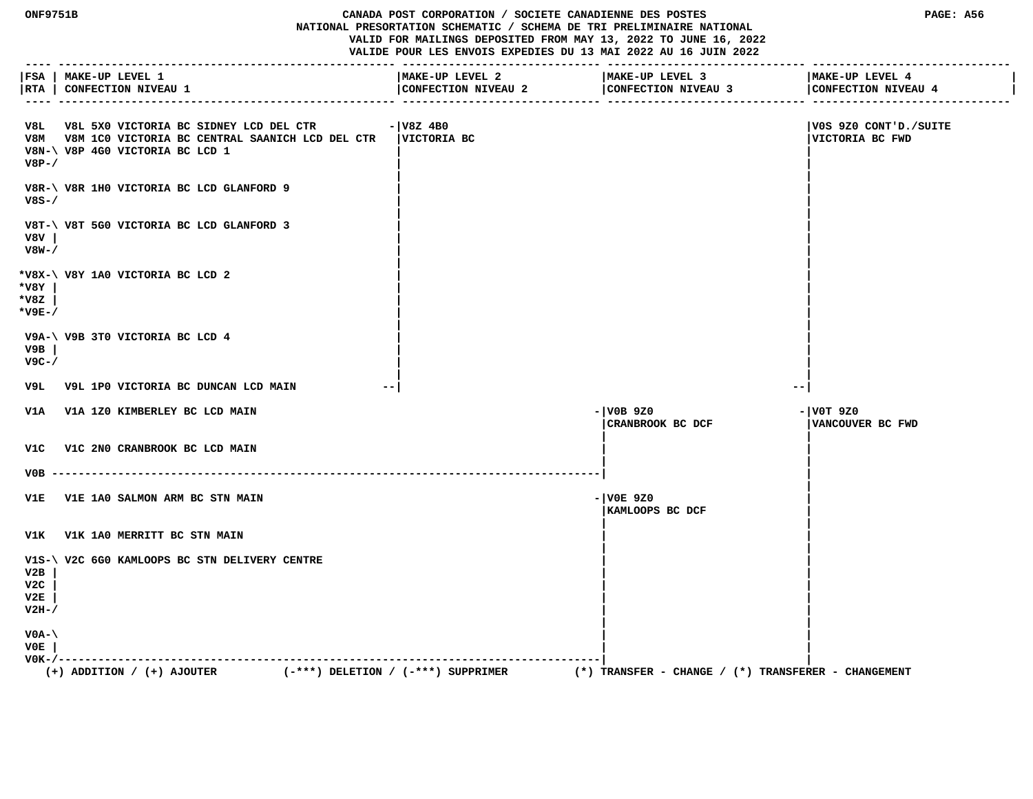**ONF9751B CANADA POST CORPORATION / SOCIETE CANADIENNE DES POSTES PAGE: A56 NATIONAL PRESORTATION SCHEMATIC / SCHEMA DE TRI PRELIMINAIRE NATIONAL VALID FOR MAILINGS DEPOSITED FROM MAY 13, 2022 TO JUNE 16, 2022 VALIDE POUR LES ENVOIS EXPEDIES DU 13 MAI 2022 AU 16 JUIN 2022 ---- --------------------------------------------------- ------------------------------ ------------------------------ ------------------------------ |FSA | MAKE-UP LEVEL 1 |MAKE-UP LEVEL 2 |MAKE-UP LEVEL 3 |MAKE-UP LEVEL 4 | |RTA | CONFECTION NIVEAU 1 |CONFECTION NIVEAU 2 |CONFECTION NIVEAU 3 |CONFECTION NIVEAU 4 | ---- --------------------------------------------------- ------------------------------ ------------------------------ ------------------------------ V8L V8L 5X0 VICTORIA BC SIDNEY LCD DEL CTR -|V8Z 4B0 |V0S 9Z0 CONT'D./SUITE V8M V8M 1C0 VICTORIA BC CENTRAL SAANICH LCD DEL CTR |VICTORIA BC |VICTORIA BC FWD V8N-\ V8P 4G0 VICTORIA BC LCD 1 | | V8P-/ | | | | V8R-\ V8R 1H0 VICTORIA BC LCD GLANFORD 9 | | V8S-/ | | | | V8T-\ V8T 5G0 VICTORIA BC LCD GLANFORD 3 | | V8V | | | V8W-/ | | | | \*V8X-\ V8Y 1A0 VICTORIA BC LCD 2 | | \*V8Y | | | \*V8Z | | | \*V9E-/ | | | | V9A-\ V9B 3T0 VICTORIA BC LCD 4 | | V9B | | | V9C-/ | | | | V9L V9L 1P0 VICTORIA BC DUNCAN LCD MAIN --| --| V1A V1A 1Z0 KIMBERLEY BC LCD MAIN -|V0B 9Z0 -|V0T 9Z0 |CRANBROOK BC DCF |VANCOUVER BC FWD | | V1C V1C 2N0 CRANBROOK BC LCD MAIN | | | |**

 **V0B -----------------------------------------------------------------------------------| | | V1E V1E 1A0 SALMON ARM BC STN MAIN -|V0E 9Z0 | |KAMLOOPS BC DCF | | | V1K V1K 1A0 MERRITT BC STN MAIN | | | |** V1S-\ V2C 6G0 KAMLOOPS BC STN DELIVERY CENTRE  **V2B | | | V2C | | | V2E | | | V2H-/ | | | | V0A-\ | | V0E | | | V0K-/----------------------------------------------------------------------------------| |** (+) ADDITION / (+) AJOUTER  $($  -\*\*\*) DELETION / (-\*\*\*) SUPPRIMER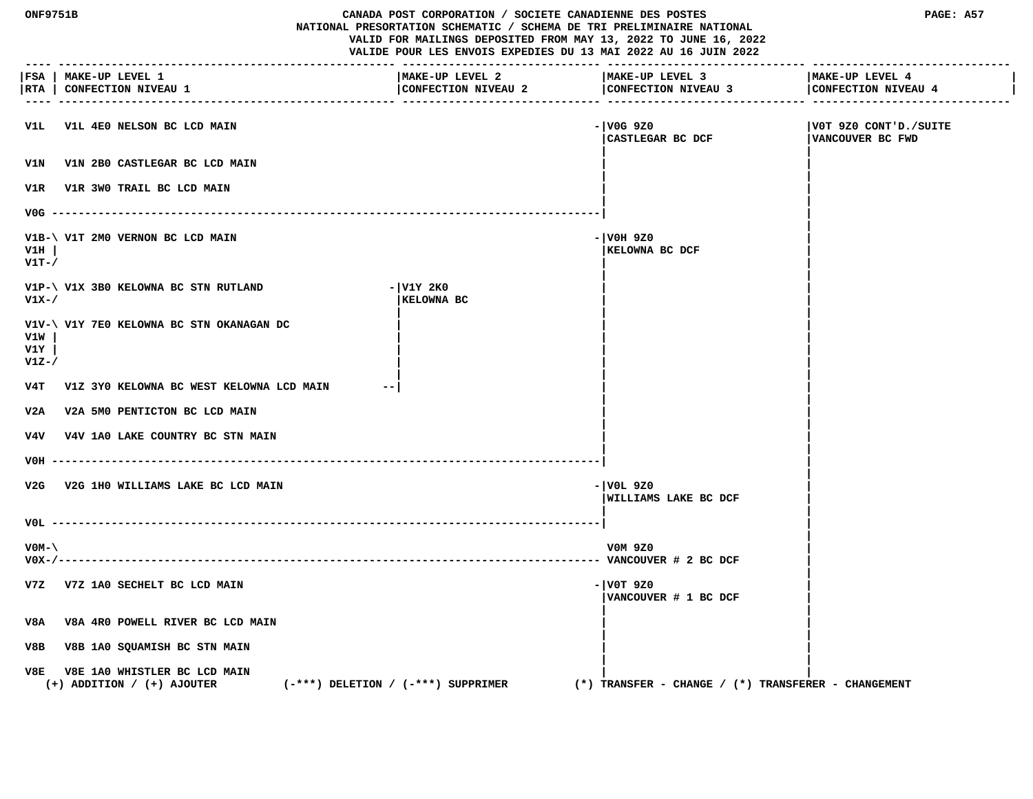| ONF9751B<br>CANADA POST CORPORATION / SOCIETE CANADIENNE DES POSTES<br>NATIONAL PRESORTATION SCHEMATIC / SCHEMA DE TRI PRELIMINAIRE NATIONAL<br>VALID FOR MAILINGS DEPOSITED FROM MAY 13, 2022 TO JUNE 16, 2022<br>VALIDE POUR LES ENVOIS EXPEDIES DU 13 MAI 2022 AU 16 JUIN 2022 |                                                                                                          |                                        | PAGE: A57                                               |                                            |
|-----------------------------------------------------------------------------------------------------------------------------------------------------------------------------------------------------------------------------------------------------------------------------------|----------------------------------------------------------------------------------------------------------|----------------------------------------|---------------------------------------------------------|--------------------------------------------|
|                                                                                                                                                                                                                                                                                   | FSA   MAKE-UP LEVEL 1<br> RTA   CONFECTION NIVEAU 1                                                      | MAKE-UP LEVEL 2<br>CONFECTION NIVEAU 2 | MAKE-UP LEVEL 3<br>CONFECTION NIVEAU 3                  | MAKE-UP LEVEL 4<br>CONFECTION NIVEAU 4     |
| VlL                                                                                                                                                                                                                                                                               | V1L 4E0 NELSON BC LCD MAIN                                                                               |                                        | - V0G 9Z0<br>CASTLEGAR BC DCF                           | VOT 9Z0 CONT'D./SUITE <br>VANCOUVER BC FWD |
| V1N                                                                                                                                                                                                                                                                               | V1N 2B0 CASTLEGAR BC LCD MAIN                                                                            |                                        |                                                         |                                            |
|                                                                                                                                                                                                                                                                                   | V1R V1R 3W0 TRAIL BC LCD MAIN                                                                            |                                        |                                                         |                                            |
|                                                                                                                                                                                                                                                                                   | $VOG$ --------                                                                                           |                                        |                                                         |                                            |
| V1H<br>$V1T-$                                                                                                                                                                                                                                                                     | V1B-\ V1T 2M0 VERNON BC LCD MAIN                                                                         |                                        | - VOH 9Z0<br>KELOWNA BC DCF                             |                                            |
| $V1X-$                                                                                                                                                                                                                                                                            | V1P-\ V1X 3B0 KELOWNA BC STN RUTLAND                                                                     | - V1Y 2K0<br>KELOWNA BC                |                                                         |                                            |
| V1W<br>V1Y<br>$V1Z-$                                                                                                                                                                                                                                                              | V1V-\ V1Y 7E0 KELOWNA BC STN OKANAGAN DC                                                                 |                                        |                                                         |                                            |
| v4T                                                                                                                                                                                                                                                                               | V1Z 3Y0 KELOWNA BC WEST KELOWNA LCD MAIN                                                                 |                                        |                                                         |                                            |
| V2A                                                                                                                                                                                                                                                                               | V2A 5M0 PENTICTON BC LCD MAIN                                                                            |                                        |                                                         |                                            |
|                                                                                                                                                                                                                                                                                   | V4V V4V 1A0 LAKE COUNTRY BC STN MAIN                                                                     |                                        |                                                         |                                            |
| VOH ----                                                                                                                                                                                                                                                                          |                                                                                                          |                                        |                                                         |                                            |
|                                                                                                                                                                                                                                                                                   | V2G V2G 1H0 WILLIAMS LAKE BC LCD MAIN                                                                    |                                        | - VOL 9Z0<br>WILLIAMS LAKE BC DCF                       |                                            |
|                                                                                                                                                                                                                                                                                   |                                                                                                          |                                        |                                                         |                                            |
| $VOM-$<br>$V0X-/---$                                                                                                                                                                                                                                                              |                                                                                                          |                                        | V0M 9Z0                                                 |                                            |
|                                                                                                                                                                                                                                                                                   | V7Z V7Z 1A0 SECHELT BC LCD MAIN                                                                          |                                        | $- V0T 9Z0$<br>VANCOUVER # 1 BC DCF                     |                                            |
| V8A<br>V8A 4R0 POWELL RIVER BC LCD MAIN                                                                                                                                                                                                                                           |                                                                                                          |                                        |                                                         |                                            |
| V8B<br>V8B 1A0 SQUAMISH BC STN MAIN                                                                                                                                                                                                                                               |                                                                                                          |                                        |                                                         |                                            |
| V8E                                                                                                                                                                                                                                                                               | V8E 1A0 WHISTLER BC LCD MAIN<br>$(-***)$ DELETION / $(-***)$ SUPPRIMER<br>$(+)$ ADDITION / $(+)$ AJOUTER |                                        | $(*)$ TRANSFER - CHANGE / $(*)$ TRANSFERER - CHANGEMENT |                                            |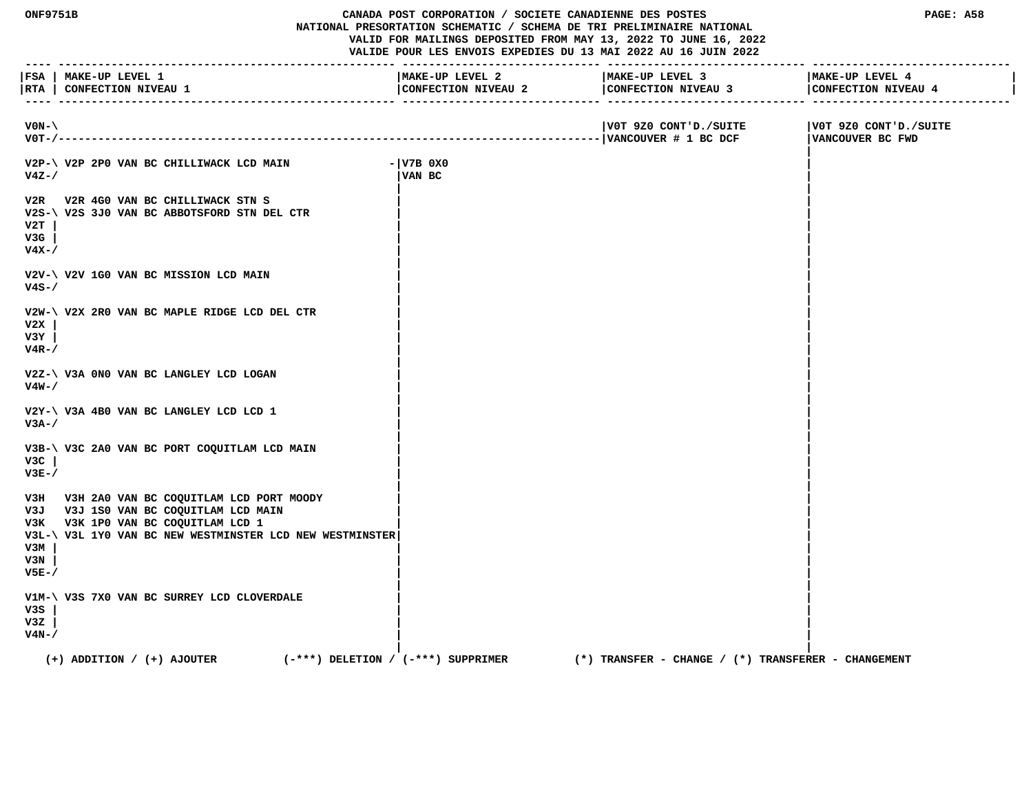**ONF9751B CANADA POST CORPORATION / SOCIETE CANADIENNE DES POSTES PAGE: A58 NATIONAL PRESORTATION SCHEMATIC / SCHEMA DE TRI PRELIMINAIRE NATIONAL VALID FOR MAILINGS DEPOSITED FROM MAY 13, 2022 TO JUNE 16, 2022 VALIDE POUR LES ENVOIS EXPEDIES DU 13 MAI 2022 AU 16 JUIN 2022 ---- --------------------------------------------------- ------------------------------ ------------------------------ ------------------------------ |FSA | MAKE-UP LEVEL 1 |MAKE-UP LEVEL 2 |MAKE-UP LEVEL 3 |MAKE-UP LEVEL 4 |** |RTA | CONFECTION NIVEAU 1 | CONFECTION NIVEAU 2 | CONFECTION NIVEAU 4 | CONFECTION NIVEAU 4 | CONFECTION NIVEAU 4 | CONFECTION NIVEAU 4 | CONFECTION NIVEAU 4  **---- --------------------------------------------------- ------------------------------ ------------------------------ ------------------------------ V0N-\ |V0T 9Z0 CONT'D./SUITE |V0T 9Z0 CONT'D./SUITE V0T-/----------------------------------------------------------------------------------|VANCOUVER # 1 BC DCF |VANCOUVER BC FWD | V2P-\ V2P 2P0 VAN BC CHILLIWACK LCD MAIN -|V7B 0X0 | V4Z-/ |VAN BC | | | V2R V2R 4G0 VAN BC CHILLIWACK STN S | | V2S-\ V2S 3J0 VAN BC ABBOTSFORD STN DEL CTR | | V2T | | | V3G | | | V4X-/ | | | | V2V-\ V2V 1G0 VAN BC MISSION LCD MAIN | | V4S-/ | | | | V2W-\ V2X 2R0 VAN BC MAPLE RIDGE LCD DEL CTR | | V2X | | | V3Y | | | V4R-/ | | | | V2Z-\ V3A 0N0 VAN BC LANGLEY LCD LOGAN | | V4W-/ | | | | V2Y-\ V3A 4B0 VAN BC LANGLEY LCD LCD 1 | | V3A-/ | | | | V3B-\ V3C 2A0 VAN BC PORT COQUITLAM LCD MAIN | | V3C | | | V3E-/ | | | |** V3H V3H 2A0 VAN BC COQUITLAM LCD PORT MOODY  **V3J V3J 1S0 VAN BC COQUITLAM LCD MAIN | | V3K V3K 1P0 VAN BC COQUITLAM LCD 1 | | V3L-\ V3L 1Y0 VAN BC NEW WESTMINSTER LCD NEW WESTMINSTER| | V3M | | | V3N | | | V5E-/ | | | | V1M-\ V3S 7X0 VAN BC SURREY LCD CLOVERDALE | | V3S | | | V3Z | | | V4N-/ | | | | (+) ADDITION / (+) AJOUTER (-\*\*\*) DELETION / (-\*\*\*) SUPPRIMER (\*) TRANSFER - CHANGE / (\*) TRANSFERER - CHANGEMENT**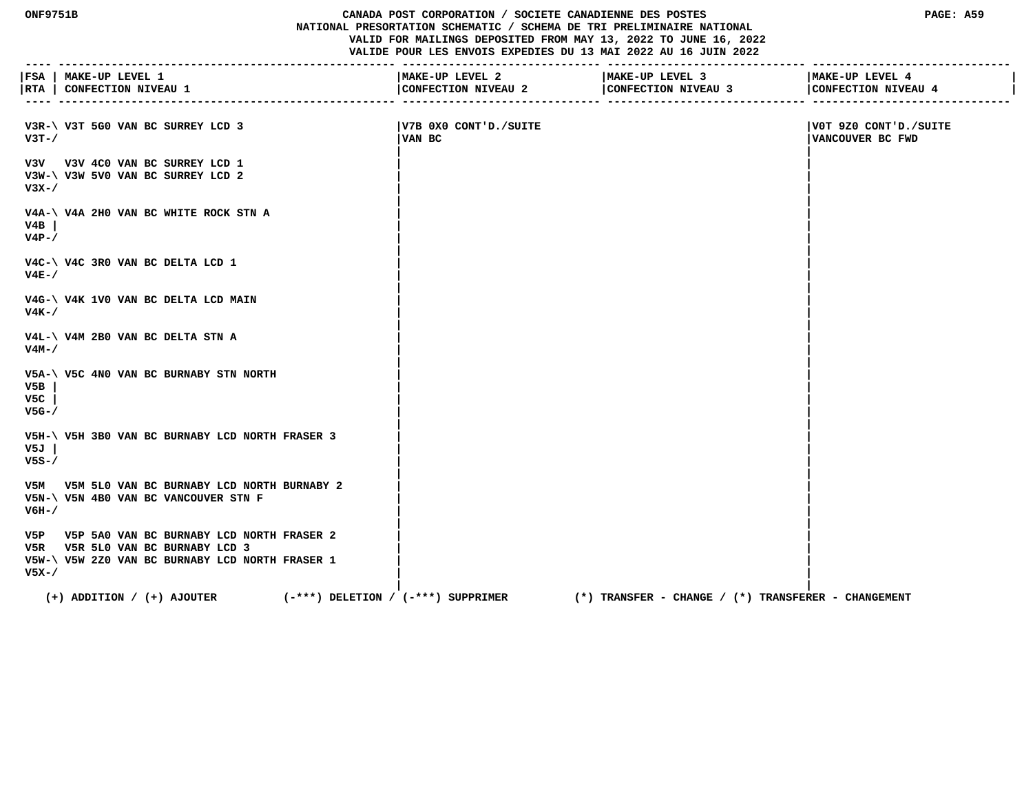#### **ONF9751B CANADA POST CORPORATION / SOCIETE CANADIENNE DES POSTES PAGE: A59 NATIONAL PRESORTATION SCHEMATIC / SCHEMA DE TRI PRELIMINAIRE NATIONAL VALID FOR MAILINGS DEPOSITED FROM MAY 13, 2022 TO JUNE 16, 2022 VALIDE POUR LES ENVOIS EXPEDIES DU 13 MAI 2022 AU 16 JUIN 2022**

 **---- --------------------------------------------------- ------------------------------ ------------------------------ ------------------------------ |FSA | MAKE-UP LEVEL 1 |MAKE-UP LEVEL 2 |MAKE-UP LEVEL 3 |MAKE-UP LEVEL 4 | |RTA | CONFECTION NIVEAU 1 |CONFECTION NIVEAU 2 |CONFECTION NIVEAU 3 |CONFECTION NIVEAU 4 | ---- --------------------------------------------------- ------------------------------ ------------------------------ ------------------------------ V3R-\ V3T 5G0 VAN BC SURREY LCD 3 |V7B 0X0 CONT'D./SUITE |V0T 9Z0 CONT'D./SUITE V3T-/ |VAN BC |VANCOUVER BC FWD | | V3V V3V 4C0 VAN BC SURREY LCD 1 | | V3W-\ V3W 5V0 VAN BC SURREY LCD 2 | | V3X-/ | | | | V4A-\ V4A 2H0 VAN BC WHITE ROCK STN A | | V4B | | | V4P-/ | | | | V4C-\ V4C 3R0 VAN BC DELTA LCD 1 | | V4E-/ | | | | V4G-\ V4K 1V0 VAN BC DELTA LCD MAIN | | V4K-/ | | | | V4L-\ V4M 2B0 VAN BC DELTA STN A | | V4M-/ | | | | V5A-\ V5C 4N0 VAN BC BURNABY STN NORTH | | V5B | | | V5C | | | V5G-/ | | | | V5H-\ V5H 3B0 VAN BC BURNABY LCD NORTH FRASER 3 | | V5J | | | V5S-/ | | | | V5M V5M 5L0 VAN BC BURNABY LCD NORTH BURNABY 2 | | V5N-\ V5N 4B0 VAN BC VANCOUVER STN F | | V6H-/ | | | | V5P V5P 5A0 VAN BC BURNABY LCD NORTH FRASER 2 | | V5R V5R 5L0 VAN BC BURNABY LCD 3 | | V5W-\ V5W 2Z0 VAN BC BURNABY LCD NORTH FRASER 1 | |**

 **V5X-/ | |**

 **| | (+) ADDITION / (+) AJOUTER (-\*\*\*) DELETION / (-\*\*\*) SUPPRIMER (\*) TRANSFER - CHANGE / (\*) TRANSFERER - CHANGEMENT**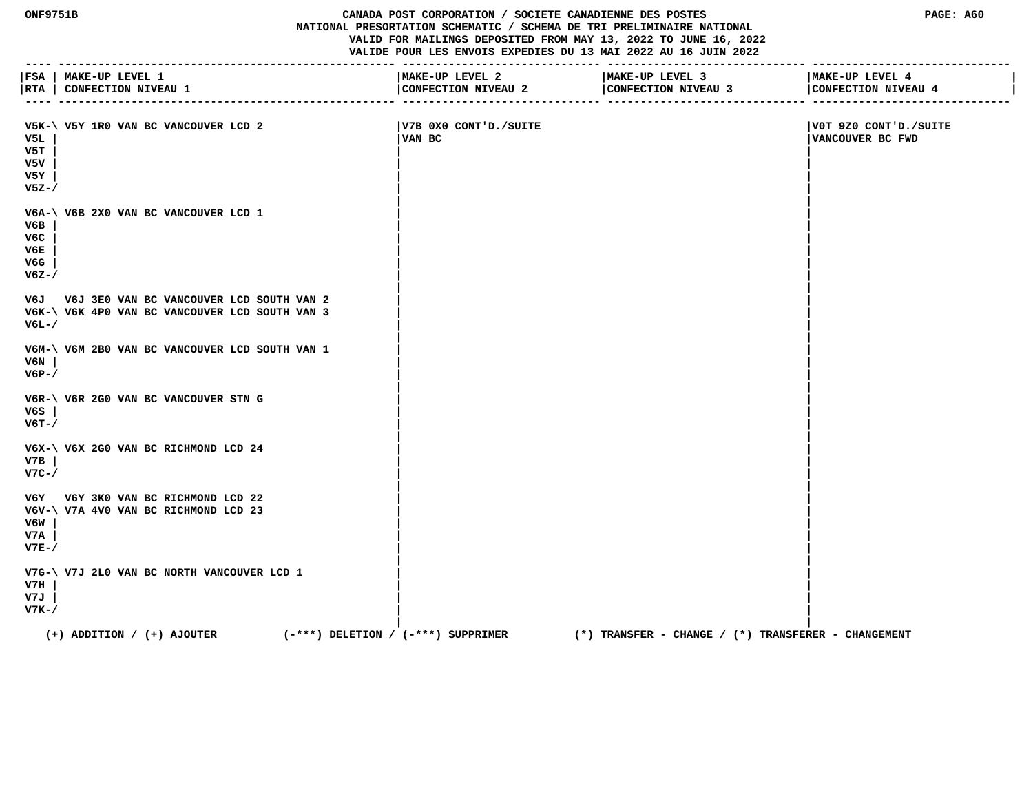## **ONF9751B CANADA POST CORPORATION / SOCIETE CANADIENNE DES POSTES PAGE: A60 NATIONAL PRESORTATION SCHEMATIC / SCHEMA DE TRI PRELIMINAIRE NATIONAL VALID FOR MAILINGS DEPOSITED FROM MAY 13, 2022 TO JUNE 16, 2022 VALIDE POUR LES ENVOIS EXPEDIES DU 13 MAI 2022 AU 16 JUIN 2022**

| FSA                                   | <b>MAKE-UP LEVEL 1</b><br>RTA   CONFECTION NIVEAU 1                                            | MAKE-UP LEVEL 2<br>CONFECTION NIVEAU 2 | MAKE-UP LEVEL 3<br>CONFECTION NIVEAU 3<br>-------------- ----------------- | MAKE-UP LEVEL 4<br>CONFECTION NIVEAU 4    |
|---------------------------------------|------------------------------------------------------------------------------------------------|----------------------------------------|----------------------------------------------------------------------------|-------------------------------------------|
| V5L<br>V5T<br>v5v<br>V5Y<br>$V5Z - /$ | V5K-\ V5Y 1R0 VAN BC VANCOUVER LCD 2                                                           | V7B 0X0 CONT'D./SUITE<br>VAN BC        |                                                                            | V0T 9Z0 CONT'D./SUITE<br>VANCOUVER BC FWD |
| V6B<br>V6C<br>V6E<br>V6G<br>$V6Z - /$ | V6A-\ V6B 2X0 VAN BC VANCOUVER LCD 1                                                           |                                        |                                                                            |                                           |
| $V6L-$                                | V6J V6J 3E0 VAN BC VANCOUVER LCD SOUTH VAN 2<br>V6K-\ V6K 4P0 VAN BC VANCOUVER LCD SOUTH VAN 3 |                                        |                                                                            |                                           |
| V6N<br>$V6P-$                         | V6M-\ V6M 2B0 VAN BC VANCOUVER LCD SOUTH VAN 1                                                 |                                        |                                                                            |                                           |
| V6S<br>$V6T - /$                      | V6R-\ V6R 2G0 VAN BC VANCOUVER STN G                                                           |                                        |                                                                            |                                           |
| V7B<br>$V7C-$                         | V6X-\ V6X 2G0 VAN BC RICHMOND LCD 24                                                           |                                        |                                                                            |                                           |
| V6W<br>V7A<br>$V7E-$                  | V6Y V6Y 3K0 VAN BC RICHMOND LCD 22<br>V6V-\ V7A 4V0 VAN BC RICHMOND LCD 23                     |                                        |                                                                            |                                           |
| V7H<br>V7J<br>$V7K-$                  | V7G-\ V7J 2L0 VAN BC NORTH VANCOUVER LCD 1                                                     |                                        |                                                                            |                                           |
|                                       | $(+)$ ADDITION / $(+)$ AJOUTER<br>(-***) DELETION / (-***) SUPPRIMER                           |                                        | (*) TRANSFER - CHANGE / (*) TRANSFERER - CHANGEMENT                        |                                           |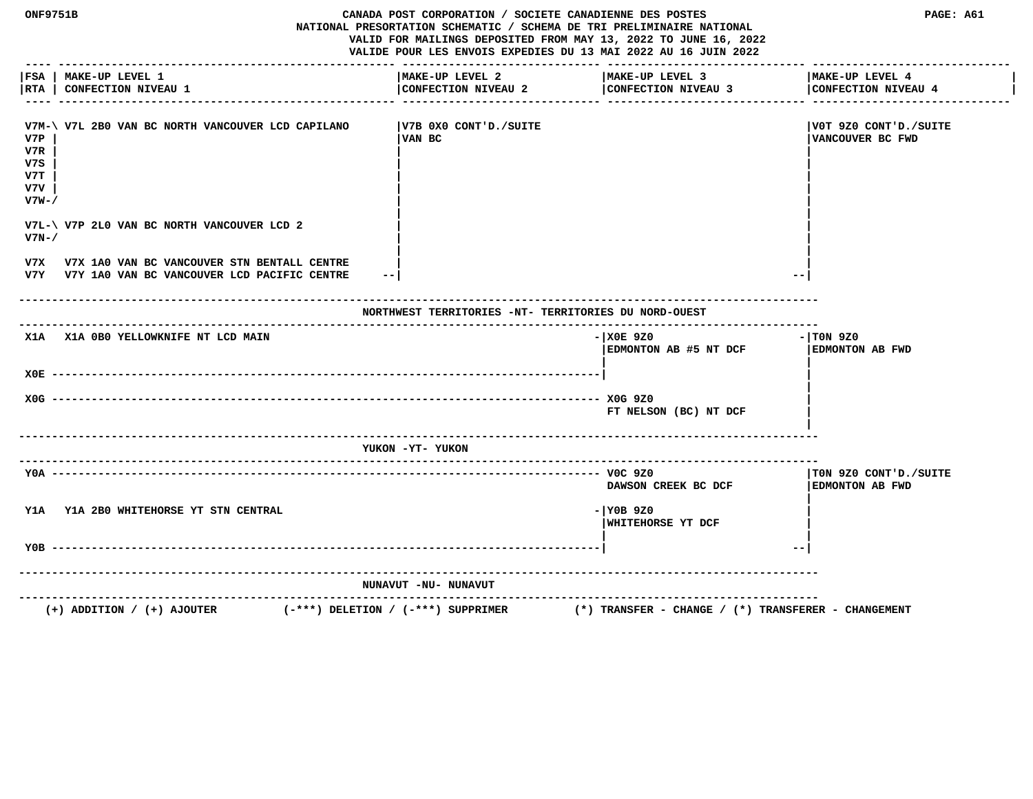| <b>ONF9751B</b>                           | --------------------------------                                                               | CANADA POST CORPORATION / SOCIETE CANADIENNE DES POSTES | NATIONAL PRESORTATION SCHEMATIC / SCHEMA DE TRI PRELIMINAIRE NATIONAL<br>VALID FOR MAILINGS DEPOSITED FROM MAY 13, 2022 TO JUNE 16, 2022<br>VALIDE POUR LES ENVOIS EXPEDIES DU 13 MAI 2022 AU 16 JUIN 2022 | PAGE: A61                                       |
|-------------------------------------------|------------------------------------------------------------------------------------------------|---------------------------------------------------------|------------------------------------------------------------------------------------------------------------------------------------------------------------------------------------------------------------|-------------------------------------------------|
| RTA                                       | FSA   MAKE-UP LEVEL 1<br><b>CONFECTION NIVEAU 1</b>                                            | MAKE-UP LEVEL 2<br>CONFECTION NIVEAU 2                  | MAKE-UP LEVEL 3<br>CONFECTION NIVEAU 3                                                                                                                                                                     | MAKE-UP LEVEL 4<br>CONFECTION NIVEAU 4          |
| V7P<br>V7R<br>v7s<br>V7T<br>v7v<br>$V7W-$ | V7M-\ V7L 2B0 VAN BC NORTH VANCOUVER LCD CAPILANO                                              | V7B 0X0 CONT'D./SUITE<br>VAN BC                         |                                                                                                                                                                                                            | V0T 9Z0 CONT'D./SUITE<br>VANCOUVER BC FWD       |
| $V7N-$                                    | V7L-\ V7P 2L0 VAN BC NORTH VANCOUVER LCD 2                                                     |                                                         |                                                                                                                                                                                                            |                                                 |
| V7X                                       | V7X 1A0 VAN BC VANCOUVER STN BENTALL CENTRE<br>V7Y V7Y 1A0 VAN BC VANCOUVER LCD PACIFIC CENTRE | $- -$                                                   |                                                                                                                                                                                                            |                                                 |
|                                           |                                                                                                | NORTHWEST TERRITORIES -NT- TERRITORIES DU NORD-OUEST    |                                                                                                                                                                                                            |                                                 |
|                                           | X1A X1A OBO YELLOWKNIFE NT LCD MAIN                                                            |                                                         | $-$ XOE 9Z0<br>EDMONTON AB #5 NT DCF                                                                                                                                                                       | - TON 9Z0<br>EDMONTON AB FWD                    |
|                                           |                                                                                                |                                                         |                                                                                                                                                                                                            |                                                 |
|                                           |                                                                                                |                                                         | FT NELSON (BC) NT DCF                                                                                                                                                                                      |                                                 |
|                                           |                                                                                                | YUKON -YT- YUKON                                        | ---------------------------                                                                                                                                                                                |                                                 |
|                                           |                                                                                                |                                                         | DAWSON CREEK BC DCF                                                                                                                                                                                        | TON 9Z0 CONT'D./SUITE<br><b>EDMONTON AB FWD</b> |
| Y1A Y1A 2B0 WHITEHORSE YT STN CENTRAL     |                                                                                                | - YOB 9Z0<br>WHITEHORSE YT DCF                          |                                                                                                                                                                                                            |                                                 |
|                                           |                                                                                                |                                                         |                                                                                                                                                                                                            | $\qquad \qquad -$                               |
|                                           |                                                                                                | NUNAVUT -NU- NUNAVUT                                    |                                                                                                                                                                                                            |                                                 |
|                                           | $(+)$ ADDITION / $(+)$ AJOUTER                                                                 | $(-***)$ DELETION / $(-***)$ SUPPRIMER                  | $(*)$ TRANSFER - CHANGE / $(*)$ TRANSFERER - CHANGEMENT                                                                                                                                                    |                                                 |